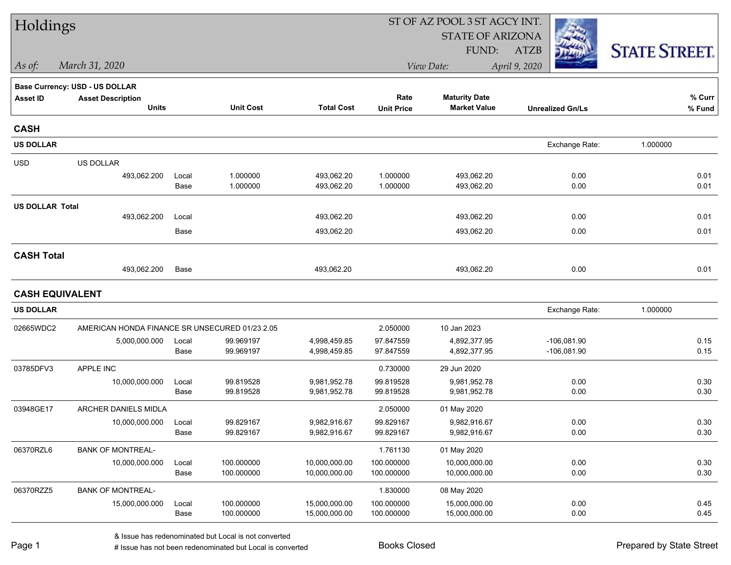| Holdings               |                                                |       |                  |                   |                   | ST OF AZ POOL 3 ST AGCY INT. |                         |                      |
|------------------------|------------------------------------------------|-------|------------------|-------------------|-------------------|------------------------------|-------------------------|----------------------|
|                        |                                                |       |                  |                   |                   | <b>STATE OF ARIZONA</b>      |                         |                      |
|                        |                                                |       |                  |                   |                   | FUND:                        | <b>ATZB</b>             | <b>STATE STREET.</b> |
| As of:                 | March 31, 2020                                 |       |                  |                   |                   | View Date:                   | April 9, 2020           |                      |
|                        | <b>Base Currency: USD - US DOLLAR</b>          |       |                  |                   |                   |                              |                         |                      |
| <b>Asset ID</b>        | <b>Asset Description</b>                       |       |                  |                   | Rate              | <b>Maturity Date</b>         |                         | % Curr               |
|                        | <b>Units</b>                                   |       | <b>Unit Cost</b> | <b>Total Cost</b> | <b>Unit Price</b> | <b>Market Value</b>          | <b>Unrealized Gn/Ls</b> | % Fund               |
| <b>CASH</b>            |                                                |       |                  |                   |                   |                              |                         |                      |
| <b>US DOLLAR</b>       |                                                |       |                  |                   |                   |                              | Exchange Rate:          | 1.000000             |
| <b>USD</b>             | US DOLLAR                                      |       |                  |                   |                   |                              |                         |                      |
|                        | 493,062.200                                    | Local | 1.000000         | 493,062.20        | 1.000000          | 493,062.20                   | 0.00                    | 0.01                 |
|                        |                                                | Base  | 1.000000         | 493,062.20        | 1.000000          | 493,062.20                   | 0.00                    | 0.01                 |
| <b>US DOLLAR Total</b> |                                                |       |                  |                   |                   |                              |                         |                      |
|                        | 493,062.200                                    | Local |                  | 493,062.20        |                   | 493,062.20                   | 0.00                    | 0.01                 |
|                        |                                                | Base  |                  | 493,062.20        |                   | 493,062.20                   | 0.00                    | 0.01                 |
| <b>CASH Total</b>      |                                                |       |                  |                   |                   |                              |                         |                      |
|                        | 493,062.200                                    | Base  |                  | 493,062.20        |                   | 493,062.20                   | 0.00                    | 0.01                 |
| <b>CASH EQUIVALENT</b> |                                                |       |                  |                   |                   |                              |                         |                      |
| <b>US DOLLAR</b>       |                                                |       |                  |                   |                   |                              | Exchange Rate:          | 1.000000             |
| 02665WDC2              | AMERICAN HONDA FINANCE SR UNSECURED 01/23 2.05 |       |                  |                   | 2.050000          | 10 Jan 2023                  |                         |                      |
|                        | 5,000,000.000                                  | Local | 99.969197        | 4,998,459.85      | 97.847559         | 4,892,377.95                 | $-106,081.90$           | 0.15                 |
|                        |                                                | Base  | 99.969197        | 4,998,459.85      | 97.847559         | 4,892,377.95                 | $-106,081.90$           | 0.15                 |
| 03785DFV3              | APPLE INC                                      |       |                  |                   | 0.730000          | 29 Jun 2020                  |                         |                      |
|                        | 10,000,000.000                                 | Local | 99.819528        | 9,981,952.78      | 99.819528         | 9,981,952.78                 | 0.00                    | 0.30                 |
|                        |                                                | Base  | 99.819528        | 9,981,952.78      | 99.819528         | 9,981,952.78                 | 0.00                    | 0.30                 |
| 03948GE17              | ARCHER DANIELS MIDLA                           |       |                  |                   | 2.050000          | 01 May 2020                  |                         |                      |
|                        | 10,000,000.000                                 | Local | 99.829167        | 9,982,916.67      | 99.829167         | 9,982,916.67                 | 0.00                    | 0.30                 |
|                        |                                                | Base  | 99.829167        | 9,982,916.67      | 99.829167         | 9,982,916.67                 | 0.00                    | 0.30                 |
| 06370RZL6              | <b>BANK OF MONTREAL-</b>                       |       |                  |                   | 1.761130          | 01 May 2020                  |                         |                      |
|                        | 10,000,000.000                                 | Local | 100.000000       | 10,000,000.00     | 100.000000        | 10,000,000.00                | 0.00                    | 0.30                 |
|                        |                                                | Base  | 100.000000       | 10,000,000.00     | 100.000000        | 10,000,000.00                | 0.00                    | 0.30                 |
| 06370RZZ5              | <b>BANK OF MONTREAL-</b>                       |       |                  |                   | 1.830000          | 08 May 2020                  |                         |                      |
|                        | 15,000,000.000                                 | Local | 100.000000       | 15,000,000.00     | 100.000000        | 15,000,000.00                | 0.00                    | 0.45                 |
|                        |                                                | Base  | 100.000000       | 15,000,000.00     | 100.000000        | 15,000,000.00                | 0.00                    | 0.45                 |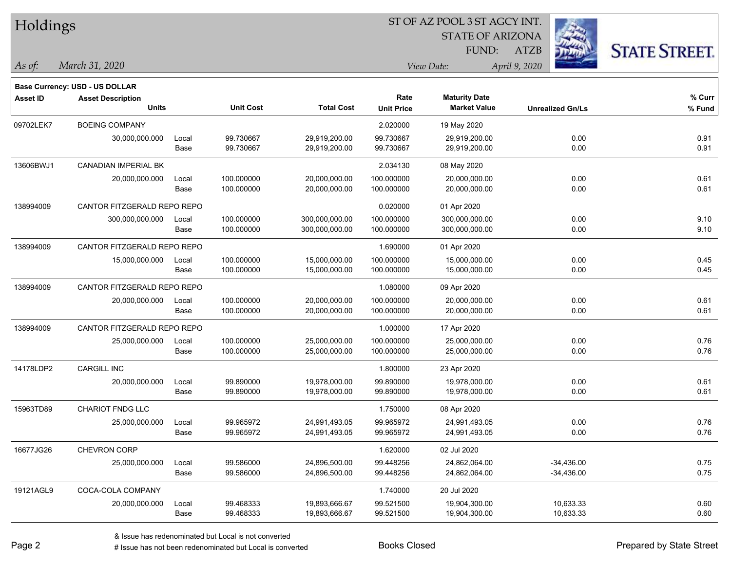| Holdings        |                                |       |                  |                   |                   | ST OF AZ POOL 3 ST AGCY INT. |                         |                      |
|-----------------|--------------------------------|-------|------------------|-------------------|-------------------|------------------------------|-------------------------|----------------------|
|                 |                                |       |                  |                   |                   | <b>STATE OF ARIZONA</b>      |                         |                      |
|                 |                                |       |                  |                   |                   | FUND:                        | <b>ATZB</b>             | <b>STATE STREET.</b> |
| As of:          | March 31, 2020                 |       |                  |                   |                   | View Date:                   | April 9, 2020           |                      |
|                 | Base Currency: USD - US DOLLAR |       |                  |                   |                   |                              |                         |                      |
| <b>Asset ID</b> | <b>Asset Description</b>       |       |                  |                   | Rate              | <b>Maturity Date</b>         |                         | % Curr               |
|                 | <b>Units</b>                   |       | <b>Unit Cost</b> | <b>Total Cost</b> | <b>Unit Price</b> | <b>Market Value</b>          | <b>Unrealized Gn/Ls</b> | % Fund               |
| 09702LEK7       | <b>BOEING COMPANY</b>          |       |                  |                   | 2.020000          | 19 May 2020                  |                         |                      |
|                 | 30,000,000.000                 | Local | 99.730667        | 29,919,200.00     | 99.730667         | 29,919,200.00                | 0.00                    | 0.91                 |
|                 |                                | Base  | 99.730667        | 29,919,200.00     | 99.730667         | 29,919,200.00                | 0.00                    | 0.91                 |
| 13606BWJ1       | <b>CANADIAN IMPERIAL BK</b>    |       |                  |                   | 2.034130          | 08 May 2020                  |                         |                      |
|                 | 20,000,000.000                 | Local | 100.000000       | 20,000,000.00     | 100.000000        | 20,000,000.00                | 0.00                    | 0.61                 |
|                 |                                | Base  | 100.000000       | 20,000,000.00     | 100.000000        | 20,000,000.00                | 0.00                    | 0.61                 |
| 138994009       | CANTOR FITZGERALD REPO REPO    |       |                  |                   | 0.020000          | 01 Apr 2020                  |                         |                      |
|                 | 300,000,000.000                | Local | 100.000000       | 300,000,000.00    | 100.000000        | 300,000,000.00               | 0.00                    | 9.10                 |
|                 |                                | Base  | 100.000000       | 300,000,000.00    | 100.000000        | 300,000,000.00               | 0.00                    | 9.10                 |
| 138994009       | CANTOR FITZGERALD REPO REPO    |       |                  |                   | 1.690000          | 01 Apr 2020                  |                         |                      |
|                 | 15,000,000.000                 | Local | 100.000000       | 15,000,000.00     | 100.000000        | 15,000,000.00                | 0.00                    | 0.45                 |
|                 |                                | Base  | 100.000000       | 15,000,000.00     | 100.000000        | 15,000,000.00                | 0.00                    | 0.45                 |
| 138994009       | CANTOR FITZGERALD REPO REPO    |       |                  |                   | 1.080000          | 09 Apr 2020                  |                         |                      |
|                 | 20,000,000.000                 | Local | 100.000000       | 20,000,000.00     | 100.000000        | 20,000,000.00                | 0.00                    | 0.61                 |
|                 |                                | Base  | 100.000000       | 20,000,000.00     | 100.000000        | 20,000,000.00                | 0.00                    | 0.61                 |
| 138994009       | CANTOR FITZGERALD REPO REPO    |       |                  |                   | 1.000000          | 17 Apr 2020                  |                         |                      |
|                 | 25,000,000.000                 | Local | 100.000000       | 25,000,000.00     | 100.000000        | 25,000,000.00                | 0.00                    | 0.76                 |
|                 |                                | Base  | 100.000000       | 25,000,000.00     | 100.000000        | 25,000,000.00                | 0.00                    | 0.76                 |
| 14178LDP2       | CARGILL INC                    |       |                  |                   | 1.800000          | 23 Apr 2020                  |                         |                      |
|                 | 20,000,000.000                 | Local | 99.890000        | 19,978,000.00     | 99.890000         | 19,978,000.00                | 0.00                    | 0.61                 |
|                 |                                | Base  | 99.890000        | 19,978,000.00     | 99.890000         | 19,978,000.00                | 0.00                    | 0.61                 |
| 15963TD89       | <b>CHARIOT FNDG LLC</b>        |       |                  |                   | 1.750000          | 08 Apr 2020                  |                         |                      |
|                 | 25,000,000.000                 | Local | 99.965972        | 24,991,493.05     | 99.965972         | 24,991,493.05                | 0.00                    | 0.76                 |
|                 |                                | Base  | 99.965972        | 24,991,493.05     | 99.965972         | 24,991,493.05                | 0.00                    | 0.76                 |
| 16677JG26       | CHEVRON CORP                   |       |                  |                   | 1.620000          | 02 Jul 2020                  |                         |                      |
|                 | 25,000,000.000                 | Local | 99.586000        | 24,896,500.00     | 99.448256         | 24,862,064.00                | $-34,436.00$            | 0.75                 |
|                 |                                | Base  | 99.586000        | 24,896,500.00     | 99.448256         | 24,862,064.00                | $-34,436.00$            | 0.75                 |
| 19121AGL9       | COCA-COLA COMPANY              |       |                  |                   | 1.740000          | 20 Jul 2020                  |                         |                      |
|                 | 20,000,000.000                 | Local | 99.468333        | 19,893,666.67     | 99.521500         | 19,904,300.00                | 10,633.33               | 0.60                 |
|                 |                                | Base  | 99.468333        | 19,893,666.67     | 99.521500         | 19,904,300.00                | 10,633.33               | 0.60                 |

 $\overline{\phantom{a}}$ 

 $\overline{\phantom{0}}$ 

 $\overline{\phantom{0}}$ 

 $\overline{\phantom{0}}$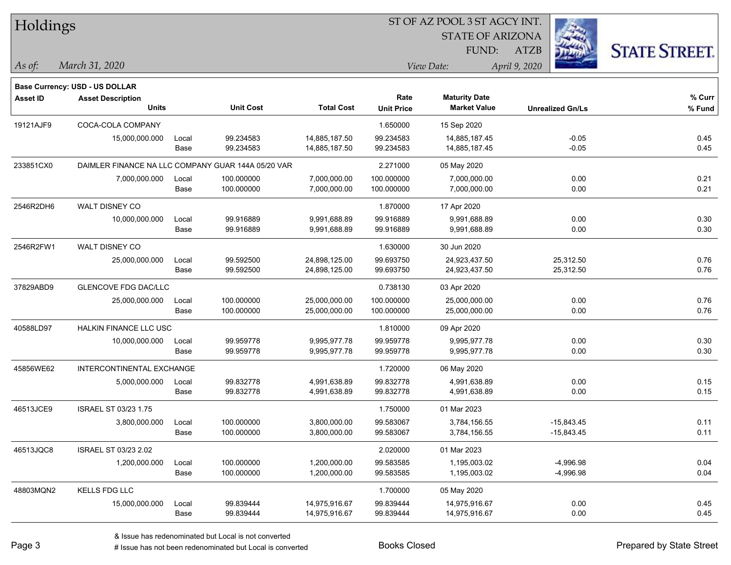| Holdings        |                                |       |                                                    |                   |                   | ST OF AZ POOL 3 ST AGCY INT. |                         |                      |
|-----------------|--------------------------------|-------|----------------------------------------------------|-------------------|-------------------|------------------------------|-------------------------|----------------------|
|                 |                                |       |                                                    |                   |                   | <b>STATE OF ARIZONA</b>      |                         |                      |
|                 |                                |       |                                                    |                   |                   | FUND:                        | <b>ATZB</b>             | <b>STATE STREET.</b> |
| As of:          | March 31, 2020                 |       |                                                    |                   |                   | View Date:                   | April 9, 2020           |                      |
|                 | Base Currency: USD - US DOLLAR |       |                                                    |                   |                   |                              |                         |                      |
| <b>Asset ID</b> | <b>Asset Description</b>       |       |                                                    |                   | Rate              | <b>Maturity Date</b>         |                         | % Curr               |
|                 | Units                          |       | <b>Unit Cost</b>                                   | <b>Total Cost</b> | <b>Unit Price</b> | <b>Market Value</b>          | <b>Unrealized Gn/Ls</b> | % Fund               |
| 19121AJF9       | COCA-COLA COMPANY              |       |                                                    |                   | 1.650000          | 15 Sep 2020                  |                         |                      |
|                 | 15,000,000.000                 | Local | 99.234583                                          | 14,885,187.50     | 99.234583         | 14,885,187.45                | $-0.05$                 | 0.45                 |
|                 |                                | Base  | 99.234583                                          | 14,885,187.50     | 99.234583         | 14,885,187.45                | $-0.05$                 | 0.45                 |
| 233851CX0       |                                |       | DAIMLER FINANCE NA LLC COMPANY GUAR 144A 05/20 VAR |                   | 2.271000          | 05 May 2020                  |                         |                      |
|                 | 7,000,000.000                  | Local | 100.000000                                         | 7,000,000.00      | 100.000000        | 7,000,000.00                 | 0.00                    | 0.21                 |
|                 |                                | Base  | 100.000000                                         | 7,000,000.00      | 100.000000        | 7,000,000.00                 | 0.00                    | 0.21                 |
| 2546R2DH6       | WALT DISNEY CO                 |       |                                                    |                   | 1.870000          | 17 Apr 2020                  |                         |                      |
|                 | 10,000,000.000                 | Local | 99.916889                                          | 9,991,688.89      | 99.916889         | 9,991,688.89                 | 0.00                    | 0.30                 |
|                 |                                | Base  | 99.916889                                          | 9,991,688.89      | 99.916889         | 9,991,688.89                 | 0.00                    | 0.30                 |
| 2546R2FW1       | <b>WALT DISNEY CO</b>          |       |                                                    |                   | 1.630000          | 30 Jun 2020                  |                         |                      |
|                 | 25,000,000.000                 | Local | 99.592500                                          | 24,898,125.00     | 99.693750         | 24,923,437.50                | 25,312.50               | 0.76                 |
|                 |                                | Base  | 99.592500                                          | 24,898,125.00     | 99.693750         | 24,923,437.50                | 25,312.50               | 0.76                 |
| 37829ABD9       | <b>GLENCOVE FDG DAC/LLC</b>    |       |                                                    |                   | 0.738130          | 03 Apr 2020                  |                         |                      |
|                 | 25,000,000.000                 | Local | 100.000000                                         | 25,000,000.00     | 100.000000        | 25,000,000.00                | 0.00                    | 0.76                 |
|                 |                                | Base  | 100.000000                                         | 25,000,000.00     | 100.000000        | 25,000,000.00                | 0.00                    | 0.76                 |
| 40588LD97       | <b>HALKIN FINANCE LLC USC</b>  |       |                                                    |                   | 1.810000          | 09 Apr 2020                  |                         |                      |
|                 | 10,000,000.000                 | Local | 99.959778                                          | 9,995,977.78      | 99.959778         | 9,995,977.78                 | 0.00                    | 0.30                 |
|                 |                                | Base  | 99.959778                                          | 9,995,977.78      | 99.959778         | 9,995,977.78                 | 0.00                    | 0.30                 |
| 45856WE62       | INTERCONTINENTAL EXCHANGE      |       |                                                    |                   | 1.720000          | 06 May 2020                  |                         |                      |
|                 | 5,000,000.000                  | Local | 99.832778                                          | 4,991,638.89      | 99.832778         | 4,991,638.89                 | 0.00                    | 0.15                 |
|                 |                                | Base  | 99.832778                                          | 4,991,638.89      | 99.832778         | 4,991,638.89                 | 0.00                    | 0.15                 |
| 46513JCE9       | <b>ISRAEL ST 03/23 1.75</b>    |       |                                                    |                   | 1.750000          | 01 Mar 2023                  |                         |                      |
|                 | 3,800,000.000                  | Local | 100.000000                                         | 3,800,000.00      | 99.583067         | 3,784,156.55                 | $-15,843.45$            | 0.11                 |
|                 |                                | Base  | 100.000000                                         | 3,800,000.00      | 99.583067         | 3,784,156.55                 | $-15,843.45$            | 0.11                 |
| 46513JQC8       | ISRAEL ST 03/23 2.02           |       |                                                    |                   | 2.020000          | 01 Mar 2023                  |                         |                      |
|                 | 1,200,000.000                  | Local | 100.000000                                         | 1,200,000.00      | 99.583585         | 1,195,003.02                 | $-4,996.98$             | 0.04                 |
|                 |                                | Base  | 100.000000                                         | 1,200,000.00      | 99.583585         | 1,195,003.02                 | $-4,996.98$             | 0.04                 |
| 48803MQN2       | KELLS FDG LLC                  |       |                                                    |                   | 1.700000          | 05 May 2020                  |                         |                      |
|                 | 15,000,000.000                 | Local | 99.839444                                          | 14,975,916.67     | 99.839444         | 14,975,916.67                | 0.00                    | 0.45                 |
|                 |                                | Base  | 99.839444                                          | 14,975,916.67     | 99.839444         | 14,975,916.67                | 0.00                    | 0.45                 |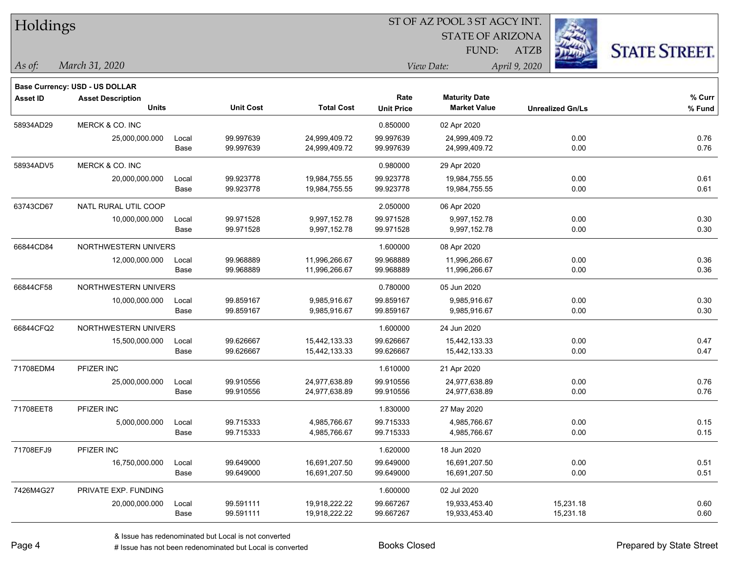| Holdings        |                                |       |                  | ST OF AZ POOL 3 ST AGCY INT. |                   |                         |                         |                      |  |  |  |
|-----------------|--------------------------------|-------|------------------|------------------------------|-------------------|-------------------------|-------------------------|----------------------|--|--|--|
|                 |                                |       |                  |                              |                   | <b>STATE OF ARIZONA</b> |                         |                      |  |  |  |
|                 |                                |       |                  |                              |                   | FUND:                   | <b>ATZB</b>             | <b>STATE STREET.</b> |  |  |  |
| As of:          | March 31, 2020                 |       |                  |                              |                   | View Date:              | April 9, 2020           |                      |  |  |  |
|                 | Base Currency: USD - US DOLLAR |       |                  |                              |                   |                         |                         |                      |  |  |  |
| <b>Asset ID</b> | <b>Asset Description</b>       |       |                  |                              | Rate              | <b>Maturity Date</b>    |                         | % Curr               |  |  |  |
|                 | <b>Units</b>                   |       | <b>Unit Cost</b> | <b>Total Cost</b>            | <b>Unit Price</b> | <b>Market Value</b>     | <b>Unrealized Gn/Ls</b> | % Fund               |  |  |  |
| 58934AD29       | MERCK & CO. INC                |       |                  |                              | 0.850000          | 02 Apr 2020             |                         |                      |  |  |  |
|                 | 25,000,000.000                 | Local | 99.997639        | 24,999,409.72                | 99.997639         | 24,999,409.72           | 0.00                    | 0.76                 |  |  |  |
|                 |                                | Base  | 99.997639        | 24,999,409.72                | 99.997639         | 24,999,409.72           | 0.00                    | 0.76                 |  |  |  |
| 58934ADV5       | MERCK & CO. INC                |       |                  |                              | 0.980000          | 29 Apr 2020             |                         |                      |  |  |  |
|                 | 20,000,000.000                 | Local | 99.923778        | 19,984,755.55                | 99.923778         | 19,984,755.55           | 0.00                    | 0.61                 |  |  |  |
|                 |                                | Base  | 99.923778        | 19,984,755.55                | 99.923778         | 19,984,755.55           | 0.00                    | 0.61                 |  |  |  |
| 63743CD67       | NATL RURAL UTIL COOP           |       |                  |                              | 2.050000          | 06 Apr 2020             |                         |                      |  |  |  |
|                 | 10,000,000.000                 | Local | 99.971528        | 9,997,152.78                 | 99.971528         | 9,997,152.78            | 0.00                    | 0.30                 |  |  |  |
|                 |                                | Base  | 99.971528        | 9,997,152.78                 | 99.971528         | 9,997,152.78            | 0.00                    | 0.30                 |  |  |  |
| 66844CD84       | NORTHWESTERN UNIVERS           |       |                  |                              | 1.600000          | 08 Apr 2020             |                         |                      |  |  |  |
|                 | 12,000,000.000                 | Local | 99.968889        | 11,996,266.67                | 99.968889         | 11,996,266.67           | 0.00                    | 0.36                 |  |  |  |
|                 |                                | Base  | 99.968889        | 11,996,266.67                | 99.968889         | 11,996,266.67           | 0.00                    | 0.36                 |  |  |  |
| 66844CF58       | NORTHWESTERN UNIVERS           |       |                  |                              | 0.780000          | 05 Jun 2020             |                         |                      |  |  |  |
|                 | 10,000,000.000                 | Local | 99.859167        | 9,985,916.67                 | 99.859167         | 9,985,916.67            | 0.00                    | 0.30                 |  |  |  |
|                 |                                | Base  | 99.859167        | 9,985,916.67                 | 99.859167         | 9,985,916.67            | 0.00                    | 0.30                 |  |  |  |
| 66844CFQ2       | NORTHWESTERN UNIVERS           |       |                  |                              | 1.600000          | 24 Jun 2020             |                         |                      |  |  |  |
|                 | 15,500,000.000                 | Local | 99.626667        | 15,442,133.33                | 99.626667         | 15,442,133.33           | 0.00                    | 0.47                 |  |  |  |
|                 |                                | Base  | 99.626667        | 15,442,133.33                | 99.626667         | 15,442,133.33           | 0.00                    | 0.47                 |  |  |  |
| 71708EDM4       | PFIZER INC                     |       |                  |                              | 1.610000          | 21 Apr 2020             |                         |                      |  |  |  |
|                 | 25,000,000.000                 | Local | 99.910556        | 24,977,638.89                | 99.910556         | 24,977,638.89           | 0.00                    | 0.76                 |  |  |  |
|                 |                                | Base  | 99.910556        | 24,977,638.89                | 99.910556         | 24,977,638.89           | 0.00                    | 0.76                 |  |  |  |
| 71708EET8       | PFIZER INC                     |       |                  |                              | 1.830000          | 27 May 2020             |                         |                      |  |  |  |
|                 | 5,000,000.000                  | Local | 99.715333        | 4,985,766.67                 | 99.715333         | 4,985,766.67            | 0.00                    | 0.15                 |  |  |  |
|                 |                                | Base  | 99.715333        | 4,985,766.67                 | 99.715333         | 4,985,766.67            | 0.00                    | 0.15                 |  |  |  |
| 71708EFJ9       | PFIZER INC                     |       |                  |                              | 1.620000          | 18 Jun 2020             |                         |                      |  |  |  |
|                 | 16,750,000.000                 | Local | 99.649000        | 16,691,207.50                | 99.649000         | 16,691,207.50           | 0.00                    | 0.51                 |  |  |  |
|                 |                                | Base  | 99.649000        | 16,691,207.50                | 99.649000         | 16,691,207.50           | 0.00                    | 0.51                 |  |  |  |
| 7426M4G27       | PRIVATE EXP. FUNDING           |       |                  |                              | 1.600000          | 02 Jul 2020             |                         |                      |  |  |  |
|                 | 20,000,000.000                 | Local | 99.591111        | 19,918,222.22                | 99.667267         | 19,933,453.40           | 15,231.18               | 0.60                 |  |  |  |

Base 99.591111 19,918,222.22 99.667267 19,933,453.40 15,231.18 0.60

# Issue has not been redenominated but Local is converted Books Closed Prepared by State Street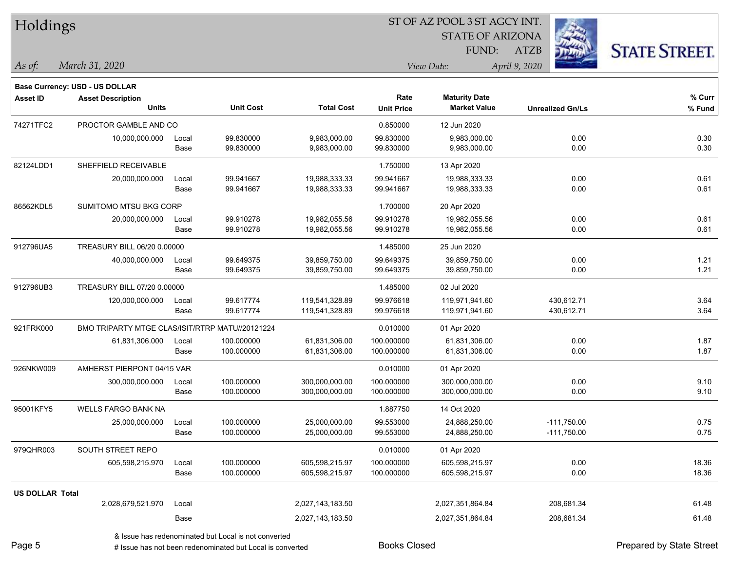| Holdings               |                                                 |       |                  |                   |                   | ST OF AZ POOL 3 ST AGCY INT. |                         |                      |
|------------------------|-------------------------------------------------|-------|------------------|-------------------|-------------------|------------------------------|-------------------------|----------------------|
|                        |                                                 |       |                  |                   |                   |                              |                         |                      |
|                        |                                                 |       |                  |                   |                   | FUND:                        | ATZB                    | <b>STATE STREET.</b> |
| As of:                 | March 31, 2020                                  |       |                  |                   |                   | View Date:                   | April 9, 2020           |                      |
|                        | <b>Base Currency: USD - US DOLLAR</b>           |       |                  |                   |                   |                              |                         |                      |
| <b>Asset ID</b>        | <b>Asset Description</b>                        |       |                  |                   | Rate              | <b>Maturity Date</b>         |                         | % Curr               |
|                        | <b>Units</b>                                    |       | <b>Unit Cost</b> | <b>Total Cost</b> | <b>Unit Price</b> | <b>Market Value</b>          | <b>Unrealized Gn/Ls</b> | % Fund               |
| 74271TFC2              | PROCTOR GAMBLE AND CO                           |       |                  |                   | 0.850000          | 12 Jun 2020                  |                         |                      |
|                        | 10,000,000.000                                  | Local | 99.830000        | 9,983,000.00      | 99.830000         | 9,983,000.00                 | 0.00                    | 0.30                 |
|                        |                                                 | Base  | 99.830000        | 9,983,000.00      | 99.830000         | 9,983,000.00                 | 0.00                    | 0.30                 |
| 82124LDD1              | SHEFFIELD RECEIVABLE                            |       |                  |                   | 1.750000          | 13 Apr 2020                  |                         |                      |
|                        | 20,000,000.000                                  | Local | 99.941667        | 19,988,333.33     | 99.941667         | 19,988,333.33                | 0.00                    | 0.61                 |
|                        |                                                 | Base  | 99.941667        | 19,988,333.33     | 99.941667         | 19,988,333.33                | 0.00                    | 0.61                 |
| 86562KDL5              | SUMITOMO MTSU BKG CORP                          |       |                  |                   | 1.700000          | 20 Apr 2020                  |                         |                      |
|                        | 20,000,000.000                                  | Local | 99.910278        | 19,982,055.56     | 99.910278         | 19,982,055.56                | 0.00                    | 0.61                 |
|                        |                                                 | Base  | 99.910278        | 19,982,055.56     | 99.910278         | 19,982,055.56                | 0.00                    | 0.61                 |
| 912796UA5              | TREASURY BILL 06/20 0.00000                     |       |                  |                   | 1.485000          | 25 Jun 2020                  |                         |                      |
|                        | 40,000,000.000                                  | Local | 99.649375        | 39,859,750.00     | 99.649375         | 39,859,750.00                | 0.00                    | 1.21                 |
|                        |                                                 | Base  | 99.649375        | 39,859,750.00     | 99.649375         | 39,859,750.00                | 0.00                    | 1.21                 |
| 912796UB3              | TREASURY BILL 07/20 0.00000                     |       |                  |                   | 1.485000          | 02 Jul 2020                  |                         |                      |
|                        | 120,000,000.000                                 | Local | 99.617774        | 119,541,328.89    | 99.976618         | 119,971,941.60               | 430,612.71              | 3.64                 |
|                        |                                                 | Base  | 99.617774        | 119,541,328.89    | 99.976618         | 119,971,941.60               | 430,612.71              | 3.64                 |
| 921FRK000              | BMO TRIPARTY MTGE CLAS/ISIT/RTRP MATU//20121224 |       |                  |                   | 0.010000          | 01 Apr 2020                  |                         |                      |
|                        | 61,831,306.000                                  | Local | 100.000000       | 61,831,306.00     | 100.000000        | 61,831,306.00                | 0.00                    | 1.87                 |
|                        |                                                 | Base  | 100.000000       | 61,831,306.00     | 100.000000        | 61,831,306.00                | 0.00                    | 1.87                 |
| 926NKW009              | AMHERST PIERPONT 04/15 VAR                      |       |                  |                   | 0.010000          | 01 Apr 2020                  |                         |                      |
|                        | 300,000,000.000                                 | Local | 100.000000       | 300,000,000.00    | 100.000000        | 300,000,000.00               | 0.00                    | 9.10                 |
|                        |                                                 | Base  | 100.000000       | 300,000,000.00    | 100.000000        | 300,000,000.00               | 0.00                    | 9.10                 |
| 95001KFY5              | WELLS FARGO BANK NA                             |       |                  |                   | 1.887750          | 14 Oct 2020                  |                         |                      |
|                        | 25,000,000.000                                  | Local | 100.000000       | 25,000,000.00     | 99.553000         | 24,888,250.00                | $-111,750.00$           | 0.75                 |
|                        |                                                 | Base  | 100.000000       | 25,000,000.00     | 99.553000         | 24,888,250.00                | $-111,750.00$           | 0.75                 |
| 979QHR003              | SOUTH STREET REPO                               |       |                  |                   | 0.010000          | 01 Apr 2020                  |                         |                      |
|                        | 605,598,215.970                                 | Local | 100.000000       | 605,598,215.97    | 100.000000        | 605,598,215.97               | 0.00                    | 18.36                |
|                        |                                                 | Base  | 100.000000       | 605,598,215.97    | 100.000000        | 605,598,215.97               | 0.00                    | 18.36                |
| <b>US DOLLAR Total</b> |                                                 |       |                  |                   |                   |                              |                         |                      |
|                        | 2,028,679,521.970                               | Local |                  | 2,027,143,183.50  |                   | 2,027,351,864.84             | 208,681.34              | 61.48                |
|                        |                                                 | Base  |                  | 2,027,143,183.50  |                   | 2,027,351,864.84             | 208,681.34              | 61.48                |
|                        |                                                 |       |                  |                   |                   |                              |                         |                      |

& Issue has redenominated but Local is not converted

Page 5

П

 $\overline{\phantom{0}}$ 

 $\overline{\phantom{0}}$ 

 $\overline{\phantom{0}}$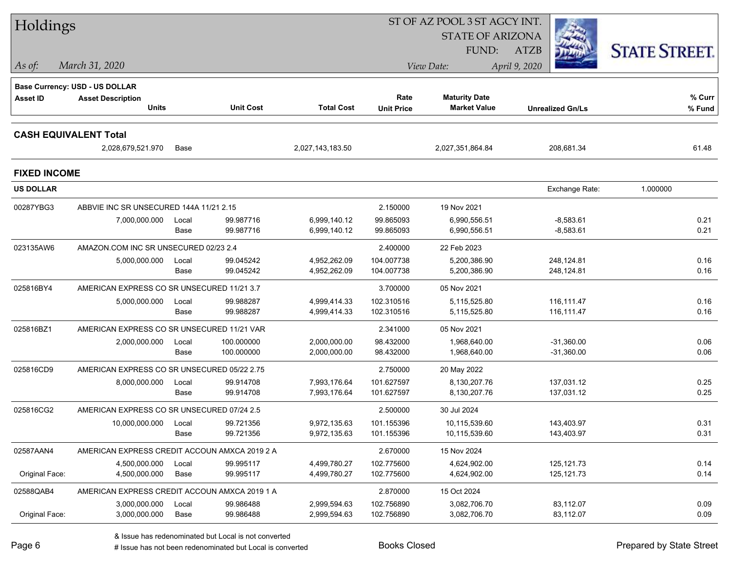| Holdings            |                                                            |       |                  |                   |                   | ST OF AZ POOL 3 ST AGCY INT. |                         |                      |
|---------------------|------------------------------------------------------------|-------|------------------|-------------------|-------------------|------------------------------|-------------------------|----------------------|
|                     |                                                            |       |                  |                   |                   | <b>STATE OF ARIZONA</b>      |                         |                      |
|                     |                                                            |       |                  |                   |                   | <b>FUND:</b>                 | <b>ATZB</b>             | <b>STATE STREET.</b> |
| As of:              | March 31, 2020                                             |       |                  |                   |                   | View Date:                   | April 9, 2020           |                      |
|                     |                                                            |       |                  |                   |                   |                              |                         |                      |
| <b>Asset ID</b>     | Base Currency: USD - US DOLLAR<br><b>Asset Description</b> |       |                  |                   | Rate              | <b>Maturity Date</b>         |                         | % Curr               |
|                     | <b>Units</b>                                               |       | <b>Unit Cost</b> | <b>Total Cost</b> | <b>Unit Price</b> | <b>Market Value</b>          | <b>Unrealized Gn/Ls</b> | % Fund               |
|                     |                                                            |       |                  |                   |                   |                              |                         |                      |
|                     | <b>CASH EQUIVALENT Total</b>                               |       |                  |                   |                   |                              |                         |                      |
|                     | 2,028,679,521.970                                          | Base  |                  | 2,027,143,183.50  |                   | 2,027,351,864.84             | 208,681.34              | 61.48                |
| <b>FIXED INCOME</b> |                                                            |       |                  |                   |                   |                              |                         |                      |
| <b>US DOLLAR</b>    |                                                            |       |                  |                   |                   |                              | Exchange Rate:          | 1.000000             |
| 00287YBG3           | ABBVIE INC SR UNSECURED 144A 11/21 2.15                    |       |                  |                   | 2.150000          | 19 Nov 2021                  |                         |                      |
|                     | 7,000,000.000                                              | Local | 99.987716        | 6,999,140.12      | 99.865093         | 6,990,556.51                 | $-8,583.61$             | 0.21                 |
|                     |                                                            | Base  | 99.987716        | 6,999,140.12      | 99.865093         | 6,990,556.51                 | $-8,583.61$             | 0.21                 |
| 023135AW6           | AMAZON.COM INC SR UNSECURED 02/23 2.4                      |       |                  |                   | 2.400000          | 22 Feb 2023                  |                         |                      |
|                     | 5,000,000.000                                              | Local | 99.045242        | 4,952,262.09      | 104.007738        | 5,200,386.90                 | 248,124.81              | 0.16                 |
|                     |                                                            | Base  | 99.045242        | 4,952,262.09      | 104.007738        | 5,200,386.90                 | 248,124.81              | 0.16                 |
| 025816BY4           | AMERICAN EXPRESS CO SR UNSECURED 11/21 3.7                 |       |                  |                   | 3.700000          | 05 Nov 2021                  |                         |                      |
|                     | 5,000,000.000                                              | Local | 99.988287        | 4,999,414.33      | 102.310516        | 5,115,525.80                 | 116,111.47              | 0.16                 |
|                     |                                                            | Base  | 99.988287        | 4,999,414.33      | 102.310516        | 5,115,525.80                 | 116,111.47              | 0.16                 |
| 025816BZ1           | AMERICAN EXPRESS CO SR UNSECURED 11/21 VAR                 |       |                  |                   | 2.341000          | 05 Nov 2021                  |                         |                      |
|                     | 2,000,000.000                                              | Local | 100.000000       | 2,000,000.00      | 98.432000         | 1,968,640.00                 | $-31,360.00$            | 0.06                 |
|                     |                                                            | Base  | 100.000000       | 2,000,000.00      | 98.432000         | 1,968,640.00                 | $-31,360.00$            | 0.06                 |
| 025816CD9           | AMERICAN EXPRESS CO SR UNSECURED 05/22 2.75                |       |                  |                   | 2.750000          | 20 May 2022                  |                         |                      |
|                     | 8,000,000.000                                              | Local | 99.914708        | 7,993,176.64      | 101.627597        | 8,130,207.76                 | 137,031.12              | 0.25                 |
|                     |                                                            | Base  | 99.914708        | 7,993,176.64      | 101.627597        | 8,130,207.76                 | 137,031.12              | 0.25                 |
| 025816CG2           | AMERICAN EXPRESS CO SR UNSECURED 07/24 2.5                 |       |                  |                   | 2.500000          | 30 Jul 2024                  |                         |                      |
|                     | 10,000,000.000                                             | Local | 99.721356        | 9,972,135.63      | 101.155396        | 10,115,539.60                | 143,403.97              | 0.31                 |
|                     |                                                            | Base  | 99.721356        | 9,972,135.63      | 101.155396        | 10,115,539.60                | 143,403.97              | 0.31                 |
| 02587AAN4           | AMERICAN EXPRESS CREDIT ACCOUN AMXCA 2019 2 A              |       |                  |                   | 2.670000          | 15 Nov 2024                  |                         |                      |
|                     | 4,500,000.000                                              | Local | 99.995117        | 4,499,780.27      | 102.775600        | 4,624,902.00                 | 125, 121.73             | 0.14                 |
| Original Face:      | 4,500,000.000                                              | Base  | 99.995117        | 4,499,780.27      | 102.775600        | 4,624,902.00                 | 125, 121. 73            | 0.14                 |
| 02588QAB4           | AMERICAN EXPRESS CREDIT ACCOUN AMXCA 2019 1 A              |       |                  |                   | 2.870000          | 15 Oct 2024                  |                         |                      |
|                     | 3,000,000.000                                              | Local | 99.986488        | 2,999,594.63      | 102.756890        | 3,082,706.70                 | 83,112.07               | 0.09                 |
| Original Face:      | 3,000,000.000                                              | Base  | 99.986488        | 2,999,594.63      | 102.756890        | 3,082,706.70                 | 83,112.07               | 0.09                 |

# Issue has not been redenominated but Local is converted Books Closed Prepared by State Street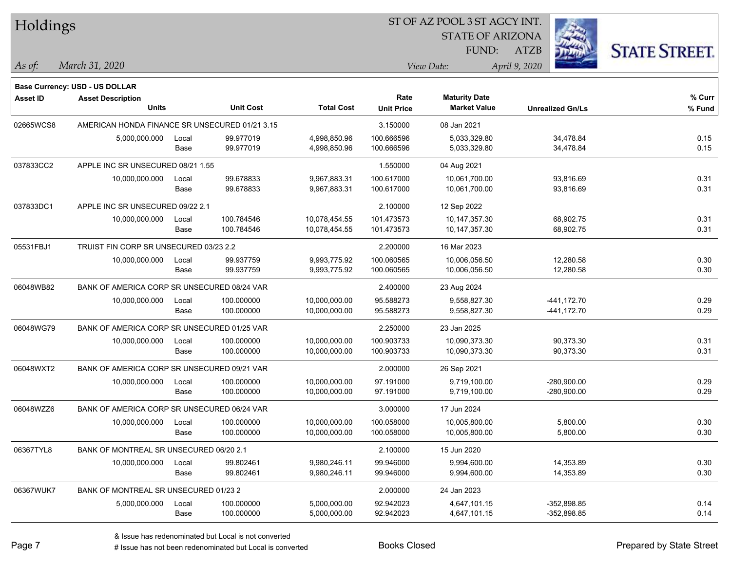| Holdings        |                                                |       |                  |                   | ST OF AZ POOL 3 ST AGCY INT. |                         |                         |                      |
|-----------------|------------------------------------------------|-------|------------------|-------------------|------------------------------|-------------------------|-------------------------|----------------------|
|                 |                                                |       |                  |                   |                              | <b>STATE OF ARIZONA</b> |                         |                      |
|                 |                                                |       |                  |                   |                              | FUND:                   | <b>ATZB</b>             | <b>STATE STREET.</b> |
| $ $ As of:      | March 31, 2020                                 |       |                  |                   |                              | View Date:              | April 9, 2020           |                      |
|                 | Base Currency: USD - US DOLLAR                 |       |                  |                   |                              |                         |                         |                      |
| <b>Asset ID</b> | <b>Asset Description</b>                       |       |                  |                   | Rate                         | <b>Maturity Date</b>    |                         | % Curr               |
|                 | <b>Units</b>                                   |       | <b>Unit Cost</b> | <b>Total Cost</b> | <b>Unit Price</b>            | <b>Market Value</b>     | <b>Unrealized Gn/Ls</b> | % Fund               |
| 02665WCS8       | AMERICAN HONDA FINANCE SR UNSECURED 01/21 3.15 |       |                  |                   | 3.150000                     | 08 Jan 2021             |                         |                      |
|                 | 5,000,000.000                                  | Local | 99.977019        | 4,998,850.96      | 100.666596                   | 5,033,329.80            | 34,478.84               | 0.15                 |
|                 |                                                | Base  | 99.977019        | 4,998,850.96      | 100.666596                   | 5,033,329.80            | 34,478.84               | 0.15                 |
| 037833CC2       | APPLE INC SR UNSECURED 08/21 1.55              |       |                  |                   | 1.550000                     | 04 Aug 2021             |                         |                      |
|                 | 10,000,000.000                                 | Local | 99.678833        | 9,967,883.31      | 100.617000                   | 10,061,700.00           | 93,816.69               | 0.31                 |
|                 |                                                | Base  | 99.678833        | 9,967,883.31      | 100.617000                   | 10,061,700.00           | 93,816.69               | 0.31                 |
| 037833DC1       | APPLE INC SR UNSECURED 09/22 2.1               |       |                  |                   | 2.100000                     | 12 Sep 2022             |                         |                      |
|                 | 10,000,000.000                                 | Local | 100.784546       | 10,078,454.55     | 101.473573                   | 10,147,357.30           | 68,902.75               | 0.31                 |
|                 |                                                | Base  | 100.784546       | 10,078,454.55     | 101.473573                   | 10,147,357.30           | 68,902.75               | 0.31                 |
| 05531FBJ1       | TRUIST FIN CORP SR UNSECURED 03/23 2.2         |       |                  |                   | 2.200000                     | 16 Mar 2023             |                         |                      |
|                 | 10,000,000.000                                 | Local | 99.937759        | 9,993,775.92      | 100.060565                   | 10,006,056.50           | 12,280.58               | 0.30                 |
|                 |                                                | Base  | 99.937759        | 9,993,775.92      | 100.060565                   | 10,006,056.50           | 12,280.58               | 0.30                 |
| 06048WB82       | BANK OF AMERICA CORP SR UNSECURED 08/24 VAR    |       |                  |                   | 2.400000                     | 23 Aug 2024             |                         |                      |
|                 | 10,000,000.000                                 | Local | 100.000000       | 10,000,000.00     | 95.588273                    | 9,558,827.30            | -441,172.70             | 0.29                 |
|                 |                                                | Base  | 100.000000       | 10,000,000.00     | 95.588273                    | 9,558,827.30            | -441,172.70             | 0.29                 |
| 06048WG79       | BANK OF AMERICA CORP SR UNSECURED 01/25 VAR    |       |                  |                   | 2.250000                     | 23 Jan 2025             |                         |                      |
|                 | 10,000,000.000                                 | Local | 100.000000       | 10,000,000.00     | 100.903733                   | 10,090,373.30           | 90,373.30               | 0.31                 |
|                 |                                                | Base  | 100.000000       | 10,000,000.00     | 100.903733                   | 10,090,373.30           | 90,373.30               | 0.31                 |
| 06048WXT2       | BANK OF AMERICA CORP SR UNSECURED 09/21 VAR    |       |                  |                   | 2.000000                     | 26 Sep 2021             |                         |                      |
|                 | 10,000,000.000                                 | Local | 100.000000       | 10,000,000.00     | 97.191000                    | 9,719,100.00            | $-280,900.00$           | 0.29                 |
|                 |                                                | Base  | 100.000000       | 10,000,000.00     | 97.191000                    | 9,719,100.00            | $-280,900.00$           | 0.29                 |
| 06048WZZ6       | BANK OF AMERICA CORP SR UNSECURED 06/24 VAR    |       |                  |                   | 3.000000                     | 17 Jun 2024             |                         |                      |
|                 | 10,000,000.000                                 | Local | 100.000000       | 10,000,000.00     | 100.058000                   | 10,005,800.00           | 5,800.00                | 0.30                 |
|                 |                                                | Base  | 100.000000       | 10,000,000.00     | 100.058000                   | 10,005,800.00           | 5,800.00                | 0.30                 |
| 06367TYL8       | BANK OF MONTREAL SR UNSECURED 06/20 2.1        |       |                  |                   | 2.100000                     | 15 Jun 2020             |                         |                      |
|                 | 10,000,000.000                                 | Local | 99.802461        | 9,980,246.11      | 99.946000                    | 9,994,600.00            | 14,353.89               | 0.30                 |
|                 |                                                | Base  | 99.802461        | 9,980,246.11      | 99.946000                    | 9,994,600.00            | 14,353.89               | 0.30                 |
| 06367WUK7       | BANK OF MONTREAL SR UNSECURED 01/23 2          |       |                  |                   | 2.000000                     | 24 Jan 2023             |                         |                      |
|                 | 5,000,000.000                                  | Local | 100.000000       | 5,000,000.00      | 92.942023                    | 4,647,101.15            | $-352,898.85$           | 0.14                 |
|                 |                                                | Base  | 100.000000       | 5,000,000.00      | 92.942023                    | 4,647,101.15            | $-352,898.85$           | 0.14                 |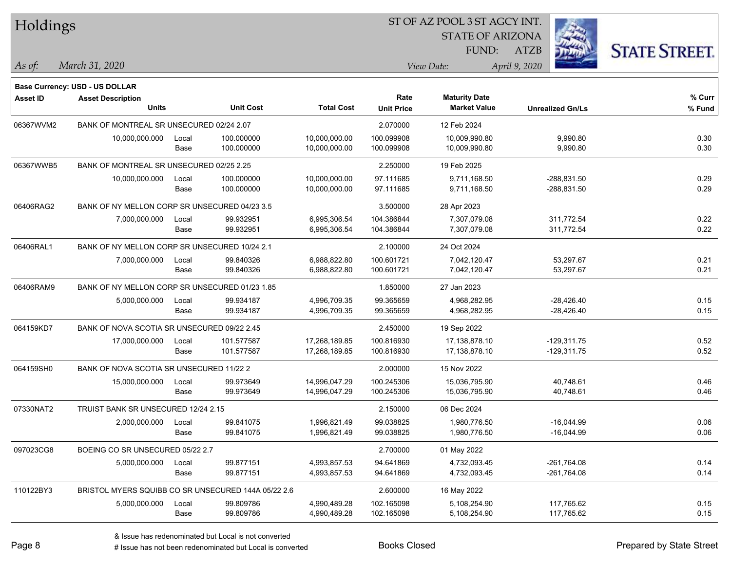| <b>STATE OF ARIZONA</b><br><b>STATE STREET.</b><br>FUND:<br><b>ATZB</b><br>March 31, 2020<br>View Date:<br>April 9, 2020<br>$\vert$ As of:<br><b>Base Currency: USD - US DOLLAR</b><br>Rate<br><b>Maturity Date</b><br>% Curr<br><b>Asset ID</b><br><b>Asset Description</b><br>Units<br><b>Unit Cost</b><br><b>Total Cost</b><br><b>Market Value</b><br><b>Unit Price</b><br>$%$ Fund<br><b>Unrealized Gn/Ls</b><br>BANK OF MONTREAL SR UNSECURED 02/24 2.07<br>06367WVM2<br>2.070000<br>12 Feb 2024<br>9,990.80<br>0.30<br>100.000000<br>10,000,000.00<br>100.099908<br>10,009,990.80<br>10,000,000.000<br>Local<br>0.30<br>100.000000<br>10,000,000.00<br>100.099908<br>10,009,990.80<br>9,990.80<br>Base<br>06367WWB5<br>BANK OF MONTREAL SR UNSECURED 02/25 2.25<br>2.250000<br>19 Feb 2025<br>0.29<br>10,000,000.000<br>100.000000<br>10,000,000.00<br>97.111685<br>9,711,168.50<br>-288,831.50<br>Local<br>0.29<br>100.000000<br>97.111685<br>9,711,168.50<br>$-288,831.50$<br>Base<br>10,000,000.00<br>BANK OF NY MELLON CORP SR UNSECURED 04/23 3.5<br>06406RAG2<br>3.500000<br>28 Apr 2023<br>104.386844<br>0.22<br>7,000,000.000<br>99.932951<br>6,995,306.54<br>7,307,079.08<br>311,772.54<br>Local<br>0.22<br>99.932951<br>6,995,306.54<br>104.386844<br>7,307,079.08<br>311,772.54<br>Base<br>06406RAL1<br>BANK OF NY MELLON CORP SR UNSECURED 10/24 2.1<br>2.100000<br>24 Oct 2024<br>0.21<br>99.840326<br>6,988,822.80<br>100.601721<br>7,042,120.47<br>53,297.67<br>7,000,000.000<br>Local<br>0.21<br>99.840326<br>6,988,822.80<br>100.601721<br>7,042,120.47<br>53,297.67<br>Base<br>06406RAM9<br>BANK OF NY MELLON CORP SR UNSECURED 01/23 1.85<br>1.850000<br>27 Jan 2023<br>0.15<br>5,000,000.000<br>99.934187<br>4,996,709.35<br>99.365659<br>4,968,282.95<br>$-28,426.40$<br>Local<br>0.15<br>99.934187<br>99.365659<br>4,968,282.95<br>Base<br>4,996,709.35<br>-28,426.40<br>BANK OF NOVA SCOTIA SR UNSECURED 09/22 2.45<br>064159KD7<br>2.450000<br>19 Sep 2022<br>0.52<br>17,000,000.000<br>101.577587<br>17,268,189.85<br>100.816930<br>$-129,311.75$<br>17,138,878.10<br>Local<br>0.52<br>101.577587<br>100.816930<br>17,138,878.10<br>$-129,311.75$<br>Base<br>17,268,189.85<br>064159SH0<br>BANK OF NOVA SCOTIA SR UNSECURED 11/22 2<br>2.000000<br>15 Nov 2022<br>100.245306<br>0.46<br>99.973649<br>14,996,047.29<br>15,036,795.90<br>40,748.61<br>15,000,000.000<br>Local<br>99.973649<br>100.245306<br>15,036,795.90<br>0.46<br>Base<br>14,996,047.29<br>40,748.61<br>07330NAT2<br>TRUIST BANK SR UNSECURED 12/24 2.15<br>2.150000<br>06 Dec 2024<br>2,000,000.000<br>99.841075<br>1,996,821.49<br>99.038825<br>1,980,776.50<br>$-16,044.99$<br>0.06<br>Local<br>0.06<br>Base<br>99.841075<br>1,996,821.49<br>99.038825<br>1,980,776.50<br>$-16,044.99$<br>097023CG8<br>2.700000<br>BOEING CO SR UNSECURED 05/22 2.7<br>01 May 2022 | Holdings  |  |  | ST OF AZ POOL 3 ST AGCY INT. |  |
|-----------------------------------------------------------------------------------------------------------------------------------------------------------------------------------------------------------------------------------------------------------------------------------------------------------------------------------------------------------------------------------------------------------------------------------------------------------------------------------------------------------------------------------------------------------------------------------------------------------------------------------------------------------------------------------------------------------------------------------------------------------------------------------------------------------------------------------------------------------------------------------------------------------------------------------------------------------------------------------------------------------------------------------------------------------------------------------------------------------------------------------------------------------------------------------------------------------------------------------------------------------------------------------------------------------------------------------------------------------------------------------------------------------------------------------------------------------------------------------------------------------------------------------------------------------------------------------------------------------------------------------------------------------------------------------------------------------------------------------------------------------------------------------------------------------------------------------------------------------------------------------------------------------------------------------------------------------------------------------------------------------------------------------------------------------------------------------------------------------------------------------------------------------------------------------------------------------------------------------------------------------------------------------------------------------------------------------------------------------------------------------------------------------------------------------------------------------------------------------------------------------------------------------------------------------------------------------------------------------------------------------------------------------------------------------------------------------------------------------------------------------------------------------------------------------------------------------------------------------------------|-----------|--|--|------------------------------|--|
|                                                                                                                                                                                                                                                                                                                                                                                                                                                                                                                                                                                                                                                                                                                                                                                                                                                                                                                                                                                                                                                                                                                                                                                                                                                                                                                                                                                                                                                                                                                                                                                                                                                                                                                                                                                                                                                                                                                                                                                                                                                                                                                                                                                                                                                                                                                                                                                                                                                                                                                                                                                                                                                                                                                                                                                                                                                                       |           |  |  |                              |  |
|                                                                                                                                                                                                                                                                                                                                                                                                                                                                                                                                                                                                                                                                                                                                                                                                                                                                                                                                                                                                                                                                                                                                                                                                                                                                                                                                                                                                                                                                                                                                                                                                                                                                                                                                                                                                                                                                                                                                                                                                                                                                                                                                                                                                                                                                                                                                                                                                                                                                                                                                                                                                                                                                                                                                                                                                                                                                       |           |  |  |                              |  |
|                                                                                                                                                                                                                                                                                                                                                                                                                                                                                                                                                                                                                                                                                                                                                                                                                                                                                                                                                                                                                                                                                                                                                                                                                                                                                                                                                                                                                                                                                                                                                                                                                                                                                                                                                                                                                                                                                                                                                                                                                                                                                                                                                                                                                                                                                                                                                                                                                                                                                                                                                                                                                                                                                                                                                                                                                                                                       |           |  |  |                              |  |
|                                                                                                                                                                                                                                                                                                                                                                                                                                                                                                                                                                                                                                                                                                                                                                                                                                                                                                                                                                                                                                                                                                                                                                                                                                                                                                                                                                                                                                                                                                                                                                                                                                                                                                                                                                                                                                                                                                                                                                                                                                                                                                                                                                                                                                                                                                                                                                                                                                                                                                                                                                                                                                                                                                                                                                                                                                                                       |           |  |  |                              |  |
|                                                                                                                                                                                                                                                                                                                                                                                                                                                                                                                                                                                                                                                                                                                                                                                                                                                                                                                                                                                                                                                                                                                                                                                                                                                                                                                                                                                                                                                                                                                                                                                                                                                                                                                                                                                                                                                                                                                                                                                                                                                                                                                                                                                                                                                                                                                                                                                                                                                                                                                                                                                                                                                                                                                                                                                                                                                                       |           |  |  |                              |  |
|                                                                                                                                                                                                                                                                                                                                                                                                                                                                                                                                                                                                                                                                                                                                                                                                                                                                                                                                                                                                                                                                                                                                                                                                                                                                                                                                                                                                                                                                                                                                                                                                                                                                                                                                                                                                                                                                                                                                                                                                                                                                                                                                                                                                                                                                                                                                                                                                                                                                                                                                                                                                                                                                                                                                                                                                                                                                       |           |  |  |                              |  |
|                                                                                                                                                                                                                                                                                                                                                                                                                                                                                                                                                                                                                                                                                                                                                                                                                                                                                                                                                                                                                                                                                                                                                                                                                                                                                                                                                                                                                                                                                                                                                                                                                                                                                                                                                                                                                                                                                                                                                                                                                                                                                                                                                                                                                                                                                                                                                                                                                                                                                                                                                                                                                                                                                                                                                                                                                                                                       |           |  |  |                              |  |
|                                                                                                                                                                                                                                                                                                                                                                                                                                                                                                                                                                                                                                                                                                                                                                                                                                                                                                                                                                                                                                                                                                                                                                                                                                                                                                                                                                                                                                                                                                                                                                                                                                                                                                                                                                                                                                                                                                                                                                                                                                                                                                                                                                                                                                                                                                                                                                                                                                                                                                                                                                                                                                                                                                                                                                                                                                                                       |           |  |  |                              |  |
|                                                                                                                                                                                                                                                                                                                                                                                                                                                                                                                                                                                                                                                                                                                                                                                                                                                                                                                                                                                                                                                                                                                                                                                                                                                                                                                                                                                                                                                                                                                                                                                                                                                                                                                                                                                                                                                                                                                                                                                                                                                                                                                                                                                                                                                                                                                                                                                                                                                                                                                                                                                                                                                                                                                                                                                                                                                                       |           |  |  |                              |  |
|                                                                                                                                                                                                                                                                                                                                                                                                                                                                                                                                                                                                                                                                                                                                                                                                                                                                                                                                                                                                                                                                                                                                                                                                                                                                                                                                                                                                                                                                                                                                                                                                                                                                                                                                                                                                                                                                                                                                                                                                                                                                                                                                                                                                                                                                                                                                                                                                                                                                                                                                                                                                                                                                                                                                                                                                                                                                       |           |  |  |                              |  |
|                                                                                                                                                                                                                                                                                                                                                                                                                                                                                                                                                                                                                                                                                                                                                                                                                                                                                                                                                                                                                                                                                                                                                                                                                                                                                                                                                                                                                                                                                                                                                                                                                                                                                                                                                                                                                                                                                                                                                                                                                                                                                                                                                                                                                                                                                                                                                                                                                                                                                                                                                                                                                                                                                                                                                                                                                                                                       |           |  |  |                              |  |
|                                                                                                                                                                                                                                                                                                                                                                                                                                                                                                                                                                                                                                                                                                                                                                                                                                                                                                                                                                                                                                                                                                                                                                                                                                                                                                                                                                                                                                                                                                                                                                                                                                                                                                                                                                                                                                                                                                                                                                                                                                                                                                                                                                                                                                                                                                                                                                                                                                                                                                                                                                                                                                                                                                                                                                                                                                                                       |           |  |  |                              |  |
|                                                                                                                                                                                                                                                                                                                                                                                                                                                                                                                                                                                                                                                                                                                                                                                                                                                                                                                                                                                                                                                                                                                                                                                                                                                                                                                                                                                                                                                                                                                                                                                                                                                                                                                                                                                                                                                                                                                                                                                                                                                                                                                                                                                                                                                                                                                                                                                                                                                                                                                                                                                                                                                                                                                                                                                                                                                                       |           |  |  |                              |  |
|                                                                                                                                                                                                                                                                                                                                                                                                                                                                                                                                                                                                                                                                                                                                                                                                                                                                                                                                                                                                                                                                                                                                                                                                                                                                                                                                                                                                                                                                                                                                                                                                                                                                                                                                                                                                                                                                                                                                                                                                                                                                                                                                                                                                                                                                                                                                                                                                                                                                                                                                                                                                                                                                                                                                                                                                                                                                       |           |  |  |                              |  |
|                                                                                                                                                                                                                                                                                                                                                                                                                                                                                                                                                                                                                                                                                                                                                                                                                                                                                                                                                                                                                                                                                                                                                                                                                                                                                                                                                                                                                                                                                                                                                                                                                                                                                                                                                                                                                                                                                                                                                                                                                                                                                                                                                                                                                                                                                                                                                                                                                                                                                                                                                                                                                                                                                                                                                                                                                                                                       |           |  |  |                              |  |
|                                                                                                                                                                                                                                                                                                                                                                                                                                                                                                                                                                                                                                                                                                                                                                                                                                                                                                                                                                                                                                                                                                                                                                                                                                                                                                                                                                                                                                                                                                                                                                                                                                                                                                                                                                                                                                                                                                                                                                                                                                                                                                                                                                                                                                                                                                                                                                                                                                                                                                                                                                                                                                                                                                                                                                                                                                                                       |           |  |  |                              |  |
|                                                                                                                                                                                                                                                                                                                                                                                                                                                                                                                                                                                                                                                                                                                                                                                                                                                                                                                                                                                                                                                                                                                                                                                                                                                                                                                                                                                                                                                                                                                                                                                                                                                                                                                                                                                                                                                                                                                                                                                                                                                                                                                                                                                                                                                                                                                                                                                                                                                                                                                                                                                                                                                                                                                                                                                                                                                                       |           |  |  |                              |  |
|                                                                                                                                                                                                                                                                                                                                                                                                                                                                                                                                                                                                                                                                                                                                                                                                                                                                                                                                                                                                                                                                                                                                                                                                                                                                                                                                                                                                                                                                                                                                                                                                                                                                                                                                                                                                                                                                                                                                                                                                                                                                                                                                                                                                                                                                                                                                                                                                                                                                                                                                                                                                                                                                                                                                                                                                                                                                       |           |  |  |                              |  |
|                                                                                                                                                                                                                                                                                                                                                                                                                                                                                                                                                                                                                                                                                                                                                                                                                                                                                                                                                                                                                                                                                                                                                                                                                                                                                                                                                                                                                                                                                                                                                                                                                                                                                                                                                                                                                                                                                                                                                                                                                                                                                                                                                                                                                                                                                                                                                                                                                                                                                                                                                                                                                                                                                                                                                                                                                                                                       |           |  |  |                              |  |
|                                                                                                                                                                                                                                                                                                                                                                                                                                                                                                                                                                                                                                                                                                                                                                                                                                                                                                                                                                                                                                                                                                                                                                                                                                                                                                                                                                                                                                                                                                                                                                                                                                                                                                                                                                                                                                                                                                                                                                                                                                                                                                                                                                                                                                                                                                                                                                                                                                                                                                                                                                                                                                                                                                                                                                                                                                                                       |           |  |  |                              |  |
|                                                                                                                                                                                                                                                                                                                                                                                                                                                                                                                                                                                                                                                                                                                                                                                                                                                                                                                                                                                                                                                                                                                                                                                                                                                                                                                                                                                                                                                                                                                                                                                                                                                                                                                                                                                                                                                                                                                                                                                                                                                                                                                                                                                                                                                                                                                                                                                                                                                                                                                                                                                                                                                                                                                                                                                                                                                                       |           |  |  |                              |  |
|                                                                                                                                                                                                                                                                                                                                                                                                                                                                                                                                                                                                                                                                                                                                                                                                                                                                                                                                                                                                                                                                                                                                                                                                                                                                                                                                                                                                                                                                                                                                                                                                                                                                                                                                                                                                                                                                                                                                                                                                                                                                                                                                                                                                                                                                                                                                                                                                                                                                                                                                                                                                                                                                                                                                                                                                                                                                       |           |  |  |                              |  |
|                                                                                                                                                                                                                                                                                                                                                                                                                                                                                                                                                                                                                                                                                                                                                                                                                                                                                                                                                                                                                                                                                                                                                                                                                                                                                                                                                                                                                                                                                                                                                                                                                                                                                                                                                                                                                                                                                                                                                                                                                                                                                                                                                                                                                                                                                                                                                                                                                                                                                                                                                                                                                                                                                                                                                                                                                                                                       |           |  |  |                              |  |
|                                                                                                                                                                                                                                                                                                                                                                                                                                                                                                                                                                                                                                                                                                                                                                                                                                                                                                                                                                                                                                                                                                                                                                                                                                                                                                                                                                                                                                                                                                                                                                                                                                                                                                                                                                                                                                                                                                                                                                                                                                                                                                                                                                                                                                                                                                                                                                                                                                                                                                                                                                                                                                                                                                                                                                                                                                                                       |           |  |  |                              |  |
|                                                                                                                                                                                                                                                                                                                                                                                                                                                                                                                                                                                                                                                                                                                                                                                                                                                                                                                                                                                                                                                                                                                                                                                                                                                                                                                                                                                                                                                                                                                                                                                                                                                                                                                                                                                                                                                                                                                                                                                                                                                                                                                                                                                                                                                                                                                                                                                                                                                                                                                                                                                                                                                                                                                                                                                                                                                                       |           |  |  |                              |  |
|                                                                                                                                                                                                                                                                                                                                                                                                                                                                                                                                                                                                                                                                                                                                                                                                                                                                                                                                                                                                                                                                                                                                                                                                                                                                                                                                                                                                                                                                                                                                                                                                                                                                                                                                                                                                                                                                                                                                                                                                                                                                                                                                                                                                                                                                                                                                                                                                                                                                                                                                                                                                                                                                                                                                                                                                                                                                       |           |  |  |                              |  |
|                                                                                                                                                                                                                                                                                                                                                                                                                                                                                                                                                                                                                                                                                                                                                                                                                                                                                                                                                                                                                                                                                                                                                                                                                                                                                                                                                                                                                                                                                                                                                                                                                                                                                                                                                                                                                                                                                                                                                                                                                                                                                                                                                                                                                                                                                                                                                                                                                                                                                                                                                                                                                                                                                                                                                                                                                                                                       |           |  |  |                              |  |
|                                                                                                                                                                                                                                                                                                                                                                                                                                                                                                                                                                                                                                                                                                                                                                                                                                                                                                                                                                                                                                                                                                                                                                                                                                                                                                                                                                                                                                                                                                                                                                                                                                                                                                                                                                                                                                                                                                                                                                                                                                                                                                                                                                                                                                                                                                                                                                                                                                                                                                                                                                                                                                                                                                                                                                                                                                                                       |           |  |  |                              |  |
|                                                                                                                                                                                                                                                                                                                                                                                                                                                                                                                                                                                                                                                                                                                                                                                                                                                                                                                                                                                                                                                                                                                                                                                                                                                                                                                                                                                                                                                                                                                                                                                                                                                                                                                                                                                                                                                                                                                                                                                                                                                                                                                                                                                                                                                                                                                                                                                                                                                                                                                                                                                                                                                                                                                                                                                                                                                                       |           |  |  |                              |  |
|                                                                                                                                                                                                                                                                                                                                                                                                                                                                                                                                                                                                                                                                                                                                                                                                                                                                                                                                                                                                                                                                                                                                                                                                                                                                                                                                                                                                                                                                                                                                                                                                                                                                                                                                                                                                                                                                                                                                                                                                                                                                                                                                                                                                                                                                                                                                                                                                                                                                                                                                                                                                                                                                                                                                                                                                                                                                       |           |  |  |                              |  |
|                                                                                                                                                                                                                                                                                                                                                                                                                                                                                                                                                                                                                                                                                                                                                                                                                                                                                                                                                                                                                                                                                                                                                                                                                                                                                                                                                                                                                                                                                                                                                                                                                                                                                                                                                                                                                                                                                                                                                                                                                                                                                                                                                                                                                                                                                                                                                                                                                                                                                                                                                                                                                                                                                                                                                                                                                                                                       |           |  |  |                              |  |
|                                                                                                                                                                                                                                                                                                                                                                                                                                                                                                                                                                                                                                                                                                                                                                                                                                                                                                                                                                                                                                                                                                                                                                                                                                                                                                                                                                                                                                                                                                                                                                                                                                                                                                                                                                                                                                                                                                                                                                                                                                                                                                                                                                                                                                                                                                                                                                                                                                                                                                                                                                                                                                                                                                                                                                                                                                                                       |           |  |  |                              |  |
| 99.877151<br>$-261,764.08$<br>0.14<br>5,000,000.000<br>4,993,857.53<br>94.641869<br>4,732,093.45<br>Local<br>0.14<br>Base<br>99.877151<br>94.641869<br>4,732,093.45<br>$-261,764.08$<br>4,993,857.53                                                                                                                                                                                                                                                                                                                                                                                                                                                                                                                                                                                                                                                                                                                                                                                                                                                                                                                                                                                                                                                                                                                                                                                                                                                                                                                                                                                                                                                                                                                                                                                                                                                                                                                                                                                                                                                                                                                                                                                                                                                                                                                                                                                                                                                                                                                                                                                                                                                                                                                                                                                                                                                                  |           |  |  |                              |  |
|                                                                                                                                                                                                                                                                                                                                                                                                                                                                                                                                                                                                                                                                                                                                                                                                                                                                                                                                                                                                                                                                                                                                                                                                                                                                                                                                                                                                                                                                                                                                                                                                                                                                                                                                                                                                                                                                                                                                                                                                                                                                                                                                                                                                                                                                                                                                                                                                                                                                                                                                                                                                                                                                                                                                                                                                                                                                       |           |  |  |                              |  |
| BRISTOL MYERS SQUIBB CO SR UNSECURED 144A 05/22 2.6<br>2.600000<br>16 May 2022                                                                                                                                                                                                                                                                                                                                                                                                                                                                                                                                                                                                                                                                                                                                                                                                                                                                                                                                                                                                                                                                                                                                                                                                                                                                                                                                                                                                                                                                                                                                                                                                                                                                                                                                                                                                                                                                                                                                                                                                                                                                                                                                                                                                                                                                                                                                                                                                                                                                                                                                                                                                                                                                                                                                                                                        | 110122BY3 |  |  |                              |  |
| 102.165098<br>117,765.62<br>0.15<br>5,000,000.000<br>99.809786<br>4,990,489.28<br>5,108,254.90<br>Local<br>99.809786<br>102.165098<br>117,765.62<br>0.15<br>Base<br>4,990,489.28<br>5,108,254.90                                                                                                                                                                                                                                                                                                                                                                                                                                                                                                                                                                                                                                                                                                                                                                                                                                                                                                                                                                                                                                                                                                                                                                                                                                                                                                                                                                                                                                                                                                                                                                                                                                                                                                                                                                                                                                                                                                                                                                                                                                                                                                                                                                                                                                                                                                                                                                                                                                                                                                                                                                                                                                                                      |           |  |  |                              |  |

denote the redenominated but Local is converted Books Closed Prepared by State Street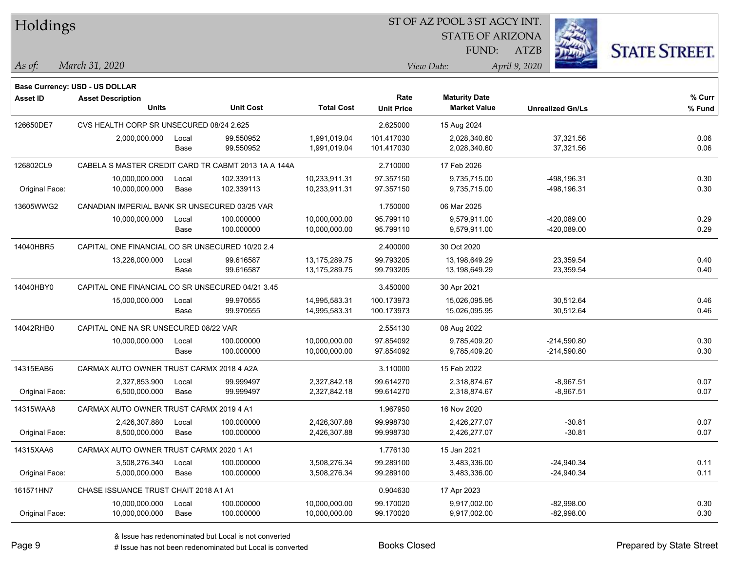| Holdings        |                                                  |       |                                                     |                   |                   | ST OF AZ POOL 3 ST AGCY INT. |                         |                      |
|-----------------|--------------------------------------------------|-------|-----------------------------------------------------|-------------------|-------------------|------------------------------|-------------------------|----------------------|
|                 |                                                  |       |                                                     |                   |                   | <b>STATE OF ARIZONA</b>      |                         |                      |
|                 |                                                  |       |                                                     |                   |                   | FUND:                        | <b>ATZB</b>             | <b>STATE STREET.</b> |
| As of:          | March 31, 2020                                   |       |                                                     |                   |                   | View Date:                   | April 9, 2020           |                      |
|                 | Base Currency: USD - US DOLLAR                   |       |                                                     |                   |                   |                              |                         |                      |
| <b>Asset ID</b> | <b>Asset Description</b>                         |       |                                                     |                   | Rate              | <b>Maturity Date</b>         |                         | % Curr               |
|                 | <b>Units</b>                                     |       | <b>Unit Cost</b>                                    | <b>Total Cost</b> | <b>Unit Price</b> | <b>Market Value</b>          | <b>Unrealized Gn/Ls</b> | % Fund               |
| 126650DE7       | CVS HEALTH CORP SR UNSECURED 08/24 2.625         |       |                                                     |                   | 2.625000          | 15 Aug 2024                  |                         |                      |
|                 | 2,000,000.000                                    | Local | 99.550952                                           | 1,991,019.04      | 101.417030        | 2,028,340.60                 | 37,321.56               | 0.06                 |
|                 |                                                  | Base  | 99.550952                                           | 1,991,019.04      | 101.417030        | 2,028,340.60                 | 37,321.56               | 0.06                 |
| 126802CL9       |                                                  |       | CABELA S MASTER CREDIT CARD TR CABMT 2013 1A A 144A |                   | 2.710000          | 17 Feb 2026                  |                         |                      |
|                 | 10,000,000.000                                   | Local | 102.339113                                          | 10,233,911.31     | 97.357150         | 9,735,715.00                 | -498,196.31             | 0.30                 |
| Original Face:  | 10,000,000.000                                   | Base  | 102.339113                                          | 10,233,911.31     | 97.357150         | 9,735,715.00                 | -498,196.31             | 0.30                 |
| 13605WWG2       | CANADIAN IMPERIAL BANK SR UNSECURED 03/25 VAR    |       |                                                     |                   | 1.750000          | 06 Mar 2025                  |                         |                      |
|                 | 10,000,000.000                                   | Local | 100.000000                                          | 10,000,000.00     | 95.799110         | 9,579,911.00                 | -420,089.00             | 0.29                 |
|                 |                                                  | Base  | 100.000000                                          | 10,000,000.00     | 95.799110         | 9,579,911.00                 | -420,089.00             | 0.29                 |
| 14040HBR5       | CAPITAL ONE FINANCIAL CO SR UNSECURED 10/20 2.4  |       |                                                     |                   | 2.400000          | 30 Oct 2020                  |                         |                      |
|                 | 13,226,000.000                                   | Local | 99.616587                                           | 13,175,289.75     | 99.793205         | 13,198,649.29                | 23,359.54               | 0.40                 |
|                 |                                                  | Base  | 99.616587                                           | 13,175,289.75     | 99.793205         | 13,198,649.29                | 23,359.54               | 0.40                 |
| 14040HBY0       | CAPITAL ONE FINANCIAL CO SR UNSECURED 04/21 3.45 |       |                                                     |                   | 3.450000          | 30 Apr 2021                  |                         |                      |
|                 | 15,000,000.000                                   | Local | 99.970555                                           | 14,995,583.31     | 100.173973        | 15,026,095.95                | 30,512.64               | 0.46                 |
|                 |                                                  | Base  | 99.970555                                           | 14,995,583.31     | 100.173973        | 15,026,095.95                | 30,512.64               | 0.46                 |
| 14042RHB0       | CAPITAL ONE NA SR UNSECURED 08/22 VAR            |       |                                                     |                   | 2.554130          | 08 Aug 2022                  |                         |                      |
|                 | 10,000,000.000                                   | Local | 100.000000                                          | 10,000,000.00     | 97.854092         | 9,785,409.20                 | $-214,590.80$           | 0.30                 |
|                 |                                                  | Base  | 100.000000                                          | 10,000,000.00     | 97.854092         | 9,785,409.20                 | $-214,590.80$           | 0.30                 |
| 14315EAB6       | CARMAX AUTO OWNER TRUST CARMX 2018 4 A2A         |       |                                                     |                   | 3.110000          | 15 Feb 2022                  |                         |                      |
|                 | 2,327,853.900                                    | Local | 99.999497                                           | 2,327,842.18      | 99.614270         | 2,318,874.67                 | $-8,967.51$             | 0.07                 |
| Original Face:  | 6,500,000.000                                    | Base  | 99.999497                                           | 2,327,842.18      | 99.614270         | 2,318,874.67                 | $-8,967.51$             | 0.07                 |
| 14315WAA8       | CARMAX AUTO OWNER TRUST CARMX 2019 4 A1          |       |                                                     |                   | 1.967950          | 16 Nov 2020                  |                         |                      |
|                 | 2,426,307.880                                    | Local | 100.000000                                          | 2.426.307.88      | 99.998730         | 2,426,277.07                 | $-30.81$                | 0.07                 |
| Original Face:  | 8,500,000.000                                    | Base  | 100.000000                                          | 2,426,307.88      | 99.998730         | 2,426,277.07                 | $-30.81$                | 0.07                 |
| 14315XAA6       | CARMAX AUTO OWNER TRUST CARMX 2020 1 A1          |       |                                                     |                   | 1.776130          | 15 Jan 2021                  |                         |                      |
|                 | 3,508,276.340                                    | Local | 100.000000                                          | 3,508,276.34      | 99.289100         | 3,483,336.00                 | $-24,940.34$            | 0.11                 |
| Original Face:  | 5,000,000.000                                    | Base  | 100.000000                                          | 3,508,276.34      | 99.289100         | 3,483,336.00                 | $-24,940.34$            | 0.11                 |
| 161571HN7       | CHASE ISSUANCE TRUST CHAIT 2018 A1 A1            |       |                                                     |                   | 0.904630          | 17 Apr 2023                  |                         |                      |
|                 | 10,000,000.000                                   | Local | 100.000000                                          | 10,000,000.00     | 99.170020         | 9,917,002.00                 | $-82,998.00$            | 0.30                 |
| Original Face:  | 10,000,000.000                                   | Base  | 100.000000                                          | 10,000,000.00     | 99.170020         | 9,917,002.00                 | $-82,998.00$            | 0.30                 |

 $\overline{\phantom{0}}$ 

 $\overline{\phantom{0}}$ 

 $\overline{\phantom{0}}$ 

 $\overline{\phantom{0}}$ 

 $\overline{\phantom{0}}$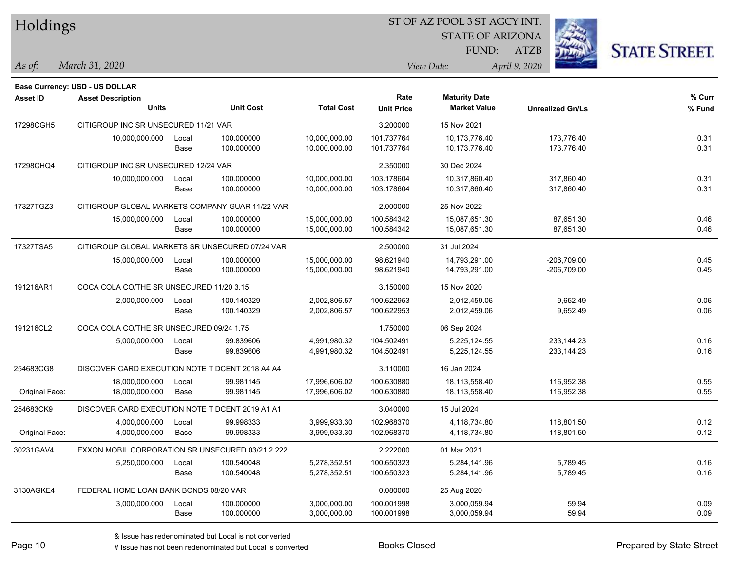| Holdings        |                                                  |       |                  |                   |                   | ST OF AZ POOL 3 ST AGCY INT. |                         |                      |
|-----------------|--------------------------------------------------|-------|------------------|-------------------|-------------------|------------------------------|-------------------------|----------------------|
|                 |                                                  |       |                  |                   |                   | <b>STATE OF ARIZONA</b>      |                         |                      |
|                 |                                                  |       |                  |                   |                   | FUND:                        | <b>ATZB</b>             | <b>STATE STREET.</b> |
| As of:          | March 31, 2020                                   |       |                  |                   |                   | View Date:                   | April 9, 2020           |                      |
|                 | <b>Base Currency: USD - US DOLLAR</b>            |       |                  |                   |                   |                              |                         |                      |
| <b>Asset ID</b> | <b>Asset Description</b>                         |       |                  |                   | Rate              | <b>Maturity Date</b>         |                         | % Curr               |
|                 | <b>Units</b>                                     |       | <b>Unit Cost</b> | <b>Total Cost</b> | <b>Unit Price</b> | <b>Market Value</b>          | <b>Unrealized Gn/Ls</b> | % Fund               |
| 17298CGH5       | CITIGROUP INC SR UNSECURED 11/21 VAR             |       |                  |                   | 3.200000          | 15 Nov 2021                  |                         |                      |
|                 | 10,000,000.000                                   | Local | 100.000000       | 10,000,000.00     | 101.737764        | 10,173,776.40                | 173,776.40              | 0.31                 |
|                 |                                                  | Base  | 100.000000       | 10,000,000.00     | 101.737764        | 10,173,776.40                | 173,776.40              | 0.31                 |
| 17298CHQ4       | CITIGROUP INC SR UNSECURED 12/24 VAR             |       |                  |                   | 2.350000          | 30 Dec 2024                  |                         |                      |
|                 | 10,000,000.000                                   | Local | 100.000000       | 10,000,000.00     | 103.178604        | 10,317,860.40                | 317,860.40              | 0.31                 |
|                 |                                                  | Base  | 100.000000       | 10,000,000.00     | 103.178604        | 10,317,860.40                | 317,860.40              | 0.31                 |
| 17327TGZ3       | CITIGROUP GLOBAL MARKETS COMPANY GUAR 11/22 VAR  |       |                  |                   | 2.000000          | 25 Nov 2022                  |                         |                      |
|                 | 15,000,000.000                                   | Local | 100.000000       | 15,000,000.00     | 100.584342        | 15,087,651.30                | 87,651.30               | 0.46                 |
|                 |                                                  | Base  | 100.000000       | 15,000,000.00     | 100.584342        | 15,087,651.30                | 87,651.30               | 0.46                 |
| 17327TSA5       | CITIGROUP GLOBAL MARKETS SR UNSECURED 07/24 VAR  |       |                  |                   | 2.500000          | 31 Jul 2024                  |                         |                      |
|                 | 15,000,000.000                                   | Local | 100.000000       | 15,000,000.00     | 98.621940         | 14,793,291.00                | $-206,709.00$           | 0.45                 |
|                 |                                                  | Base  | 100.000000       | 15,000,000.00     | 98.621940         | 14,793,291.00                | $-206,709.00$           | 0.45                 |
| 191216AR1       | COCA COLA CO/THE SR UNSECURED 11/20 3.15         |       |                  |                   | 3.150000          | 15 Nov 2020                  |                         |                      |
|                 | 2,000,000.000                                    | Local | 100.140329       | 2,002,806.57      | 100.622953        | 2,012,459.06                 | 9,652.49                | 0.06                 |
|                 |                                                  | Base  | 100.140329       | 2,002,806.57      | 100.622953        | 2,012,459.06                 | 9,652.49                | 0.06                 |
| 191216CL2       | COCA COLA CO/THE SR UNSECURED 09/24 1.75         |       |                  |                   | 1.750000          | 06 Sep 2024                  |                         |                      |
|                 | 5,000,000.000                                    | Local | 99.839606        | 4,991,980.32      | 104.502491        | 5,225,124.55                 | 233, 144. 23            | 0.16                 |
|                 |                                                  | Base  | 99.839606        | 4,991,980.32      | 104.502491        | 5,225,124.55                 | 233, 144. 23            | 0.16                 |
| 254683CG8       | DISCOVER CARD EXECUTION NOTE T DCENT 2018 A4 A4  |       |                  |                   | 3.110000          | 16 Jan 2024                  |                         |                      |
|                 | 18,000,000.000                                   | Local | 99.981145        | 17,996,606.02     | 100.630880        | 18,113,558.40                | 116,952.38              | 0.55                 |
| Original Face:  | 18,000,000.000                                   | Base  | 99.981145        | 17,996,606.02     | 100.630880        | 18,113,558.40                | 116,952.38              | 0.55                 |
| 254683CK9       | DISCOVER CARD EXECUTION NOTE T DCENT 2019 A1 A1  |       |                  |                   | 3.040000          | 15 Jul 2024                  |                         |                      |
|                 | 4,000,000.000                                    | Local | 99.998333        | 3,999,933.30      | 102.968370        | 4,118,734.80                 | 118,801.50              | 0.12                 |
| Original Face:  | 4,000,000.000                                    | Base  | 99.998333        | 3,999,933.30      | 102.968370        | 4,118,734.80                 | 118,801.50              | 0.12                 |
| 30231GAV4       | EXXON MOBIL CORPORATION SR UNSECURED 03/21 2.222 |       |                  |                   | 2.222000          | 01 Mar 2021                  |                         |                      |
|                 | 5,250,000.000                                    | Local | 100.540048       | 5,278,352.51      | 100.650323        | 5,284,141.96                 | 5,789.45                | 0.16                 |
|                 |                                                  | Base  | 100.540048       | 5,278,352.51      | 100.650323        | 5,284,141.96                 | 5,789.45                | 0.16                 |
| 3130AGKE4       | FEDERAL HOME LOAN BANK BONDS 08/20 VAR           |       |                  |                   | 0.080000          | 25 Aug 2020                  |                         |                      |
|                 | 3,000,000.000                                    | Local | 100.000000       | 3,000,000.00      | 100.001998        | 3,000,059.94                 | 59.94                   | 0.09                 |
|                 |                                                  | Base  | 100.000000       | 3,000,000.00      | 100.001998        | 3,000,059.94                 | 59.94                   | 0.09                 |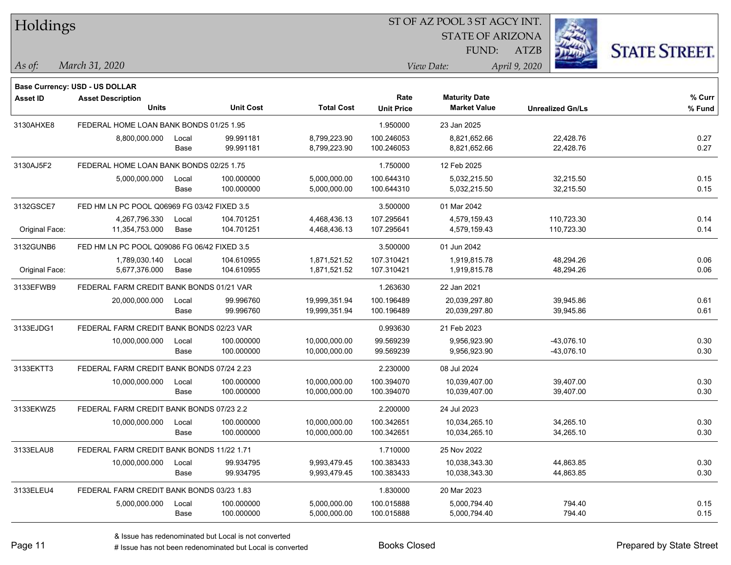| Holdings |
|----------|
|----------|

**Maturity Date**

STATE OF ARIZONA FUND:



**% Fund**

**% Curr**

*March 31, 2020 As of: View Date: April 9, 2020*

**Base Currency: USD - US DOLLAR**

ATZB

| 3130AHXE8      | FEDERAL HOME LOAN BANK BONDS 01/25 1.95     |               |                        |                              | 1.950000                 | 23 Jan 2025                  |                        |              |
|----------------|---------------------------------------------|---------------|------------------------|------------------------------|--------------------------|------------------------------|------------------------|--------------|
|                | 8,800,000.000                               | Local<br>Base | 99.991181<br>99.991181 | 8,799,223.90<br>8,799,223.90 | 100.246053<br>100.246053 | 8,821,652.66<br>8,821,652.66 | 22,428.76<br>22,428.76 | 0.27<br>0.27 |
| 3130AJ5F2      | FEDERAL HOME LOAN BANK BONDS 02/25 1.75     |               |                        |                              | 1.750000                 | 12 Feb 2025                  |                        |              |
|                | 5,000,000.000                               | Local         | 100.000000             | 5,000,000.00                 | 100.644310               | 5,032,215.50                 | 32,215.50              | 0.15         |
|                |                                             | Base          | 100.000000             | 5,000,000.00                 | 100.644310               | 5,032,215.50                 | 32,215.50              | 0.15         |
| 3132GSCE7      | FED HM LN PC POOL Q06969 FG 03/42 FIXED 3.5 |               |                        |                              | 3.500000                 | 01 Mar 2042                  |                        |              |
|                | 4,267,796.330                               | Local         | 104.701251             | 4,468,436.13                 | 107.295641               | 4,579,159.43                 | 110,723.30             | 0.14         |
| Original Face: | 11,354,753.000                              | Base          | 104.701251             | 4,468,436.13                 | 107.295641               | 4,579,159.43                 | 110,723.30             | 0.14         |
| 3132GUNB6      | FED HM LN PC POOL Q09086 FG 06/42 FIXED 3.5 |               |                        |                              | 3.500000                 | 01 Jun 2042                  |                        |              |
|                | 1,789,030.140                               | Local         | 104.610955             | 1,871,521.52                 | 107.310421               | 1,919,815.78                 | 48,294.26              | 0.06         |
| Original Face: | 5,677,376.000                               | Base          | 104.610955             | 1,871,521.52                 | 107.310421               | 1,919,815.78                 | 48,294.26              | 0.06         |
| 3133EFWB9      | FEDERAL FARM CREDIT BANK BONDS 01/21 VAR    |               |                        |                              | 1.263630                 | 22 Jan 2021                  |                        |              |
|                | 20,000,000.000                              | Local         | 99.996760              | 19,999,351.94                | 100.196489               | 20,039,297.80                | 39,945.86              | 0.61         |
|                |                                             | Base          | 99.996760              | 19,999,351.94                | 100.196489               | 20,039,297.80                | 39,945.86              | 0.61         |
| 3133EJDG1      | FEDERAL FARM CREDIT BANK BONDS 02/23 VAR    |               |                        |                              | 0.993630                 | 21 Feb 2023                  |                        |              |
|                | 10,000,000.000                              | Local         | 100.000000             | 10,000,000.00                | 99.569239                | 9,956,923.90                 | $-43,076.10$           | 0.30         |
|                |                                             | Base          | 100.000000             | 10,000,000.00                | 99.569239                | 9,956,923.90                 | $-43,076.10$           | 0.30         |
| 3133EKTT3      | FEDERAL FARM CREDIT BANK BONDS 07/24 2.23   |               |                        |                              | 2.230000                 | 08 Jul 2024                  |                        |              |
|                | 10,000,000.000                              | Local         | 100.000000             | 10,000,000.00                | 100.394070               | 10,039,407.00                | 39,407.00              | 0.30         |
|                |                                             | Base          | 100.000000             | 10,000,000.00                | 100.394070               | 10,039,407.00                | 39,407.00              | 0.30         |
| 3133EKWZ5      | FEDERAL FARM CREDIT BANK BONDS 07/23 2.2    |               |                        |                              | 2.200000                 | 24 Jul 2023                  |                        |              |
|                | 10,000,000.000                              | Local         | 100.000000             | 10,000,000.00                | 100.342651               | 10,034,265.10                | 34,265.10              | 0.30         |
|                |                                             | Base          | 100.000000             | 10,000,000.00                | 100.342651               | 10,034,265.10                | 34,265.10              | 0.30         |
| 3133ELAU8      | FEDERAL FARM CREDIT BANK BONDS 11/22 1.71   |               |                        |                              | 1.710000                 | 25 Nov 2022                  |                        |              |
|                | 10,000,000.000                              | Local         | 99.934795              | 9,993,479.45                 | 100.383433               | 10,038,343.30                | 44,863.85              | 0.30         |
|                |                                             | Base          | 99.934795              | 9,993,479.45                 | 100.383433               | 10,038,343.30                | 44,863.85              | 0.30         |
| 3133ELEU4      | FEDERAL FARM CREDIT BANK BONDS 03/23 1.83   |               |                        |                              | 1.830000                 | 20 Mar 2023                  |                        |              |

**Units Unit Cost Total Cost Unit Price Market Value Unrealized Gn/Ls**

**Asset ID Asset Description Rate**

5,000,000.000 Local 100.000000 5,000,000.00 100.015888 5,000,794.40 794.40 0.15

Base 100.000000 5,000,000.00 100.015888 5,000,794.40 794.40 0.15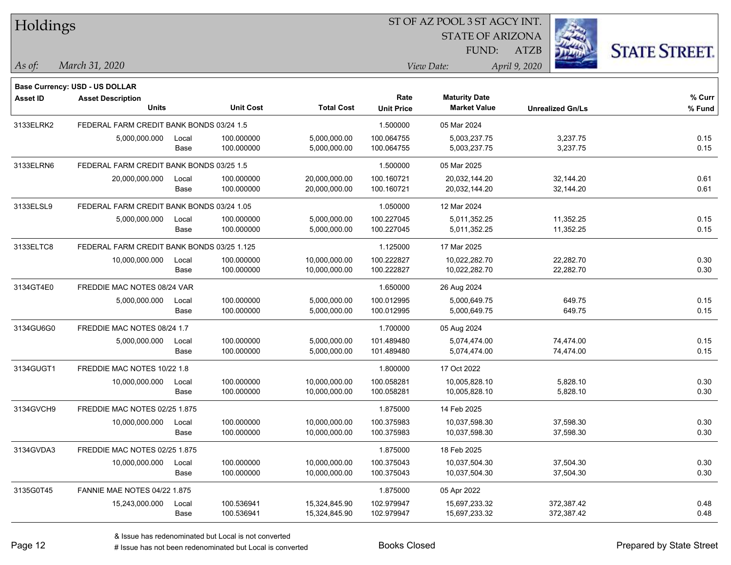| Holdings        |                                            |       |                  |                   | ST OF AZ POOL 3 ST AGCY INT. |                         |                         |                      |  |  |
|-----------------|--------------------------------------------|-------|------------------|-------------------|------------------------------|-------------------------|-------------------------|----------------------|--|--|
|                 |                                            |       |                  |                   |                              | <b>STATE OF ARIZONA</b> |                         |                      |  |  |
|                 |                                            |       |                  |                   |                              | FUND:                   | <b>ATZB</b>             | <b>STATE STREET.</b> |  |  |
| As of:          | March 31, 2020                             |       |                  |                   |                              | View Date:              | April 9, 2020           |                      |  |  |
|                 | <b>Base Currency: USD - US DOLLAR</b>      |       |                  |                   |                              |                         |                         |                      |  |  |
| <b>Asset ID</b> | <b>Asset Description</b>                   |       |                  |                   | Rate                         | <b>Maturity Date</b>    |                         | % Curr               |  |  |
|                 | <b>Units</b>                               |       | <b>Unit Cost</b> | <b>Total Cost</b> | <b>Unit Price</b>            | <b>Market Value</b>     | <b>Unrealized Gn/Ls</b> | % Fund               |  |  |
| 3133ELRK2       | FEDERAL FARM CREDIT BANK BONDS 03/24 1.5   |       |                  |                   | 1.500000                     | 05 Mar 2024             |                         |                      |  |  |
|                 | 5,000,000.000                              | Local | 100.000000       | 5,000,000.00      | 100.064755                   | 5,003,237.75            | 3,237.75                | 0.15                 |  |  |
|                 |                                            | Base  | 100.000000       | 5,000,000.00      | 100.064755                   | 5,003,237.75            | 3,237.75                | 0.15                 |  |  |
| 3133ELRN6       | FEDERAL FARM CREDIT BANK BONDS 03/25 1.5   |       |                  |                   | 1.500000                     | 05 Mar 2025             |                         |                      |  |  |
|                 | 20,000,000.000                             | Local | 100.000000       | 20,000,000.00     | 100.160721                   | 20,032,144.20           | 32,144.20               | 0.61                 |  |  |
|                 |                                            | Base  | 100.000000       | 20,000,000.00     | 100.160721                   | 20,032,144.20           | 32,144.20               | 0.61                 |  |  |
| 3133ELSL9       | FEDERAL FARM CREDIT BANK BONDS 03/24 1.05  |       |                  |                   | 1.050000                     | 12 Mar 2024             |                         |                      |  |  |
|                 | 5,000,000.000                              | Local | 100.000000       | 5,000,000.00      | 100.227045                   | 5,011,352.25            | 11,352.25               | 0.15                 |  |  |
|                 |                                            | Base  | 100.000000       | 5,000,000.00      | 100.227045                   | 5,011,352.25            | 11,352.25               | 0.15                 |  |  |
| 3133ELTC8       | FEDERAL FARM CREDIT BANK BONDS 03/25 1.125 |       |                  |                   | 1.125000                     | 17 Mar 2025             |                         |                      |  |  |
|                 | 10,000,000.000                             | Local | 100.000000       | 10,000,000.00     | 100.222827                   | 10,022,282.70           | 22,282.70               | 0.30                 |  |  |
|                 |                                            | Base  | 100.000000       | 10,000,000.00     | 100.222827                   | 10,022,282.70           | 22,282.70               | 0.30                 |  |  |
| 3134GT4E0       | FREDDIE MAC NOTES 08/24 VAR                |       |                  |                   | 1.650000                     | 26 Aug 2024             |                         |                      |  |  |
|                 | 5,000,000.000                              | Local | 100.000000       | 5,000,000.00      | 100.012995                   | 5,000,649.75            | 649.75                  | 0.15                 |  |  |
|                 |                                            | Base  | 100.000000       | 5,000,000.00      | 100.012995                   | 5,000,649.75            | 649.75                  | 0.15                 |  |  |
| 3134GU6G0       | FREDDIE MAC NOTES 08/24 1.7                |       |                  |                   | 1.700000                     | 05 Aug 2024             |                         |                      |  |  |
|                 | 5,000,000.000                              | Local | 100.000000       | 5,000,000.00      | 101.489480                   | 5,074,474.00            | 74,474.00               | 0.15                 |  |  |
|                 |                                            | Base  | 100.000000       | 5,000,000.00      | 101.489480                   | 5,074,474.00            | 74,474.00               | 0.15                 |  |  |
| 3134GUGT1       | FREDDIE MAC NOTES 10/22 1.8                |       |                  |                   | 1.800000                     | 17 Oct 2022             |                         |                      |  |  |
|                 | 10,000,000.000                             | Local | 100.000000       | 10,000,000.00     | 100.058281                   | 10,005,828.10           | 5,828.10                | 0.30                 |  |  |
|                 |                                            | Base  | 100.000000       | 10,000,000.00     | 100.058281                   | 10,005,828.10           | 5,828.10                | 0.30                 |  |  |
| 3134GVCH9       | FREDDIE MAC NOTES 02/25 1.875              |       |                  |                   | 1.875000                     | 14 Feb 2025             |                         |                      |  |  |
|                 | 10,000,000.000 Local                       |       | 100.000000       | 10,000,000.00     | 100.375983                   | 10,037,598.30           | 37,598.30               | 0.30                 |  |  |
|                 |                                            | Base  | 100.000000       | 10,000,000.00     | 100.375983                   | 10,037,598.30           | 37,598.30               | 0.30                 |  |  |
| 3134GVDA3       | FREDDIE MAC NOTES 02/25 1.875              |       |                  |                   | 1.875000                     | 18 Feb 2025             |                         |                      |  |  |
|                 | 10,000,000.000                             | Local | 100.000000       | 10,000,000.00     | 100.375043                   | 10,037,504.30           | 37,504.30               | 0.30                 |  |  |
|                 |                                            | Base  | 100.000000       | 10,000,000.00     | 100.375043                   | 10,037,504.30           | 37,504.30               | 0.30                 |  |  |
| 3135G0T45       | FANNIE MAE NOTES 04/22 1.875               |       |                  |                   | 1.875000                     | 05 Apr 2022             |                         |                      |  |  |
|                 | 15,243,000.000                             | Local | 100.536941       | 15,324,845.90     | 102.979947                   | 15,697,233.32           | 372,387.42              | 0.48                 |  |  |
|                 |                                            | Base  | 100.536941       | 15,324,845.90     | 102.979947                   | 15,697,233.32           | 372,387.42              | 0.48                 |  |  |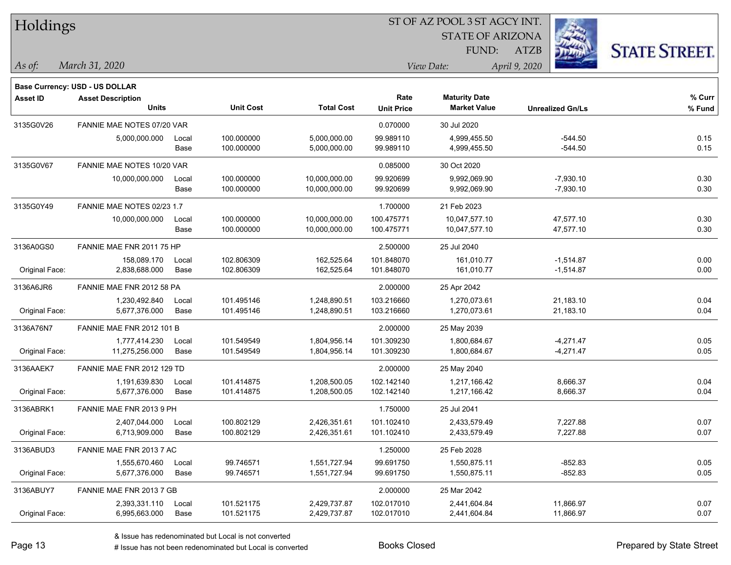|  | <b>Holdings</b> |
|--|-----------------|
|  |                 |

STATE OF ARIZONA FUND:



*March 31, 2020 As of: View Date: April 9, 2020*

**Base Currency: USD - US DOLLAR**

ATZB

| Asset ID       | <b>Asset Description</b>         |       |                  |                   | Rate              | <b>Maturity Date</b> |                         | % Curr |
|----------------|----------------------------------|-------|------------------|-------------------|-------------------|----------------------|-------------------------|--------|
|                | <b>Units</b>                     |       | <b>Unit Cost</b> | <b>Total Cost</b> | <b>Unit Price</b> | <b>Market Value</b>  | <b>Unrealized Gn/Ls</b> | % Fund |
| 3135G0V26      | FANNIE MAE NOTES 07/20 VAR       |       |                  |                   | 0.070000          | 30 Jul 2020          |                         |        |
|                | 5,000,000.000                    | Local | 100.000000       | 5,000,000.00      | 99.989110         | 4,999,455.50         | $-544.50$               | 0.15   |
|                |                                  | Base  | 100.000000       | 5,000,000.00      | 99.989110         | 4,999,455.50         | $-544.50$               | 0.15   |
| 3135G0V67      | FANNIE MAE NOTES 10/20 VAR       |       |                  |                   | 0.085000          | 30 Oct 2020          |                         |        |
|                | 10,000,000.000                   | Local | 100.000000       | 10,000,000.00     | 99.920699         | 9,992,069.90         | $-7,930.10$             | 0.30   |
|                |                                  | Base  | 100.000000       | 10,000,000.00     | 99.920699         | 9,992,069.90         | $-7,930.10$             | 0.30   |
| 3135G0Y49      | FANNIE MAE NOTES 02/23 1.7       |       |                  |                   | 1.700000          | 21 Feb 2023          |                         |        |
|                | 10,000,000.000                   | Local | 100.000000       | 10,000,000.00     | 100.475771        | 10,047,577.10        | 47,577.10               | 0.30   |
|                |                                  | Base  | 100.000000       | 10,000,000.00     | 100.475771        | 10,047,577.10        | 47,577.10               | 0.30   |
| 3136A0GS0      | FANNIE MAE FNR 2011 75 HP        |       |                  |                   | 2.500000          | 25 Jul 2040          |                         |        |
|                | 158,089.170                      | Local | 102.806309       | 162,525.64        | 101.848070        | 161,010.77           | $-1,514.87$             | 0.00   |
| Original Face: | 2,838,688.000                    | Base  | 102.806309       | 162,525.64        | 101.848070        | 161,010.77           | $-1,514.87$             | 0.00   |
| 3136A6JR6      | FANNIE MAE FNR 2012 58 PA        |       |                  |                   | 2.000000          | 25 Apr 2042          |                         |        |
|                | 1,230,492.840                    | Local | 101.495146       | 1,248,890.51      | 103.216660        | 1.270.073.61         | 21,183.10               | 0.04   |
| Original Face: | 5,677,376.000                    | Base  | 101.495146       | 1,248,890.51      | 103.216660        | 1,270,073.61         | 21,183.10               | 0.04   |
| 3136A76N7      | <b>FANNIE MAE FNR 2012 101 B</b> |       |                  |                   | 2.000000          | 25 May 2039          |                         |        |
|                | 1,777,414.230                    | Local | 101.549549       | 1,804,956.14      | 101.309230        | 1,800,684.67         | -4,271.47               | 0.05   |
| Original Face: | 11,275,256.000                   | Base  | 101.549549       | 1,804,956.14      | 101.309230        | 1,800,684.67         | $-4,271.47$             | 0.05   |
| 3136AAEK7      | FANNIE MAE FNR 2012 129 TD       |       |                  |                   | 2.000000          | 25 May 2040          |                         |        |
|                | 1,191,639.830                    | Local | 101.414875       | 1,208,500.05      | 102.142140        | 1,217,166.42         | 8,666.37                | 0.04   |
| Original Face: | 5,677,376.000                    | Base  | 101.414875       | 1,208,500.05      | 102.142140        | 1,217,166.42         | 8,666.37                | 0.04   |
| 3136ABRK1      | FANNIE MAE FNR 2013 9 PH         |       |                  |                   | 1.750000          | 25 Jul 2041          |                         |        |
|                | 2,407,044.000                    | Local | 100.802129       | 2,426,351.61      | 101.102410        | 2,433,579.49         | 7,227.88                | 0.07   |
| Original Face: | 6,713,909.000                    | Base  | 100.802129       | 2,426,351.61      | 101.102410        | 2,433,579.49         | 7,227.88                | 0.07   |
| 3136ABUD3      | FANNIE MAE FNR 2013 7 AC         |       |                  |                   | 1.250000          | 25 Feb 2028          |                         |        |
|                | 1,555,670.460                    | Local | 99.746571        | 1,551,727.94      | 99.691750         | 1,550,875.11         | $-852.83$               | 0.05   |
| Original Face: | 5,677,376.000                    | Base  | 99.746571        | 1,551,727.94      | 99.691750         | 1,550,875.11         | $-852.83$               | 0.05   |
| 3136ABUY7      | FANNIE MAE FNR 2013 7 GB         |       |                  |                   | 2.000000          | 25 Mar 2042          |                         |        |
|                | 2,393,331.110                    | Local | 101.521175       | 2,429,737.87      | 102.017010        | 2,441,604.84         | 11,866.97               | 0.07   |
| Original Face: | 6,995,663.000                    | Base  | 101.521175       | 2,429,737.87      | 102.017010        | 2,441,604.84         | 11,866.97               | 0.07   |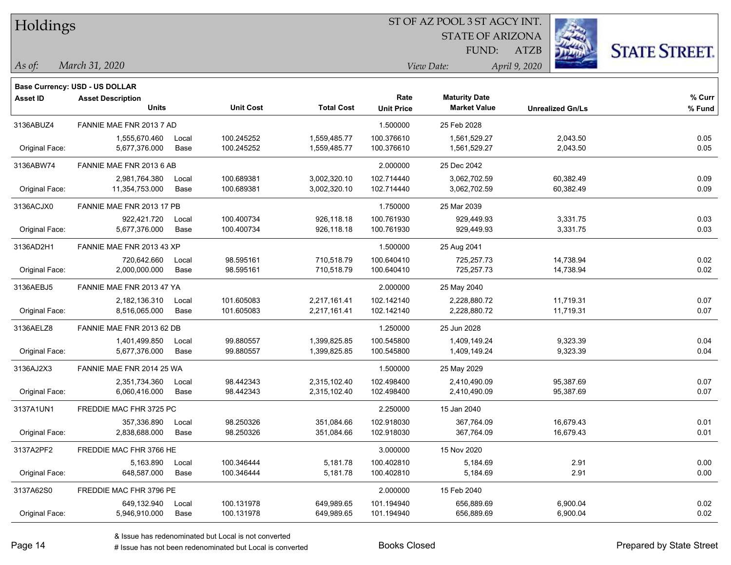| Holdings |
|----------|
|----------|

STATE OF ARIZONA FUND:



*March 31, 2020 As of: View Date: April 9, 2020*

**Base Currency: USD - US DOLLAR**

ATZB

| <b>Asset ID</b> | <b>Asset Description</b>  |       |                  |                   | Rate              | <b>Maturity Date</b> |                         | % Curr |
|-----------------|---------------------------|-------|------------------|-------------------|-------------------|----------------------|-------------------------|--------|
|                 | <b>Units</b>              |       | <b>Unit Cost</b> | <b>Total Cost</b> | <b>Unit Price</b> | <b>Market Value</b>  | <b>Unrealized Gn/Ls</b> | % Fund |
| 3136ABUZ4       | FANNIE MAE FNR 2013 7 AD  |       |                  |                   | 1.500000          | 25 Feb 2028          |                         |        |
|                 | 1,555,670.460             | Local | 100.245252       | 1,559,485.77      | 100.376610        | 1,561,529.27         | 2,043.50                | 0.05   |
| Original Face:  | 5,677,376.000             | Base  | 100.245252       | 1,559,485.77      | 100.376610        | 1,561,529.27         | 2,043.50                | 0.05   |
| 3136ABW74       | FANNIE MAE FNR 2013 6 AB  |       |                  |                   | 2.000000          | 25 Dec 2042          |                         |        |
|                 | 2,981,764.380             | Local | 100.689381       | 3,002,320.10      | 102.714440        | 3,062,702.59         | 60,382.49               | 0.09   |
| Original Face:  | 11,354,753.000            | Base  | 100.689381       | 3,002,320.10      | 102.714440        | 3,062,702.59         | 60,382.49               | 0.09   |
| 3136ACJX0       | FANNIE MAE FNR 2013 17 PB |       |                  |                   | 1.750000          | 25 Mar 2039          |                         |        |
|                 | 922,421.720               | Local | 100.400734       | 926,118.18        | 100.761930        | 929,449.93           | 3,331.75                | 0.03   |
| Original Face:  | 5,677,376.000             | Base  | 100.400734       | 926,118.18        | 100.761930        | 929,449.93           | 3,331.75                | 0.03   |
| 3136AD2H1       | FANNIE MAE FNR 2013 43 XP |       |                  |                   | 1.500000          | 25 Aug 2041          |                         |        |
|                 | 720,642.660               | Local | 98.595161        | 710,518.79        | 100.640410        | 725,257.73           | 14,738.94               | 0.02   |
| Original Face:  | 2,000,000.000             | Base  | 98.595161        | 710,518.79        | 100.640410        | 725,257.73           | 14,738.94               | 0.02   |
| 3136AEBJ5       | FANNIE MAE FNR 2013 47 YA |       |                  |                   | 2.000000          | 25 May 2040          |                         |        |
|                 | 2,182,136.310             | Local | 101.605083       | 2,217,161.41      | 102.142140        | 2,228,880.72         | 11,719.31               | 0.07   |
| Original Face:  | 8,516,065.000             | Base  | 101.605083       | 2,217,161.41      | 102.142140        | 2,228,880.72         | 11,719.31               | 0.07   |
| 3136AELZ8       | FANNIE MAE FNR 2013 62 DB |       |                  |                   | 1.250000          | 25 Jun 2028          |                         |        |
|                 | 1,401,499.850             | Local | 99.880557        | 1,399,825.85      | 100.545800        | 1,409,149.24         | 9,323.39                | 0.04   |
| Original Face:  | 5,677,376.000             | Base  | 99.880557        | 1,399,825.85      | 100.545800        | 1,409,149.24         | 9,323.39                | 0.04   |
| 3136AJ2X3       | FANNIE MAE FNR 2014 25 WA |       |                  |                   | 1.500000          | 25 May 2029          |                         |        |
|                 | 2,351,734.360             | Local | 98.442343        | 2,315,102.40      | 102.498400        | 2,410,490.09         | 95,387.69               | 0.07   |
| Original Face:  | 6,060,416.000             | Base  | 98.442343        | 2,315,102.40      | 102.498400        | 2,410,490.09         | 95,387.69               | 0.07   |
| 3137A1UN1       | FREDDIE MAC FHR 3725 PC   |       |                  |                   | 2.250000          | 15 Jan 2040          |                         |        |
|                 | 357,336.890               | Local | 98.250326        | 351,084.66        | 102.918030        | 367,764.09           | 16,679.43               | 0.01   |
| Original Face:  | 2,838,688.000             | Base  | 98.250326        | 351,084.66        | 102.918030        | 367,764.09           | 16,679.43               | 0.01   |
| 3137A2PF2       | FREDDIE MAC FHR 3766 HE   |       |                  |                   | 3.000000          | 15 Nov 2020          |                         |        |
|                 | 5,163.890                 | Local | 100.346444       | 5,181.78          | 100.402810        | 5,184.69             | 2.91                    | 0.00   |
| Original Face:  | 648,587.000               | Base  | 100.346444       | 5,181.78          | 100.402810        | 5,184.69             | 2.91                    | 0.00   |
| 3137A62S0       | FREDDIE MAC FHR 3796 PE   |       |                  |                   | 2.000000          | 15 Feb 2040          |                         |        |
|                 | 649,132.940               | Local | 100.131978       | 649,989.65        | 101.194940        | 656,889.69           | 6,900.04                | 0.02   |
| Original Face:  | 5,946,910.000             | Base  | 100.131978       | 649,989.65        | 101.194940        | 656,889.69           | 6,900.04                | 0.02   |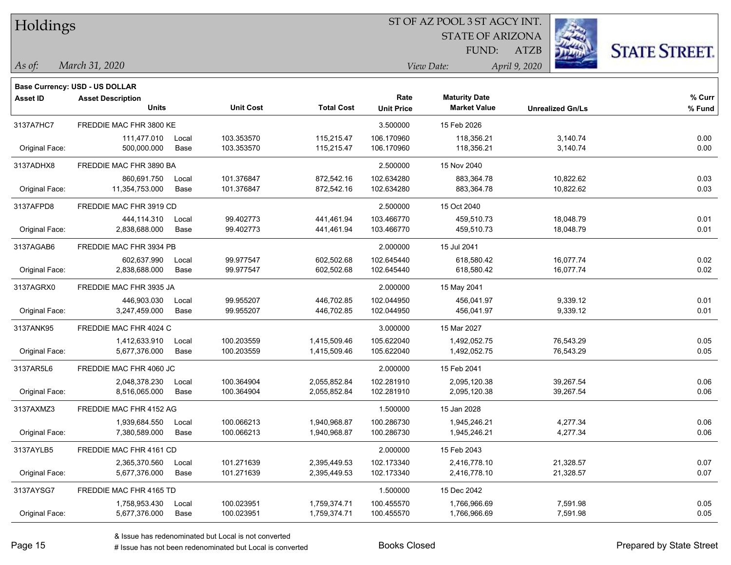| Holdings |
|----------|
|          |

**Maturity Date**

STATE OF ARIZONA FUND:



**% Curr**

*March 31, 2020 As of: View Date: April 9, 2020*

**Base Currency: USD - US DOLLAR**

ATZB

|                | <b>Units</b>            |             | <b>Unit Cost</b> | <b>Total Cost</b> | <b>Unit Price</b> | <b>Market Value</b> | <b>Unrealized Gn/Ls</b> | % Fund |
|----------------|-------------------------|-------------|------------------|-------------------|-------------------|---------------------|-------------------------|--------|
| 3137A7HC7      | FREDDIE MAC FHR 3800 KE |             |                  |                   | 3.500000          | 15 Feb 2026         |                         |        |
|                | 111,477.010             | Local       | 103.353570       | 115,215.47        | 106.170960        | 118,356.21          | 3,140.74                | 0.00   |
| Original Face: | 500,000.000             | Base        | 103.353570       | 115,215.47        | 106.170960        | 118,356.21          | 3,140.74                | 0.00   |
| 3137ADHX8      | FREDDIE MAC FHR 3890 BA |             |                  |                   | 2.500000          | 15 Nov 2040         |                         |        |
|                | 860,691.750             | Local       | 101.376847       | 872,542.16        | 102.634280        | 883,364.78          | 10,822.62               | 0.03   |
| Original Face: | 11,354,753.000          | Base        | 101.376847       | 872,542.16        | 102.634280        | 883,364.78          | 10,822.62               | 0.03   |
| 3137AFPD8      | FREDDIE MAC FHR 3919 CD |             |                  |                   | 2.500000          | 15 Oct 2040         |                         |        |
|                | 444,114.310             | Local       | 99.402773        | 441,461.94        | 103.466770        | 459,510.73          | 18,048.79               | 0.01   |
| Original Face: | 2,838,688.000           | Base        | 99.402773        | 441,461.94        | 103.466770        | 459,510.73          | 18,048.79               | 0.01   |
| 3137AGAB6      | FREDDIE MAC FHR 3934 PB |             |                  |                   | 2.000000          | 15 Jul 2041         |                         |        |
|                | 602,637.990             | Local       | 99.977547        | 602,502.68        | 102.645440        | 618,580.42          | 16,077.74               | 0.02   |
| Original Face: | 2,838,688.000           | Base        | 99.977547        | 602,502.68        | 102.645440        | 618,580.42          | 16,077.74               | 0.02   |
| 3137AGRX0      | FREDDIE MAC FHR 3935 JA |             |                  |                   | 2.000000          | 15 May 2041         |                         |        |
|                | 446,903.030             | Local       | 99.955207        | 446,702.85        | 102.044950        | 456.041.97          | 9,339.12                | 0.01   |
| Original Face: | 3,247,459.000           | Base        | 99.955207        | 446,702.85        | 102.044950        | 456,041.97          | 9,339.12                | 0.01   |
| 3137ANK95      | FREDDIE MAC FHR 4024 C  |             |                  |                   | 3.000000          | 15 Mar 2027         |                         |        |
|                | 1,412,633.910           | Local       | 100.203559       | 1,415,509.46      | 105.622040        | 1,492,052.75        | 76,543.29               | 0.05   |
| Original Face: | 5,677,376.000           | Base        | 100.203559       | 1,415,509.46      | 105.622040        | 1,492,052.75        | 76,543.29               | 0.05   |
| 3137AR5L6      | FREDDIE MAC FHR 4060 JC |             |                  |                   | 2.000000          | 15 Feb 2041         |                         |        |
|                | 2,048,378.230           | Local       | 100.364904       | 2,055,852.84      | 102.281910        | 2,095,120.38        | 39,267.54               | 0.06   |
| Original Face: | 8,516,065.000           | <b>Base</b> | 100.364904       | 2,055,852.84      | 102.281910        | 2,095,120.38        | 39,267.54               | 0.06   |
| 3137AXMZ3      | FREDDIE MAC FHR 4152 AG |             |                  |                   | 1.500000          | 15 Jan 2028         |                         |        |
|                | 1,939,684.550           | Local       | 100.066213       | 1,940,968.87      | 100.286730        | 1,945,246.21        | 4,277.34                | 0.06   |
| Original Face: | 7,380,589.000           | Base        | 100.066213       | 1,940,968.87      | 100.286730        | 1,945,246.21        | 4,277.34                | 0.06   |
| 3137AYLB5      | FREDDIE MAC FHR 4161 CD |             |                  |                   | 2.000000          | 15 Feb 2043         |                         |        |
|                | 2,365,370.560           | Local       | 101.271639       | 2,395,449.53      | 102.173340        | 2,416,778.10        | 21,328.57               | 0.07   |
| Original Face: | 5,677,376.000           | Base        | 101.271639       | 2,395,449.53      | 102.173340        | 2,416,778.10        | 21,328.57               | 0.07   |
| 3137AYSG7      | FREDDIE MAC FHR 4165 TD |             |                  |                   | 1.500000          | 15 Dec 2042         |                         |        |
|                | 1,758,953.430           | Local       | 100.023951       | 1,759,374.71      | 100.455570        | 1,766,966.69        | 7,591.98                | 0.05   |
| Original Face: | 5,677,376.000           | Base        | 100.023951       | 1,759,374.71      | 100.455570        | 1,766,966.69        | 7,591.98                | 0.05   |

**Asset ID Asset Description Rate**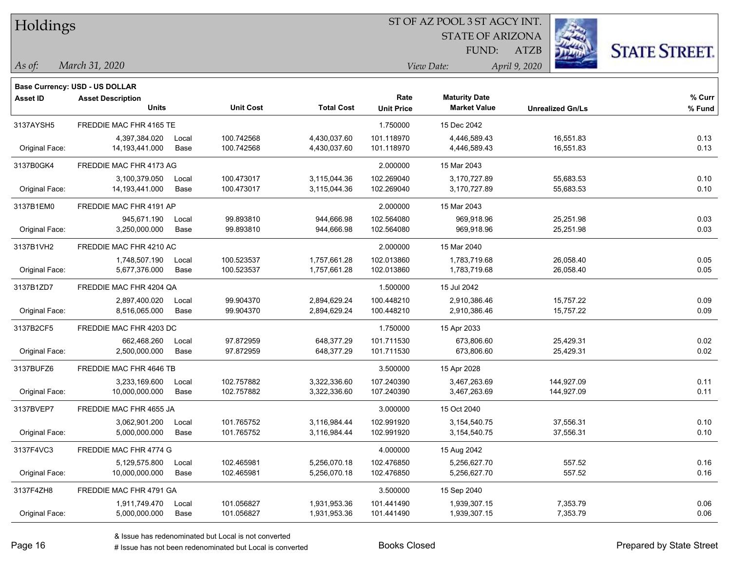| Holdings |
|----------|
|          |

**Maturity Date**

STATE OF ARIZONA FUND:



**% Curr**

*March 31, 2020 As of: View Date: April 9, 2020*

**Base Currency: USD - US DOLLAR**

ATZB

|                | <b>Units</b>            |       | <b>Unit Cost</b> | <b>Total Cost</b> | <b>Unit Price</b> | <b>Market Value</b> | <b>Unrealized Gn/Ls</b> | % Fund |
|----------------|-------------------------|-------|------------------|-------------------|-------------------|---------------------|-------------------------|--------|
| 3137AYSH5      | FREDDIE MAC FHR 4165 TE |       |                  |                   | 1.750000          | 15 Dec 2042         |                         |        |
|                | 4,397,384.020           | Local | 100.742568       | 4,430,037.60      | 101.118970        | 4,446,589.43        | 16,551.83               | 0.13   |
| Original Face: | 14,193,441.000          | Base  | 100.742568       | 4,430,037.60      | 101.118970        | 4,446,589.43        | 16,551.83               | 0.13   |
| 3137B0GK4      | FREDDIE MAC FHR 4173 AG |       |                  |                   | 2.000000          | 15 Mar 2043         |                         |        |
|                | 3,100,379.050           | Local | 100.473017       | 3,115,044.36      | 102.269040        | 3,170,727.89        | 55,683.53               | 0.10   |
| Original Face: | 14,193,441.000          | Base  | 100.473017       | 3,115,044.36      | 102.269040        | 3,170,727.89        | 55,683.53               | 0.10   |
| 3137B1EM0      | FREDDIE MAC FHR 4191 AP |       |                  |                   | 2.000000          | 15 Mar 2043         |                         |        |
|                | 945,671.190             | Local | 99.893810        | 944,666.98        | 102.564080        | 969.918.96          | 25,251.98               | 0.03   |
| Original Face: | 3,250,000.000           | Base  | 99.893810        | 944,666.98        | 102.564080        | 969,918.96          | 25,251.98               | 0.03   |
| 3137B1VH2      | FREDDIE MAC FHR 4210 AC |       |                  |                   | 2.000000          | 15 Mar 2040         |                         |        |
|                | 1,748,507.190           | Local | 100.523537       | 1,757,661.28      | 102.013860        | 1,783,719.68        | 26,058.40               | 0.05   |
| Original Face: | 5,677,376.000           | Base  | 100.523537       | 1,757,661.28      | 102.013860        | 1,783,719.68        | 26,058.40               | 0.05   |
| 3137B1ZD7      | FREDDIE MAC FHR 4204 QA |       |                  |                   | 1.500000          | 15 Jul 2042         |                         |        |
|                | 2,897,400.020           | Local | 99.904370        | 2,894,629.24      | 100.448210        | 2,910,386.46        | 15,757.22               | 0.09   |
| Original Face: | 8,516,065.000           | Base  | 99.904370        | 2,894,629.24      | 100.448210        | 2,910,386.46        | 15,757.22               | 0.09   |
| 3137B2CF5      | FREDDIE MAC FHR 4203 DC |       |                  |                   | 1.750000          | 15 Apr 2033         |                         |        |
|                | 662,468.260             | Local | 97.872959        | 648,377.29        | 101.711530        | 673,806.60          | 25,429.31               | 0.02   |
| Original Face: | 2,500,000.000           | Base  | 97.872959        | 648,377.29        | 101.711530        | 673,806.60          | 25,429.31               | 0.02   |
| 3137BUFZ6      | FREDDIE MAC FHR 4646 TB |       |                  |                   | 3.500000          | 15 Apr 2028         |                         |        |
|                | 3,233,169.600           | Local | 102.757882       | 3,322,336.60      | 107.240390        | 3,467,263.69        | 144,927.09              | 0.11   |
| Original Face: | 10,000,000.000          | Base  | 102.757882       | 3,322,336.60      | 107.240390        | 3,467,263.69        | 144,927.09              | 0.11   |
| 3137BVEP7      | FREDDIE MAC FHR 4655 JA |       |                  |                   | 3.000000          | 15 Oct 2040         |                         |        |
|                | 3,062,901.200           | Local | 101.765752       | 3,116,984.44      | 102.991920        | 3,154,540.75        | 37,556.31               | 0.10   |
| Original Face: | 5,000,000.000           | Base  | 101.765752       | 3,116,984.44      | 102.991920        | 3,154,540.75        | 37,556.31               | 0.10   |
| 3137F4VC3      | FREDDIE MAC FHR 4774 G  |       |                  |                   | 4.000000          | 15 Aug 2042         |                         |        |
|                | 5,129,575.800           | Local | 102.465981       | 5,256,070.18      | 102.476850        | 5,256,627.70        | 557.52                  | 0.16   |
| Original Face: | 10,000,000.000          | Base  | 102.465981       | 5,256,070.18      | 102.476850        | 5,256,627.70        | 557.52                  | 0.16   |
| 3137F4ZH8      | FREDDIE MAC FHR 4791 GA |       |                  |                   | 3.500000          | 15 Sep 2040         |                         |        |
|                | 1,911,749.470           | Local | 101.056827       | 1,931,953.36      | 101.441490        | 1,939,307.15        | 7,353.79                | 0.06   |
| Original Face: | 5,000,000.000           | Base  | 101.056827       | 1,931,953.36      | 101.441490        | 1,939,307.15        | 7,353.79                | 0.06   |

**Asset ID Asset Description Rate**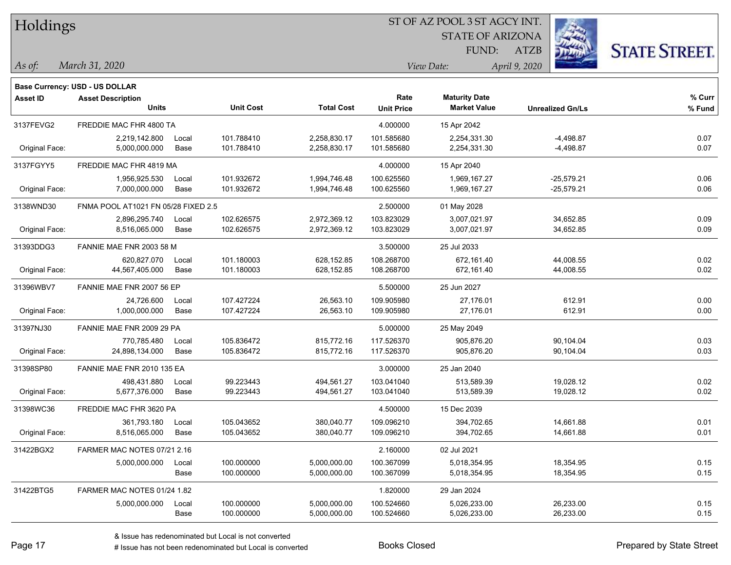| Holdings |
|----------|
|----------|

STATE OF ARIZONA FUND:



*March 31, 2020 As of: View Date: April 9, 2020*

**Base Currency: USD - US DOLLAR**

ATZB

| <b>Asset ID</b> | <b>Asset Description</b><br><b>Units</b> |       | <b>Unit Cost</b> | <b>Total Cost</b> | Rate<br><b>Unit Price</b> | <b>Maturity Date</b><br><b>Market Value</b> | <b>Unrealized Gn/Ls</b> | % Curr<br>% Fund |
|-----------------|------------------------------------------|-------|------------------|-------------------|---------------------------|---------------------------------------------|-------------------------|------------------|
|                 |                                          |       |                  |                   |                           |                                             |                         |                  |
| 3137FEVG2       | FREDDIE MAC FHR 4800 TA                  |       |                  |                   | 4.000000                  | 15 Apr 2042                                 |                         |                  |
|                 | 2,219,142.800                            | Local | 101.788410       | 2,258,830.17      | 101.585680                | 2,254,331.30                                | $-4,498.87$             | 0.07             |
| Original Face:  | 5,000,000.000                            | Base  | 101.788410       | 2,258,830.17      | 101.585680                | 2,254,331.30                                | $-4,498.87$             | 0.07             |
| 3137FGYY5       | FREDDIE MAC FHR 4819 MA                  |       |                  |                   | 4.000000                  | 15 Apr 2040                                 |                         |                  |
|                 | 1,956,925.530                            | Local | 101.932672       | 1,994,746.48      | 100.625560                | 1,969,167.27                                | -25,579.21              | 0.06             |
| Original Face:  | 7,000,000.000                            | Base  | 101.932672       | 1,994,746.48      | 100.625560                | 1,969,167.27                                | $-25,579.21$            | 0.06             |
| 3138WND30       | FNMA POOL AT1021 FN 05/28 FIXED 2.5      |       |                  |                   | 2.500000                  | 01 May 2028                                 |                         |                  |
|                 | 2,896,295.740                            | Local | 102.626575       | 2,972,369.12      | 103.823029                | 3,007,021.97                                | 34,652.85               | 0.09             |
| Original Face:  | 8,516,065.000                            | Base  | 102.626575       | 2,972,369.12      | 103.823029                | 3,007,021.97                                | 34,652.85               | 0.09             |
| 31393DDG3       | FANNIE MAE FNR 2003 58 M                 |       |                  |                   | 3.500000                  | 25 Jul 2033                                 |                         |                  |
|                 | 620,827.070                              | Local | 101.180003       | 628,152.85        | 108.268700                | 672,161.40                                  | 44,008.55               | 0.02             |
| Original Face:  | 44,567,405.000                           | Base  | 101.180003       | 628,152.85        | 108.268700                | 672,161.40                                  | 44,008.55               | 0.02             |
| 31396WBV7       | FANNIE MAE FNR 2007 56 EP                |       |                  |                   | 5.500000                  | 25 Jun 2027                                 |                         |                  |
|                 | 24,726.600                               | Local | 107.427224       | 26,563.10         | 109.905980                | 27,176.01                                   | 612.91                  | 0.00             |
| Original Face:  | 1,000,000.000                            | Base  | 107.427224       | 26,563.10         | 109.905980                | 27,176.01                                   | 612.91                  | 0.00             |
| 31397NJ30       | FANNIE MAE FNR 2009 29 PA                |       |                  |                   | 5.000000                  | 25 May 2049                                 |                         |                  |
|                 | 770,785.480                              | Local | 105.836472       | 815,772.16        | 117.526370                | 905,876.20                                  | 90,104.04               | 0.03             |
| Original Face:  | 24,898,134.000                           | Base  | 105.836472       | 815,772.16        | 117.526370                | 905,876.20                                  | 90,104.04               | 0.03             |
| 31398SP80       | FANNIE MAE FNR 2010 135 EA               |       |                  |                   | 3.000000                  | 25 Jan 2040                                 |                         |                  |
|                 | 498,431.880                              | Local | 99.223443        | 494,561.27        | 103.041040                | 513,589.39                                  | 19,028.12               | 0.02             |
| Original Face:  | 5,677,376.000                            | Base  | 99.223443        | 494,561.27        | 103.041040                | 513,589.39                                  | 19,028.12               | 0.02             |
| 31398WC36       | FREDDIE MAC FHR 3620 PA                  |       |                  |                   | 4.500000                  | 15 Dec 2039                                 |                         |                  |
|                 | 361,793.180                              | Local | 105.043652       | 380,040.77        | 109.096210                | 394,702.65                                  | 14,661.88               | 0.01             |
| Original Face:  | 8,516,065.000                            | Base  | 105.043652       | 380,040.77        | 109.096210                | 394,702.65                                  | 14,661.88               | 0.01             |
| 31422BGX2       | FARMER MAC NOTES 07/21 2.16              |       |                  |                   | 2.160000                  | 02 Jul 2021                                 |                         |                  |
|                 | 5,000,000.000                            | Local | 100.000000       | 5,000,000.00      | 100.367099                | 5,018,354.95                                | 18,354.95               | 0.15             |
|                 |                                          | Base  | 100.000000       | 5,000,000.00      | 100.367099                | 5,018,354.95                                | 18,354.95               | 0.15             |
| 31422BTG5       | FARMER MAC NOTES 01/24 1.82              |       |                  |                   | 1.820000                  | 29 Jan 2024                                 |                         |                  |
|                 | 5,000,000.000                            | Local | 100.000000       | 5,000,000.00      | 100.524660                | 5,026,233.00                                | 26,233.00               | 0.15             |
|                 |                                          | Base  | 100.000000       | 5,000,000.00      | 100.524660                | 5,026,233.00                                | 26,233.00               | 0.15             |

A ISSUE ISSUE ISSUE ISSUE ISSUE ISSUE ISSUE ISSUE ISSUE ISSUE ISSUE ISSUE ISSUE ISSUE ISSUE ISSUE ISSUE ISSUE I<br>
# Issue has not been redenominated but Local is converted **BOOKS** Closed **Prepared by State Street**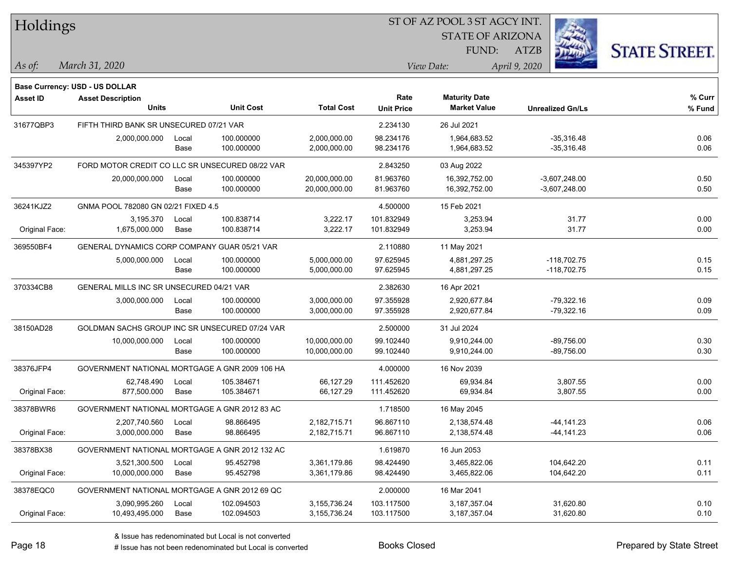| Holdings        |                                                 |       |                  |                   |                   |                                             |                         |                      |
|-----------------|-------------------------------------------------|-------|------------------|-------------------|-------------------|---------------------------------------------|-------------------------|----------------------|
|                 |                                                 |       |                  |                   |                   | <b>STATE OF ARIZONA</b>                     |                         |                      |
|                 |                                                 |       |                  |                   |                   | FUND:                                       | ATZB                    | <b>STATE STREET.</b> |
| As of:          | March 31, 2020                                  |       |                  |                   |                   | View Date:                                  | April 9, 2020           |                      |
|                 |                                                 |       |                  |                   |                   |                                             |                         |                      |
|                 | Base Currency: USD - US DOLLAR                  |       |                  |                   |                   |                                             |                         |                      |
| <b>Asset ID</b> | <b>Asset Description</b><br><b>Units</b>        |       | <b>Unit Cost</b> | <b>Total Cost</b> | Rate              | <b>Maturity Date</b><br><b>Market Value</b> |                         | % Curr               |
|                 |                                                 |       |                  |                   | <b>Unit Price</b> |                                             | <b>Unrealized Gn/Ls</b> | % Fund               |
| 31677QBP3       | FIFTH THIRD BANK SR UNSECURED 07/21 VAR         |       |                  |                   | 2.234130          | 26 Jul 2021                                 |                         |                      |
|                 | 2,000,000.000                                   | Local | 100.000000       | 2,000,000.00      | 98.234176         | 1,964,683.52                                | $-35,316.48$            | 0.06                 |
|                 |                                                 | Base  | 100.000000       | 2,000,000.00      | 98.234176         | 1,964,683.52                                | $-35,316.48$            | 0.06                 |
| 345397YP2       | FORD MOTOR CREDIT CO LLC SR UNSECURED 08/22 VAR |       |                  |                   | 2.843250          | 03 Aug 2022                                 |                         |                      |
|                 | 20,000,000.000                                  | Local | 100.000000       | 20,000,000.00     | 81.963760         | 16,392,752.00                               | $-3,607,248.00$         | 0.50                 |
|                 |                                                 | Base  | 100.000000       | 20,000,000.00     | 81.963760         | 16,392,752.00                               | $-3,607,248.00$         | 0.50                 |
| 36241KJZ2       | GNMA POOL 782080 GN 02/21 FIXED 4.5             |       |                  |                   | 4.500000          | 15 Feb 2021                                 |                         |                      |
|                 | 3,195.370                                       | Local | 100.838714       | 3,222.17          | 101.832949        | 3,253.94                                    | 31.77                   | 0.00                 |
| Original Face:  | 1,675,000.000                                   | Base  | 100.838714       | 3,222.17          | 101.832949        | 3,253.94                                    | 31.77                   | 0.00                 |
| 369550BF4       | GENERAL DYNAMICS CORP COMPANY GUAR 05/21 VAR    |       |                  |                   | 2.110880          | 11 May 2021                                 |                         |                      |
|                 | 5,000,000.000                                   | Local | 100.000000       | 5,000,000.00      | 97.625945         | 4,881,297.25                                | $-118,702.75$           | 0.15                 |
|                 |                                                 | Base  | 100.000000       | 5,000,000.00      | 97.625945         | 4,881,297.25                                | $-118,702.75$           | 0.15                 |
| 370334CB8       | GENERAL MILLS INC SR UNSECURED 04/21 VAR        |       |                  |                   | 2.382630          | 16 Apr 2021                                 |                         |                      |
|                 | 3,000,000.000                                   | Local | 100.000000       | 3,000,000.00      | 97.355928         | 2,920,677.84                                | $-79,322.16$            | 0.09                 |
|                 |                                                 | Base  | 100.000000       | 3,000,000.00      | 97.355928         | 2,920,677.84                                | $-79,322.16$            | 0.09                 |
| 38150AD28       | GOLDMAN SACHS GROUP INC SR UNSECURED 07/24 VAR  |       |                  |                   | 2.500000          | 31 Jul 2024                                 |                         |                      |
|                 | 10,000,000.000                                  | Local | 100.000000       | 10,000,000.00     | 99.102440         | 9,910,244.00                                | $-89,756.00$            | 0.30                 |
|                 |                                                 | Base  | 100.000000       | 10,000,000.00     | 99.102440         | 9,910,244.00                                | $-89,756.00$            | 0.30                 |
| 38376JFP4       | GOVERNMENT NATIONAL MORTGAGE A GNR 2009 106 HA  |       |                  |                   | 4.000000          | 16 Nov 2039                                 |                         |                      |
|                 | 62,748.490                                      | Local | 105.384671       | 66,127.29         | 111.452620        | 69,934.84                                   | 3,807.55                | 0.00                 |
| Original Face:  | 877,500.000                                     | Base  | 105.384671       | 66,127.29         | 111.452620        | 69,934.84                                   | 3,807.55                | 0.00                 |
| 38378BWR6       | GOVERNMENT NATIONAL MORTGAGE A GNR 2012 83 AC   |       |                  |                   | 1.718500          | 16 May 2045                                 |                         |                      |
|                 | 2,207,740.560                                   | Local | 98.866495        | 2,182,715.71      | 96.867110         | 2,138,574.48                                | -44,141.23              | 0.06                 |
| Original Face:  | 3,000,000.000                                   | Base  | 98.866495        | 2,182,715.71      | 96.867110         | 2,138,574.48                                | $-44, 141.23$           | 0.06                 |
| 38378BX38       | GOVERNMENT NATIONAL MORTGAGE A GNR 2012 132 AC  |       |                  |                   | 1.619870          | 16 Jun 2053                                 |                         |                      |
|                 | 3,521,300.500                                   | Local | 95.452798        | 3,361,179.86      | 98.424490         | 3,465,822.06                                | 104,642.20              | 0.11                 |
| Original Face:  | 10,000,000.000                                  | Base  | 95.452798        | 3,361,179.86      | 98.424490         | 3,465,822.06                                | 104,642.20              | 0.11                 |
| 38378EQC0       | GOVERNMENT NATIONAL MORTGAGE A GNR 2012 69 QC   |       |                  |                   | 2.000000          | 16 Mar 2041                                 |                         |                      |
|                 | 3,090,995.260                                   | Local | 102.094503       | 3, 155, 736. 24   | 103.117500        | 3, 187, 357.04                              | 31,620.80               | 0.10                 |
| Original Face:  | 10,493,495.000                                  | Base  | 102.094503       | 3,155,736.24      | 103.117500        | 3,187,357.04                                | 31,620.80               | 0.10                 |
|                 |                                                 |       |                  |                   |                   |                                             |                         |                      |

٦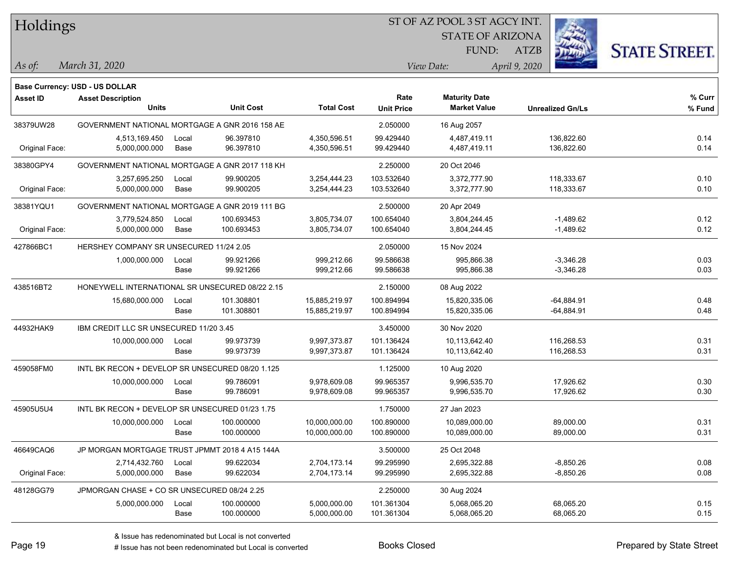| Holdings |
|----------|
|          |

STATE OF ARIZONA FUND:



*March 31, 2020 As of: View Date: April 9, 2020*

**Base Currency: USD - US DOLLAR**

ATZB

| <b>Asset ID</b> | <b>Asset Description</b>                         |       |                  |                   | Rate              | <b>Maturity Date</b> |                         | % Curr |
|-----------------|--------------------------------------------------|-------|------------------|-------------------|-------------------|----------------------|-------------------------|--------|
|                 | Units                                            |       | <b>Unit Cost</b> | <b>Total Cost</b> | <b>Unit Price</b> | <b>Market Value</b>  | <b>Unrealized Gn/Ls</b> | % Fund |
| 38379UW28       | GOVERNMENT NATIONAL MORTGAGE A GNR 2016 158 AE   |       |                  |                   | 2.050000          | 16 Aug 2057          |                         |        |
|                 | 4,513,169.450                                    | Local | 96.397810        | 4,350,596.51      | 99.429440         | 4,487,419.11         | 136,822.60              | 0.14   |
| Original Face:  | 5,000,000.000                                    | Base  | 96.397810        | 4,350,596.51      | 99.429440         | 4,487,419.11         | 136,822.60              | 0.14   |
| 38380GPY4       | GOVERNMENT NATIONAL MORTGAGE A GNR 2017 118 KH   |       |                  |                   | 2.250000          | 20 Oct 2046          |                         |        |
|                 | 3,257,695.250                                    | Local | 99.900205        | 3,254,444.23      | 103.532640        | 3,372,777.90         | 118,333.67              | 0.10   |
| Original Face:  | 5,000,000.000                                    | Base  | 99.900205        | 3,254,444.23      | 103.532640        | 3,372,777.90         | 118,333.67              | 0.10   |
| 38381YQU1       | GOVERNMENT NATIONAL MORTGAGE A GNR 2019 111 BG   |       |                  |                   | 2.500000          | 20 Apr 2049          |                         |        |
|                 | 3,779,524.850                                    | Local | 100.693453       | 3,805,734.07      | 100.654040        | 3,804,244.45         | $-1,489.62$             | 0.12   |
| Original Face:  | 5,000,000.000                                    | Base  | 100.693453       | 3,805,734.07      | 100.654040        | 3,804,244.45         | $-1,489.62$             | 0.12   |
| 427866BC1       | HERSHEY COMPANY SR UNSECURED 11/24 2.05          |       |                  |                   | 2.050000          | 15 Nov 2024          |                         |        |
|                 | 1,000,000.000                                    | Local | 99.921266        | 999,212.66        | 99.586638         | 995,866.38           | $-3,346.28$             | 0.03   |
|                 |                                                  | Base  | 99.921266        | 999,212.66        | 99.586638         | 995,866.38           | $-3,346.28$             | 0.03   |
| 438516BT2       | HONEYWELL INTERNATIONAL SR UNSECURED 08/22 2.15  |       |                  |                   | 2.150000          | 08 Aug 2022          |                         |        |
|                 | 15,680,000.000                                   | Local | 101.308801       | 15,885,219.97     | 100.894994        | 15,820,335.06        | $-64,884.91$            | 0.48   |
|                 |                                                  | Base  | 101.308801       | 15,885,219.97     | 100.894994        | 15,820,335.06        | $-64,884.91$            | 0.48   |
| 44932HAK9       | IBM CREDIT LLC SR UNSECURED 11/20 3.45           |       |                  |                   | 3.450000          | 30 Nov 2020          |                         |        |
|                 | 10,000,000.000                                   | Local | 99.973739        | 9,997,373.87      | 101.136424        | 10,113,642.40        | 116,268.53              | 0.31   |
|                 |                                                  | Base  | 99.973739        | 9,997,373.87      | 101.136424        | 10,113,642.40        | 116,268.53              | 0.31   |
| 459058FM0       | INTL BK RECON + DEVELOP SR UNSECURED 08/20 1.125 |       |                  |                   | 1.125000          | 10 Aug 2020          |                         |        |
|                 | 10,000,000.000                                   | Local | 99.786091        | 9,978,609.08      | 99.965357         | 9,996,535.70         | 17,926.62               | 0.30   |
|                 |                                                  | Base  | 99.786091        | 9,978,609.08      | 99.965357         | 9,996,535.70         | 17,926.62               | 0.30   |
| 45905U5U4       | INTL BK RECON + DEVELOP SR UNSECURED 01/23 1.75  |       |                  |                   | 1.750000          | 27 Jan 2023          |                         |        |
|                 | 10,000,000.000                                   | Local | 100.000000       | 10,000,000.00     | 100.890000        | 10,089,000.00        | 89,000.00               | 0.31   |
|                 |                                                  | Base  | 100.000000       | 10,000,000.00     | 100.890000        | 10,089,000.00        | 89,000.00               | 0.31   |
| 46649CAQ6       | JP MORGAN MORTGAGE TRUST JPMMT 2018 4 A15 144A   |       |                  |                   | 3.500000          | 25 Oct 2048          |                         |        |
|                 | 2,714,432.760                                    | Local | 99.622034        | 2,704,173.14      | 99.295990         | 2,695,322.88         | $-8,850.26$             | 0.08   |
| Original Face:  | 5,000,000.000                                    | Base  | 99.622034        | 2,704,173.14      | 99.295990         | 2,695,322.88         | $-8,850.26$             | 0.08   |
| 48128GG79       | JPMORGAN CHASE + CO SR UNSECURED 08/24 2.25      |       |                  |                   | 2.250000          | 30 Aug 2024          |                         |        |
|                 | 5,000,000.000                                    | Local | 100.000000       | 5,000,000.00      | 101.361304        | 5,068,065.20         | 68,065.20               | 0.15   |
|                 |                                                  | Base  | 100.000000       | 5,000,000.00      | 101.361304        | 5,068,065.20         | 68,065.20               | 0.15   |

A ISSUE ISSUE ISSUE ISSUE ISSUE ISSUE ISSUE ISSUE ISSUE ISSUE ISSUE ISSUE ISSUE ISSUE ISSUE ISSUE ISSUE ISSUE I<br>
# Issue has not been redenominated but Local is converted **BOOKS** Closed **Prepared by State Street**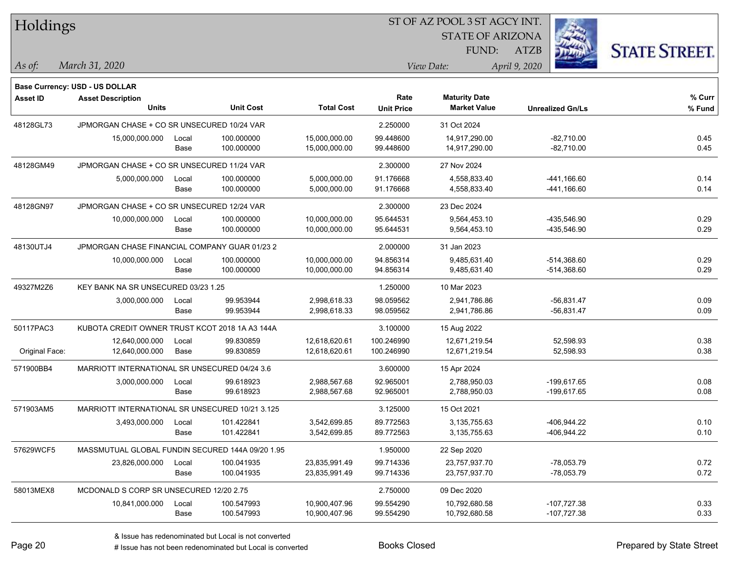| Holdings        |                                                  |       |                  |                   |                   | 51 OF AZ POOL 3 51 AGCY INT. |                         |                      |
|-----------------|--------------------------------------------------|-------|------------------|-------------------|-------------------|------------------------------|-------------------------|----------------------|
|                 |                                                  |       |                  |                   |                   | <b>STATE OF ARIZONA</b>      | Ż.                      |                      |
|                 |                                                  |       |                  |                   |                   | FUND:                        | ATZB                    | <b>STATE STREET.</b> |
|                 |                                                  |       |                  |                   |                   |                              |                         |                      |
| As of:          | March 31, 2020                                   |       |                  |                   |                   | View Date:                   | April 9, 2020           |                      |
|                 | <b>Base Currency: USD - US DOLLAR</b>            |       |                  |                   |                   |                              |                         |                      |
| <b>Asset ID</b> | <b>Asset Description</b>                         |       |                  |                   | Rate              | <b>Maturity Date</b>         |                         | % Curr               |
|                 | <b>Units</b>                                     |       | <b>Unit Cost</b> | <b>Total Cost</b> | <b>Unit Price</b> | <b>Market Value</b>          | <b>Unrealized Gn/Ls</b> | % Fund               |
| 48128GL73       | JPMORGAN CHASE + CO SR UNSECURED 10/24 VAR       |       |                  |                   | 2.250000          | 31 Oct 2024                  |                         |                      |
|                 | 15,000,000.000                                   | Local | 100.000000       | 15,000,000.00     | 99.448600         | 14,917,290.00                | $-82,710.00$            | 0.45                 |
|                 |                                                  | Base  | 100.000000       | 15,000,000.00     | 99.448600         | 14,917,290.00                | $-82,710.00$            | 0.45                 |
| 48128GM49       | JPMORGAN CHASE + CO SR UNSECURED 11/24 VAR       |       |                  |                   | 2.300000          | 27 Nov 2024                  |                         |                      |
|                 | 5,000,000.000                                    | Local | 100.000000       | 5,000,000.00      | 91.176668         | 4,558,833.40                 | -441,166.60             | 0.14                 |
|                 |                                                  | Base  | 100.000000       | 5,000,000.00      | 91.176668         | 4,558,833.40                 | -441,166.60             | 0.14                 |
| 48128GN97       | JPMORGAN CHASE + CO SR UNSECURED 12/24 VAR       |       |                  |                   | 2.300000          | 23 Dec 2024                  |                         |                      |
|                 | 10,000,000.000                                   | Local | 100.000000       | 10,000,000.00     | 95.644531         | 9,564,453.10                 | -435,546.90             | 0.29                 |
|                 |                                                  | Base  | 100.000000       | 10,000,000.00     | 95.644531         | 9,564,453.10                 | -435,546.90             | 0.29                 |
| 48130UTJ4       | JPMORGAN CHASE FINANCIAL COMPANY GUAR 01/23 2    |       |                  |                   | 2.000000          | 31 Jan 2023                  |                         |                      |
|                 | 10,000,000.000                                   | Local | 100.000000       | 10,000,000.00     | 94.856314         | 9,485,631.40                 | $-514,368.60$           | 0.29                 |
|                 |                                                  | Base  | 100.000000       | 10,000,000.00     | 94.856314         | 9,485,631.40                 | $-514,368.60$           | 0.29                 |
| 49327M2Z6       | KEY BANK NA SR UNSECURED 03/23 1.25              |       |                  |                   | 1.250000          | 10 Mar 2023                  |                         |                      |
|                 | 3,000,000.000                                    | Local | 99.953944        | 2,998,618.33      | 98.059562         | 2,941,786.86                 | $-56,831.47$            | 0.09                 |
|                 |                                                  | Base  | 99.953944        | 2,998,618.33      | 98.059562         | 2,941,786.86                 | $-56,831.47$            | 0.09                 |
| 50117PAC3       | KUBOTA CREDIT OWNER TRUST KCOT 2018 1A A3 144A   |       |                  |                   | 3.100000          | 15 Aug 2022                  |                         |                      |
|                 | 12,640,000.000                                   | Local | 99.830859        | 12,618,620.61     | 100.246990        | 12,671,219.54                | 52,598.93               | 0.38                 |
| Original Face:  | 12,640,000.000                                   | Base  | 99.830859        | 12,618,620.61     | 100.246990        | 12,671,219.54                | 52,598.93               | 0.38                 |
| 571900BB4       | MARRIOTT INTERNATIONAL SR UNSECURED 04/24 3.6    |       |                  |                   | 3.600000          | 15 Apr 2024                  |                         |                      |
|                 | 3,000,000.000                                    | Local | 99.618923        | 2,988,567.68      | 92.965001         | 2,788,950.03                 | -199,617.65             | 0.08                 |
|                 |                                                  | Base  | 99.618923        | 2,988,567.68      | 92.965001         | 2,788,950.03                 | -199,617.65             | 0.08                 |
| 571903AM5       | MARRIOTT INTERNATIONAL SR UNSECURED 10/21 3.125  |       |                  |                   | 3.125000          | 15 Oct 2021                  |                         |                      |
|                 | 3,493,000.000                                    | Local | 101.422841       | 3,542,699.85      | 89.772563         | 3,135,755.63                 | -406,944.22             | 0.10                 |
|                 |                                                  | Base  | 101.422841       | 3,542,699.85      | 89.772563         | 3,135,755.63                 | -406,944.22             | 0.10                 |
| 57629WCF5       | MASSMUTUAL GLOBAL FUNDIN SECURED 144A 09/20 1.95 |       |                  |                   | 1.950000          | 22 Sep 2020                  |                         |                      |
|                 | 23,826,000.000                                   | Local | 100.041935       | 23,835,991.49     | 99.714336         | 23,757,937.70                | $-78,053.79$            | 0.72                 |
|                 |                                                  | Base  | 100.041935       | 23,835,991.49     | 99.714336         | 23,757,937.70                | $-78,053.79$            | 0.72                 |
| 58013MEX8       | MCDONALD S CORP SR UNSECURED 12/20 2.75          |       |                  |                   | 2.750000          | 09 Dec 2020                  |                         |                      |
|                 | 10,841,000.000                                   | Local | 100.547993       | 10,900,407.96     | 99.554290         | 10,792,680.58                | $-107,727.38$           | 0.33                 |
|                 |                                                  | Base  | 100.547993       | 10,900,407.96     | 99.554290         | 10,792,680.58                | $-107,727.38$           | 0.33                 |
|                 |                                                  |       |                  |                   |                   |                              |                         |                      |

ST OF A Z POOL 2 ST ACCV INT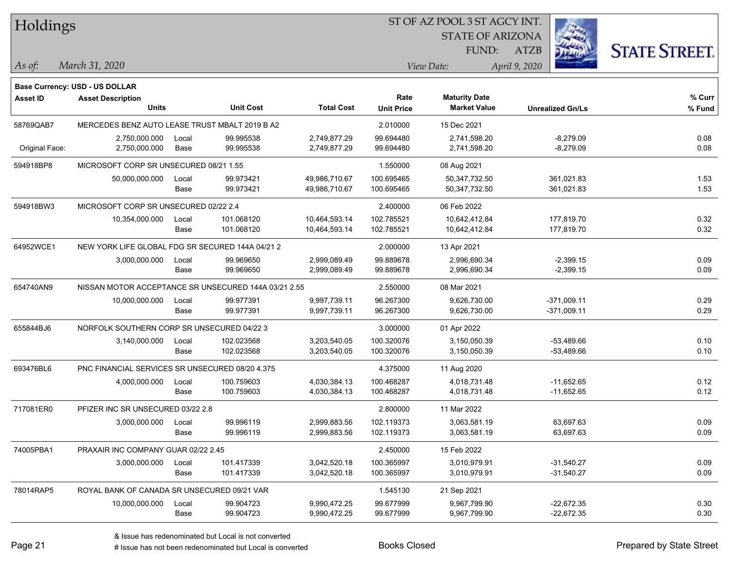| Holdings        |                                                      |       |                  |                   |                   | ST OF AZ POOL 3 ST AGCY INT. |                         |                      |
|-----------------|------------------------------------------------------|-------|------------------|-------------------|-------------------|------------------------------|-------------------------|----------------------|
|                 |                                                      |       |                  |                   |                   | <b>STATE OF ARIZONA</b>      |                         |                      |
|                 |                                                      |       |                  |                   |                   | FUND:                        | <b>ATZB</b>             | <b>STATE STREET.</b> |
| As of:          | March 31, 2020                                       |       |                  |                   |                   | View Date:                   | April 9, 2020           |                      |
|                 | Base Currency: USD - US DOLLAR                       |       |                  |                   |                   |                              |                         |                      |
| <b>Asset ID</b> | <b>Asset Description</b>                             |       |                  |                   | Rate              | <b>Maturity Date</b>         |                         | $%$ Curr             |
|                 | <b>Units</b>                                         |       | <b>Unit Cost</b> | <b>Total Cost</b> | <b>Unit Price</b> | <b>Market Value</b>          | <b>Unrealized Gn/Ls</b> | % Fund               |
| 58769QAB7       | MERCEDES BENZ AUTO LEASE TRUST MBALT 2019 B A2       |       |                  |                   | 2.010000          | 15 Dec 2021                  |                         |                      |
|                 | 2,750,000.000                                        | Local | 99.995538        | 2,749,877.29      | 99.694480         | 2,741,598.20                 | $-8,279.09$             | 0.08                 |
| Original Face:  | 2,750,000.000                                        | Base  | 99.995538        | 2,749,877.29      | 99.694480         | 2,741,598.20                 | $-8,279.09$             | 0.08                 |
| 594918BP8       | MICROSOFT CORP SR UNSECURED 08/21 1.55               |       |                  |                   | 1.550000          | 08 Aug 2021                  |                         |                      |
|                 | 50,000,000.000                                       | Local | 99.973421        | 49,986,710.67     | 100.695465        | 50,347,732.50                | 361,021.83              | 1.53                 |
|                 |                                                      | Base  | 99.973421        | 49,986,710.67     | 100.695465        | 50,347,732.50                | 361,021.83              | 1.53                 |
| 594918BW3       | MICROSOFT CORP SR UNSECURED 02/22 2.4                |       |                  |                   | 2.400000          | 06 Feb 2022                  |                         |                      |
|                 | 10,354,000.000                                       | Local | 101.068120       | 10,464,593.14     | 102.785521        | 10,642,412.84                | 177,819.70              | 0.32                 |
|                 |                                                      | Base  | 101.068120       | 10,464,593.14     | 102.785521        | 10,642,412.84                | 177,819.70              | 0.32                 |
| 64952WCE1       | NEW YORK LIFE GLOBAL FDG SR SECURED 144A 04/21 2     |       |                  |                   | 2.000000          | 13 Apr 2021                  |                         |                      |
|                 | 3,000,000.000                                        | Local | 99.969650        | 2,999,089.49      | 99.889678         | 2,996,690.34                 | $-2,399.15$             | 0.09                 |
|                 |                                                      | Base  | 99.969650        | 2,999,089.49      | 99.889678         | 2,996,690.34                 | $-2,399.15$             | 0.09                 |
| 654740AN9       | NISSAN MOTOR ACCEPTANCE SR UNSECURED 144A 03/21 2.55 |       |                  |                   | 2.550000          | 08 Mar 2021                  |                         |                      |
|                 | 10,000,000.000                                       | Local | 99.977391        | 9,997,739.11      | 96.267300         | 9,626,730.00                 | $-371,009.11$           | 0.29                 |
|                 |                                                      | Base  | 99.977391        | 9,997,739.11      | 96.267300         | 9,626,730.00                 | $-371,009.11$           | 0.29                 |
| 655844BJ6       | NORFOLK SOUTHERN CORP SR UNSECURED 04/22 3           |       |                  |                   | 3.000000          | 01 Apr 2022                  |                         |                      |
|                 | 3,140,000.000                                        | Local | 102.023568       | 3,203,540.05      | 100.320076        | 3,150,050.39                 | $-53,489.66$            | 0.10                 |
|                 |                                                      | Base  | 102.023568       | 3,203,540.05      | 100.320076        | 3,150,050.39                 | $-53,489.66$            | 0.10                 |
| 693476BL6       | PNC FINANCIAL SERVICES SR UNSECURED 08/20 4.375      |       |                  |                   | 4.375000          | 11 Aug 2020                  |                         |                      |
|                 | 4,000,000.000                                        | Local | 100.759603       | 4,030,384.13      | 100.468287        | 4,018,731.48                 | $-11,652.65$            | 0.12                 |
|                 |                                                      | Base  | 100.759603       | 4,030,384.13      | 100.468287        | 4,018,731.48                 | $-11,652.65$            | 0.12                 |
| 717081ER0       | PFIZER INC SR UNSECURED 03/22 2.8                    |       |                  |                   | 2.800000          | 11 Mar 2022                  |                         |                      |
|                 | 3,000,000.000                                        | Local | 99.996119        | 2,999,883.56      | 102.119373        | 3,063,581.19                 | 63,697.63               | 0.09                 |
|                 |                                                      | Base  | 99.996119        | 2,999,883.56      | 102.119373        | 3,063,581.19                 | 63,697.63               | 0.09                 |
| 74005PBA1       | PRAXAIR INC COMPANY GUAR 02/22 2.45                  |       |                  |                   | 2.450000          | 15 Feb 2022                  |                         |                      |
|                 | 3,000,000.000                                        | Local | 101.417339       | 3,042,520.18      | 100.365997        | 3,010,979.91                 | $-31,540.27$            | 0.09                 |
|                 |                                                      | Base  | 101.417339       | 3,042,520.18      | 100.365997        | 3,010,979.91                 | $-31,540.27$            | 0.09                 |
| 78014RAP5       | ROYAL BANK OF CANADA SR UNSECURED 09/21 VAR          |       |                  |                   | 1.545130          | 21 Sep 2021                  |                         |                      |
|                 | 10,000,000.000                                       | Local | 99.904723        | 9,990,472.25      | 99.677999         | 9,967,799.90                 | $-22,672.35$            | 0.30                 |
|                 |                                                      | Base  | 99.904723        | 9,990,472.25      | 99.677999         | 9,967,799.90                 | $-22,672.35$            | 0.30                 |

denote the redenominated but Local is converted Books Closed Prepared by State Street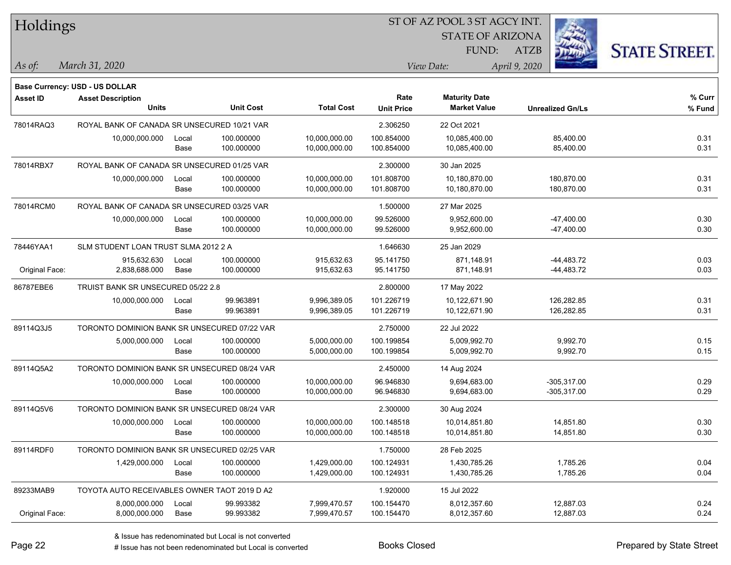| Holdings        |                                              |       |                  | ST OF AZ POOL 3 ST AGCY INT. |                   |                         |                         |                      |  |  |  |  |
|-----------------|----------------------------------------------|-------|------------------|------------------------------|-------------------|-------------------------|-------------------------|----------------------|--|--|--|--|
|                 |                                              |       |                  |                              |                   | <b>STATE OF ARIZONA</b> |                         |                      |  |  |  |  |
|                 |                                              |       |                  |                              |                   | FUND:                   | <b>ATZB</b>             | <b>STATE STREET.</b> |  |  |  |  |
| As of:          | March 31, 2020                               |       |                  |                              |                   | View Date:              | April 9, 2020           |                      |  |  |  |  |
|                 | <b>Base Currency: USD - US DOLLAR</b>        |       |                  |                              |                   |                         |                         |                      |  |  |  |  |
| <b>Asset ID</b> | <b>Asset Description</b>                     |       |                  |                              | Rate              | <b>Maturity Date</b>    |                         | % Curr               |  |  |  |  |
|                 | <b>Units</b>                                 |       | <b>Unit Cost</b> | <b>Total Cost</b>            | <b>Unit Price</b> | <b>Market Value</b>     | <b>Unrealized Gn/Ls</b> | $%$ Fund             |  |  |  |  |
| 78014RAQ3       | ROYAL BANK OF CANADA SR UNSECURED 10/21 VAR  |       |                  |                              | 2.306250          | 22 Oct 2021             |                         |                      |  |  |  |  |
|                 | 10,000,000.000                               | Local | 100.000000       | 10,000,000.00                | 100.854000        | 10,085,400.00           | 85,400.00               | 0.31                 |  |  |  |  |
|                 |                                              | Base  | 100.000000       | 10,000,000.00                | 100.854000        | 10,085,400.00           | 85,400.00               | 0.31                 |  |  |  |  |
| 78014RBX7       | ROYAL BANK OF CANADA SR UNSECURED 01/25 VAR  |       |                  |                              | 2.300000          | 30 Jan 2025             |                         |                      |  |  |  |  |
|                 | 10,000,000.000                               | Local | 100.000000       | 10,000,000.00                | 101.808700        | 10,180,870.00           | 180,870.00              | 0.31                 |  |  |  |  |
|                 |                                              | Base  | 100.000000       | 10,000,000.00                | 101.808700        | 10,180,870.00           | 180,870.00              | 0.31                 |  |  |  |  |
| 78014RCM0       | ROYAL BANK OF CANADA SR UNSECURED 03/25 VAR  |       |                  |                              | 1.500000          | 27 Mar 2025             |                         |                      |  |  |  |  |
|                 | 10,000,000.000                               | Local | 100.000000       | 10,000,000.00                | 99.526000         | 9,952,600.00            | $-47,400.00$            | 0.30                 |  |  |  |  |
|                 |                                              | Base  | 100.000000       | 10,000,000.00                | 99.526000         | 9,952,600.00            | $-47,400.00$            | 0.30                 |  |  |  |  |
| 78446YAA1       | SLM STUDENT LOAN TRUST SLMA 2012 2 A         |       |                  |                              | 1.646630          | 25 Jan 2029             |                         |                      |  |  |  |  |
|                 | 915,632.630                                  | Local | 100.000000       | 915,632.63                   | 95.141750         | 871,148.91              | $-44,483.72$            | 0.03                 |  |  |  |  |
| Original Face:  | 2,838,688.000                                | Base  | 100.000000       | 915,632.63                   | 95.141750         | 871,148.91              | -44,483.72              | 0.03                 |  |  |  |  |
| 86787EBE6       | TRUIST BANK SR UNSECURED 05/22 2.8           |       |                  |                              | 2.800000          | 17 May 2022             |                         |                      |  |  |  |  |
|                 | 10,000,000.000                               | Local | 99.963891        | 9,996,389.05                 | 101.226719        | 10,122,671.90           | 126,282.85              | 0.31                 |  |  |  |  |
|                 |                                              | Base  | 99.963891        | 9,996,389.05                 | 101.226719        | 10,122,671.90           | 126,282.85              | 0.31                 |  |  |  |  |
| 89114Q3J5       | TORONTO DOMINION BANK SR UNSECURED 07/22 VAR |       |                  |                              | 2.750000          | 22 Jul 2022             |                         |                      |  |  |  |  |
|                 | 5,000,000.000                                | Local | 100.000000       | 5,000,000.00                 | 100.199854        | 5,009,992.70            | 9,992.70                | 0.15                 |  |  |  |  |
|                 |                                              | Base  | 100.000000       | 5,000,000.00                 | 100.199854        | 5,009,992.70            | 9,992.70                | 0.15                 |  |  |  |  |
| 89114Q5A2       | TORONTO DOMINION BANK SR UNSECURED 08/24 VAR |       |                  |                              | 2.450000          | 14 Aug 2024             |                         |                      |  |  |  |  |
|                 | 10,000,000.000                               | Local | 100.000000       | 10,000,000.00                | 96.946830         | 9,694,683.00            | $-305,317.00$           | 0.29                 |  |  |  |  |
|                 |                                              | Base  | 100.000000       | 10,000,000.00                | 96.946830         | 9,694,683.00            | $-305,317.00$           | 0.29                 |  |  |  |  |
| 89114Q5V6       | TORONTO DOMINION BANK SR UNSECURED 08/24 VAR |       |                  |                              | 2.300000          | 30 Aug 2024             |                         |                      |  |  |  |  |
|                 | 10,000,000.000                               | Local | 100.000000       | 10,000,000.00                | 100.148518        | 10,014,851.80           | 14,851.80               | 0.30                 |  |  |  |  |
|                 |                                              | Base  | 100.000000       | 10,000,000.00                | 100.148518        | 10,014,851.80           | 14,851.80               | 0.30                 |  |  |  |  |
| 89114RDF0       | TORONTO DOMINION BANK SR UNSECURED 02/25 VAR |       |                  |                              | 1.750000          | 28 Feb 2025             |                         |                      |  |  |  |  |
|                 | 1,429,000.000                                | Local | 100.000000       | 1,429,000.00                 | 100.124931        | 1,430,785.26            | 1,785.26                | 0.04                 |  |  |  |  |
|                 |                                              | Base  | 100.000000       | 1,429,000.00                 | 100.124931        | 1,430,785.26            | 1,785.26                | 0.04                 |  |  |  |  |
| 89233MAB9       | TOYOTA AUTO RECEIVABLES OWNER TAOT 2019 D A2 |       |                  |                              | 1.920000          | 15 Jul 2022             |                         |                      |  |  |  |  |
|                 | 8,000,000.000                                | Local | 99.993382        | 7,999,470.57                 | 100.154470        | 8,012,357.60            | 12,887.03               | 0.24                 |  |  |  |  |
| Original Face:  | 8,000,000.000                                | Base  | 99.993382        | 7,999,470.57                 | 100.154470        | 8,012,357.60            | 12,887.03               | 0.24                 |  |  |  |  |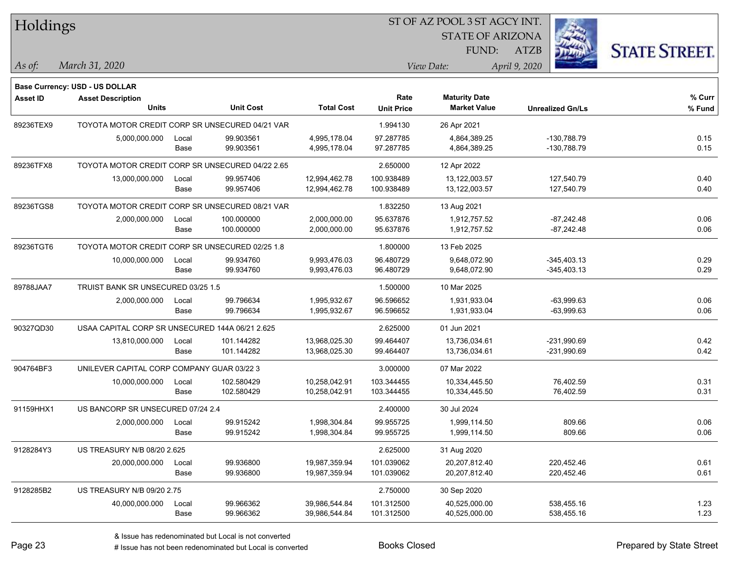| Holdings        |                                                  |       |                  |                   |                   | ST OF AZ POOL 3 ST AGCY INT. |                         |                      |
|-----------------|--------------------------------------------------|-------|------------------|-------------------|-------------------|------------------------------|-------------------------|----------------------|
|                 |                                                  |       |                  |                   |                   | <b>STATE OF ARIZONA</b>      |                         |                      |
|                 |                                                  |       |                  |                   |                   | FUND:                        | <b>ATZB</b>             | <b>STATE STREET.</b> |
| As of:          | March 31, 2020                                   |       |                  |                   |                   | View Date:                   | April 9, 2020           |                      |
|                 | Base Currency: USD - US DOLLAR                   |       |                  |                   |                   |                              |                         |                      |
| <b>Asset ID</b> | <b>Asset Description</b>                         |       |                  |                   | Rate              | <b>Maturity Date</b>         |                         | % Curr               |
|                 | <b>Units</b>                                     |       | <b>Unit Cost</b> | <b>Total Cost</b> | <b>Unit Price</b> | <b>Market Value</b>          | <b>Unrealized Gn/Ls</b> | % Fund               |
| 89236TEX9       | TOYOTA MOTOR CREDIT CORP SR UNSECURED 04/21 VAR  |       |                  |                   | 1.994130          | 26 Apr 2021                  |                         |                      |
|                 | 5,000,000.000                                    | Local | 99.903561        | 4,995,178.04      | 97.287785         | 4,864,389.25                 | -130,788.79             | 0.15                 |
|                 |                                                  | Base  | 99.903561        | 4,995,178.04      | 97.287785         | 4,864,389.25                 | -130,788.79             | 0.15                 |
| 89236TFX8       | TOYOTA MOTOR CREDIT CORP SR UNSECURED 04/22 2.65 |       |                  |                   | 2.650000          | 12 Apr 2022                  |                         |                      |
|                 | 13,000,000.000                                   | Local | 99.957406        | 12,994,462.78     | 100.938489        | 13,122,003.57                | 127,540.79              | 0.40                 |
|                 |                                                  | Base  | 99.957406        | 12,994,462.78     | 100.938489        | 13,122,003.57                | 127,540.79              | 0.40                 |
| 89236TGS8       | TOYOTA MOTOR CREDIT CORP SR UNSECURED 08/21 VAR  |       |                  |                   | 1.832250          | 13 Aug 2021                  |                         |                      |
|                 | 2,000,000.000                                    | Local | 100.000000       | 2,000,000.00      | 95.637876         | 1,912,757.52                 | $-87,242.48$            | 0.06                 |
|                 |                                                  | Base  | 100.000000       | 2,000,000.00      | 95.637876         | 1,912,757.52                 | $-87,242.48$            | 0.06                 |
| 89236TGT6       | TOYOTA MOTOR CREDIT CORP SR UNSECURED 02/25 1.8  |       |                  |                   | 1.800000          | 13 Feb 2025                  |                         |                      |
|                 | 10,000,000.000                                   | Local | 99.934760        | 9,993,476.03      | 96.480729         | 9,648,072.90                 | $-345,403.13$           | 0.29                 |
|                 |                                                  | Base  | 99.934760        | 9,993,476.03      | 96.480729         | 9,648,072.90                 | $-345,403.13$           | 0.29                 |
| 89788JAA7       | TRUIST BANK SR UNSECURED 03/25 1.5               |       |                  |                   | 1.500000          | 10 Mar 2025                  |                         |                      |
|                 | 2,000,000.000                                    | Local | 99.796634        | 1,995,932.67      | 96.596652         | 1,931,933.04                 | $-63,999.63$            | 0.06                 |
|                 |                                                  | Base  | 99.796634        | 1,995,932.67      | 96.596652         | 1,931,933.04                 | $-63,999.63$            | 0.06                 |
| 90327QD30       | USAA CAPITAL CORP SR UNSECURED 144A 06/21 2.625  |       |                  |                   | 2.625000          | 01 Jun 2021                  |                         |                      |
|                 | 13,810,000.000                                   | Local | 101.144282       | 13,968,025.30     | 99.464407         | 13,736,034.61                | -231,990.69             | 0.42                 |
|                 |                                                  | Base  | 101.144282       | 13,968,025.30     | 99.464407         | 13,736,034.61                | $-231,990.69$           | 0.42                 |
| 904764BF3       | UNILEVER CAPITAL CORP COMPANY GUAR 03/22 3       |       |                  |                   | 3.000000          | 07 Mar 2022                  |                         |                      |
|                 | 10,000,000.000                                   | Local | 102.580429       | 10,258,042.91     | 103.344455        | 10,334,445.50                | 76,402.59               | 0.31                 |
|                 |                                                  | Base  | 102.580429       | 10,258,042.91     | 103.344455        | 10,334,445.50                | 76,402.59               | 0.31                 |
| 91159HHX1       | US BANCORP SR UNSECURED 07/24 2.4                |       |                  |                   | 2.400000          | 30 Jul 2024                  |                         |                      |
|                 | 2,000,000.000                                    | Local | 99.915242        | 1,998,304.84      | 99.955725         | 1,999,114.50                 | 809.66                  | 0.06                 |
|                 |                                                  | Base  | 99.915242        | 1,998,304.84      | 99.955725         | 1,999,114.50                 | 809.66                  | 0.06                 |
| 9128284Y3       | US TREASURY N/B 08/20 2.625                      |       |                  |                   | 2.625000          | 31 Aug 2020                  |                         |                      |
|                 | 20,000,000.000                                   | Local | 99.936800        | 19,987,359.94     | 101.039062        | 20,207,812.40                | 220,452.46              | 0.61                 |
|                 |                                                  | Base  | 99.936800        | 19,987,359.94     | 101.039062        | 20,207,812.40                | 220,452.46              | 0.61                 |
| 9128285B2       | US TREASURY N/B 09/20 2.75                       |       |                  |                   | 2.750000          | 30 Sep 2020                  |                         |                      |
|                 | 40,000,000.000                                   | Local | 99.966362        | 39,986,544.84     | 101.312500        | 40,525,000.00                | 538,455.16              | 1.23                 |
|                 |                                                  | Base  | 99.966362        | 39,986,544.84     | 101.312500        | 40,525,000.00                | 538,455.16              | 1.23                 |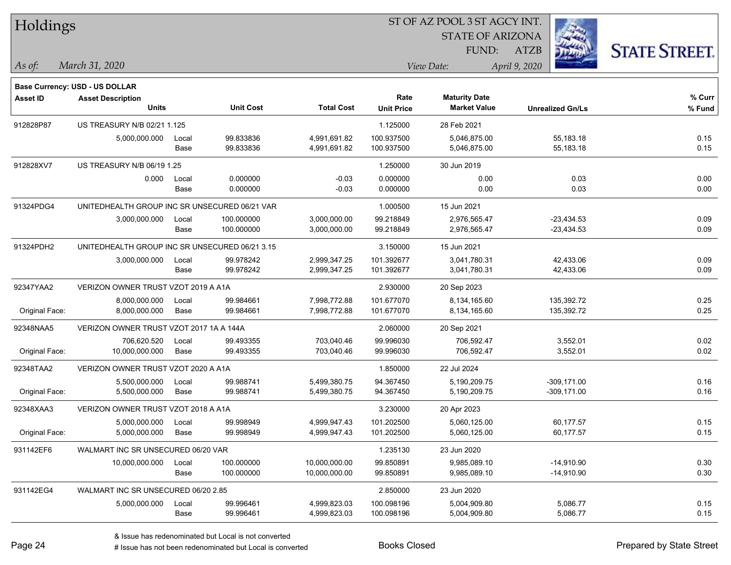| Holdings        |                                                |       |                  |                   |                   | ST OF AZ POOL 3 ST AGCY INT. |                         |                      |
|-----------------|------------------------------------------------|-------|------------------|-------------------|-------------------|------------------------------|-------------------------|----------------------|
|                 |                                                |       |                  |                   |                   | <b>STATE OF ARIZONA</b>      |                         |                      |
|                 |                                                |       |                  |                   |                   | FUND:                        | <b>ATZB</b>             | <b>STATE STREET.</b> |
| As of:          | March 31, 2020                                 |       |                  |                   |                   | View Date:                   | April 9, 2020           |                      |
|                 | Base Currency: USD - US DOLLAR                 |       |                  |                   |                   |                              |                         |                      |
| <b>Asset ID</b> | <b>Asset Description</b>                       |       |                  |                   | Rate              | <b>Maturity Date</b>         |                         | $%$ Curr             |
|                 | Units                                          |       | <b>Unit Cost</b> | <b>Total Cost</b> | <b>Unit Price</b> | <b>Market Value</b>          | <b>Unrealized Gn/Ls</b> | % Fund               |
| 912828P87       | US TREASURY N/B 02/21 1.125                    |       |                  |                   | 1.125000          | 28 Feb 2021                  |                         |                      |
|                 | 5,000,000.000                                  | Local | 99.833836        | 4,991,691.82      | 100.937500        | 5,046,875.00                 | 55,183.18               | 0.15                 |
|                 |                                                | Base  | 99.833836        | 4,991,691.82      | 100.937500        | 5,046,875.00                 | 55,183.18               | 0.15                 |
| 912828XV7       | US TREASURY N/B 06/19 1.25                     |       |                  |                   | 1.250000          | 30 Jun 2019                  |                         |                      |
|                 | 0.000                                          | Local | 0.000000         | $-0.03$           | 0.000000          | 0.00                         | 0.03                    | 0.00                 |
|                 |                                                | Base  | 0.000000         | $-0.03$           | 0.000000          | 0.00                         | 0.03                    | 0.00                 |
| 91324PDG4       | UNITEDHEALTH GROUP INC SR UNSECURED 06/21 VAR  |       |                  |                   | 1.000500          | 15 Jun 2021                  |                         |                      |
|                 | 3,000,000.000                                  | Local | 100.000000       | 3,000,000.00      | 99.218849         | 2,976,565.47                 | $-23,434.53$            | 0.09                 |
|                 |                                                | Base  | 100.000000       | 3,000,000.00      | 99.218849         | 2,976,565.47                 | $-23,434.53$            | 0.09                 |
| 91324PDH2       | UNITEDHEALTH GROUP INC SR UNSECURED 06/21 3.15 |       |                  |                   | 3.150000          | 15 Jun 2021                  |                         |                      |
|                 | 3,000,000.000                                  | Local | 99.978242        | 2,999,347.25      | 101.392677        | 3,041,780.31                 | 42,433.06               | 0.09                 |
|                 |                                                | Base  | 99.978242        | 2,999,347.25      | 101.392677        | 3,041,780.31                 | 42,433.06               | 0.09                 |
| 92347YAA2       | VERIZON OWNER TRUST VZOT 2019 A A1A            |       |                  |                   | 2.930000          | 20 Sep 2023                  |                         |                      |
|                 | 8,000,000.000                                  | Local | 99.984661        | 7,998,772.88      | 101.677070        | 8,134,165.60                 | 135,392.72              | 0.25                 |
| Original Face:  | 8,000,000.000                                  | Base  | 99.984661        | 7,998,772.88      | 101.677070        | 8,134,165.60                 | 135,392.72              | 0.25                 |
| 92348NAA5       | VERIZON OWNER TRUST VZOT 2017 1A A 144A        |       |                  |                   | 2.060000          | 20 Sep 2021                  |                         |                      |
|                 | 706,620.520                                    | Local | 99.493355        | 703,040.46        | 99.996030         | 706,592.47                   | 3,552.01                | 0.02                 |
| Original Face:  | 10,000,000.000                                 | Base  | 99.493355        | 703,040.46        | 99.996030         | 706,592.47                   | 3,552.01                | 0.02                 |
| 92348TAA2       | VERIZON OWNER TRUST VZOT 2020 A A1A            |       |                  |                   | 1.850000          | 22 Jul 2024                  |                         |                      |
|                 | 5,500,000.000                                  | Local | 99.988741        | 5,499,380.75      | 94.367450         | 5,190,209.75                 | $-309, 171.00$          | 0.16                 |
| Original Face:  | 5,500,000.000                                  | Base  | 99.988741        | 5,499,380.75      | 94.367450         | 5,190,209.75                 | $-309,171.00$           | 0.16                 |
| 92348XAA3       | VERIZON OWNER TRUST VZOT 2018 A A1A            |       |                  |                   | 3.230000          | 20 Apr 2023                  |                         |                      |
|                 | 5,000,000.000                                  | Local | 99.998949        | 4,999,947.43      | 101.202500        | 5,060,125.00                 | 60,177.57               | 0.15                 |
| Original Face:  | 5,000,000.000                                  | Base  | 99.998949        | 4,999,947.43      | 101.202500        | 5,060,125.00                 | 60,177.57               | 0.15                 |
| 931142EF6       | WALMART INC SR UNSECURED 06/20 VAR             |       |                  |                   | 1.235130          | 23 Jun 2020                  |                         |                      |
|                 | 10,000,000.000                                 | Local | 100.000000       | 10,000,000.00     | 99.850891         | 9,985,089.10                 | $-14,910.90$            | 0.30                 |
|                 |                                                | Base  | 100.000000       | 10,000,000.00     | 99.850891         | 9,985,089.10                 | $-14,910.90$            | 0.30                 |
| 931142EG4       | WALMART INC SR UNSECURED 06/20 2.85            |       |                  |                   | 2.850000          | 23 Jun 2020                  |                         |                      |
|                 | 5,000,000.000                                  | Local | 99.996461        | 4,999,823.03      | 100.098196        | 5,004,909.80                 | 5,086.77                | 0.15                 |
|                 |                                                | Base  | 99.996461        | 4,999,823.03      | 100.098196        | 5,004,909.80                 | 5,086.77                | 0.15                 |

 $\overline{\phantom{0}}$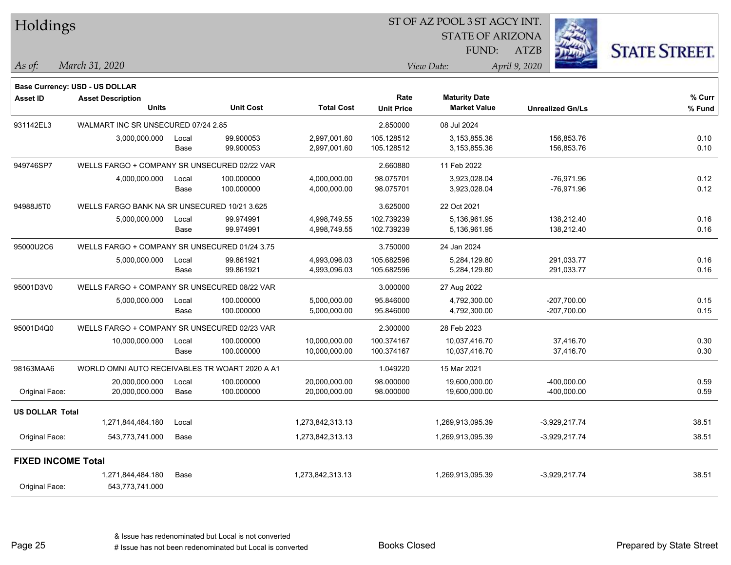| Holdings                  |                                                |       |                  |                   |                   | ST OF AZ POOL 3 ST AGCY INT.                |                         |                      |
|---------------------------|------------------------------------------------|-------|------------------|-------------------|-------------------|---------------------------------------------|-------------------------|----------------------|
|                           |                                                |       |                  |                   |                   | <b>STATE OF ARIZONA</b>                     |                         |                      |
|                           |                                                |       |                  |                   |                   | FUND:                                       | <b>ATZB</b>             | <b>STATE STREET.</b> |
| As of:                    | March 31, 2020                                 |       |                  |                   |                   | View Date:                                  | April 9, 2020           |                      |
|                           |                                                |       |                  |                   |                   |                                             |                         |                      |
|                           | Base Currency: USD - US DOLLAR                 |       |                  |                   |                   |                                             |                         |                      |
| <b>Asset ID</b>           | <b>Asset Description</b><br><b>Units</b>       |       | <b>Unit Cost</b> | <b>Total Cost</b> | Rate              | <b>Maturity Date</b><br><b>Market Value</b> |                         | % Curr               |
|                           |                                                |       |                  |                   | <b>Unit Price</b> |                                             | <b>Unrealized Gn/Ls</b> | % Fund               |
| 931142EL3                 | WALMART INC SR UNSECURED 07/24 2.85            |       |                  |                   | 2.850000          | 08 Jul 2024                                 |                         |                      |
|                           | 3,000,000.000                                  | Local | 99.900053        | 2,997,001.60      | 105.128512        | 3,153,855.36                                | 156,853.76              | 0.10                 |
|                           |                                                | Base  | 99.900053        | 2,997,001.60      | 105.128512        | 3,153,855.36                                | 156,853.76              | 0.10                 |
| 949746SP7                 | WELLS FARGO + COMPANY SR UNSECURED 02/22 VAR   |       |                  |                   | 2.660880          | 11 Feb 2022                                 |                         |                      |
|                           | 4,000,000.000                                  | Local | 100.000000       | 4,000,000.00      | 98.075701         | 3,923,028.04                                | $-76,971.96$            | 0.12                 |
|                           |                                                | Base  | 100.000000       | 4,000,000.00      | 98.075701         | 3,923,028.04                                | -76,971.96              | 0.12                 |
| 94988J5T0                 | WELLS FARGO BANK NA SR UNSECURED 10/21 3.625   |       |                  |                   | 3.625000          | 22 Oct 2021                                 |                         |                      |
|                           | 5,000,000.000                                  | Local | 99.974991        | 4,998,749.55      | 102.739239        | 5,136,961.95                                | 138,212.40              | 0.16                 |
|                           |                                                | Base  | 99.974991        | 4,998,749.55      | 102.739239        | 5,136,961.95                                | 138,212.40              | 0.16                 |
| 95000U2C6                 | WELLS FARGO + COMPANY SR UNSECURED 01/24 3.75  |       |                  |                   | 3.750000          | 24 Jan 2024                                 |                         |                      |
|                           | 5,000,000.000                                  | Local | 99.861921        | 4,993,096.03      | 105.682596        | 5,284,129.80                                | 291,033.77              | 0.16                 |
|                           |                                                | Base  | 99.861921        | 4,993,096.03      | 105.682596        | 5,284,129.80                                | 291,033.77              | 0.16                 |
| 95001D3V0                 | WELLS FARGO + COMPANY SR UNSECURED 08/22 VAR   |       |                  |                   | 3.000000          | 27 Aug 2022                                 |                         |                      |
|                           | 5,000,000.000                                  | Local | 100.000000       | 5,000,000.00      | 95.846000         | 4,792,300.00                                | $-207,700.00$           | 0.15                 |
|                           |                                                | Base  | 100.000000       | 5,000,000.00      | 95.846000         | 4,792,300.00                                | $-207,700.00$           | 0.15                 |
| 95001D4Q0                 | WELLS FARGO + COMPANY SR UNSECURED 02/23 VAR   |       |                  |                   | 2.300000          | 28 Feb 2023                                 |                         |                      |
|                           | 10,000,000.000                                 | Local | 100.000000       | 10,000,000.00     | 100.374167        | 10,037,416.70                               | 37,416.70               | 0.30                 |
|                           |                                                | Base  | 100.000000       | 10,000,000.00     | 100.374167        | 10,037,416.70                               | 37,416.70               | 0.30                 |
| 98163MAA6                 | WORLD OMNI AUTO RECEIVABLES TR WOART 2020 A A1 |       |                  |                   | 1.049220          | 15 Mar 2021                                 |                         |                      |
|                           | 20,000,000.000                                 | Local | 100.000000       | 20,000,000.00     | 98.000000         | 19,600,000.00                               | $-400,000.00$           | 0.59                 |
| Original Face:            | 20,000,000.000                                 | Base  | 100.000000       | 20,000,000.00     | 98.000000         | 19,600,000.00                               | $-400,000.00$           | 0.59                 |
| <b>US DOLLAR Total</b>    |                                                |       |                  |                   |                   |                                             |                         |                      |
|                           | 1,271,844,484.180                              | Local |                  | 1,273,842,313.13  |                   | 1,269,913,095.39                            | $-3,929,217.74$         | 38.51                |
| Original Face:            | 543,773,741.000                                | Base  |                  | 1,273,842,313.13  |                   | 1,269,913,095.39                            | -3,929,217.74           | 38.51                |
| <b>FIXED INCOME Total</b> |                                                |       |                  |                   |                   |                                             |                         |                      |
|                           | 1,271,844,484.180                              | Base  |                  | 1,273,842,313.13  |                   | 1,269,913,095.39                            | -3,929,217.74           | 38.51                |
| Original Face:            | 543,773,741.000                                |       |                  |                   |                   |                                             |                         |                      |
|                           |                                                |       |                  |                   |                   |                                             |                         |                      |

Page 25

٦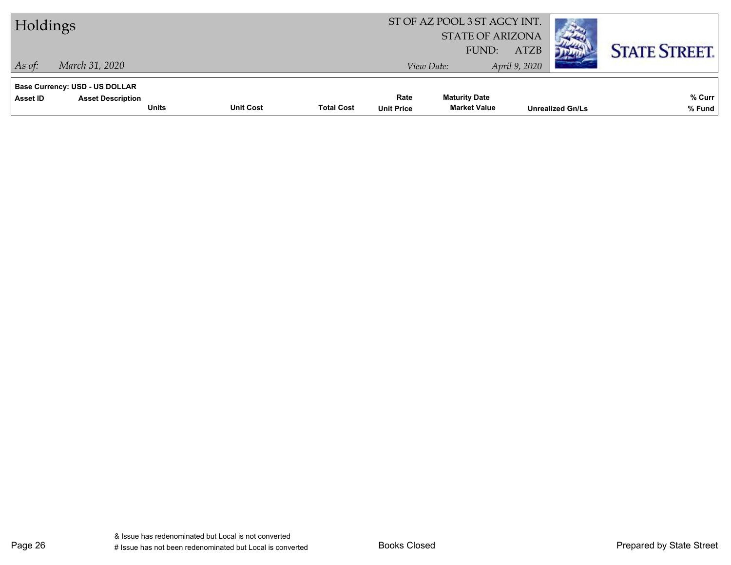| Holdings                                                                      |                                  |                   |                           | ST OF AZ POOL 3 ST AGCY INT.<br><b>STATE OF ARIZONA</b> |                              |                         |                      |
|-------------------------------------------------------------------------------|----------------------------------|-------------------|---------------------------|---------------------------------------------------------|------------------------------|-------------------------|----------------------|
| March 31, 2020<br>$ $ As of:                                                  |                                  |                   | View Date:                | FUND:                                                   | <b>ATZB</b><br>April 9, 2020 |                         | <b>STATE STREET.</b> |
| <b>Base Currency: USD - US DOLLAR</b><br>Asset ID<br><b>Asset Description</b> | <b>Unit Cost</b><br><b>Units</b> | <b>Total Cost</b> | Rate<br><b>Unit Price</b> | <b>Maturity Date</b><br><b>Market Value</b>             |                              | <b>Unrealized Gn/Ls</b> | % Curr<br>% Fund     |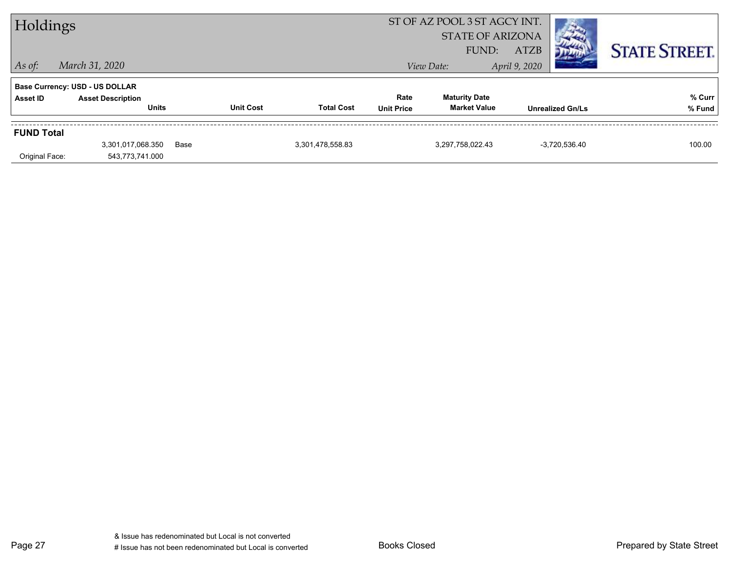| Holdings                            |                                                                                                     |      |                  |                   |                           | ST OF AZ POOL 3 ST AGCY INT.<br><b>STATE OF ARIZONA</b><br><b>ATZB</b><br>FUND: |                                          |  | <b>STATE STREET.</b> |
|-------------------------------------|-----------------------------------------------------------------------------------------------------|------|------------------|-------------------|---------------------------|---------------------------------------------------------------------------------|------------------------------------------|--|----------------------|
| $\vert$ As of:<br>Asset ID          | March 31, 2020<br><b>Base Currency: USD - US DOLLAR</b><br><b>Asset Description</b><br><b>Units</b> |      | <b>Unit Cost</b> | <b>Total Cost</b> | Rate<br><b>Unit Price</b> | View Date:<br><b>Maturity Date</b><br><b>Market Value</b>                       | April 9, 2020<br><b>Unrealized Gn/Ls</b> |  | % Curr<br>% Fund     |
| <b>FUND Total</b><br>Original Face: | 3,301,017,068.350<br>543,773,741.000                                                                | Base |                  | 3,301,478,558.83  |                           | 3,297,758,022.43                                                                | $-3,720,536.40$                          |  | 100.00               |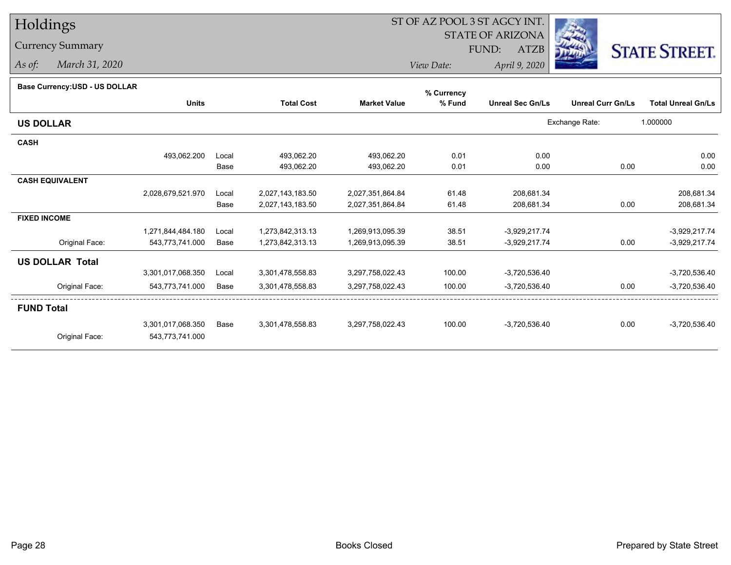# Holdings

### Currency Summary

*As of: March 31, 2020*

## ST OF AZ POOL 3 ST AGCY INT.

STATE OF ARIZONA

FUND: ATZB



*View Date:April 9, 2020*

| Base Currency: USD - US DOLLAR |  |
|--------------------------------|--|

| Base Currency: USD - US DOLLAR |                   |       |                   |                     | % Currency |                         |                          |                           |
|--------------------------------|-------------------|-------|-------------------|---------------------|------------|-------------------------|--------------------------|---------------------------|
|                                | <b>Units</b>      |       | <b>Total Cost</b> | <b>Market Value</b> | % Fund     | <b>Unreal Sec Gn/Ls</b> | <b>Unreal Curr Gn/Ls</b> | <b>Total Unreal Gn/Ls</b> |
| <b>US DOLLAR</b>               |                   |       |                   |                     |            |                         | Exchange Rate:           | 1.000000                  |
| <b>CASH</b>                    |                   |       |                   |                     |            |                         |                          |                           |
|                                | 493,062.200       | Local | 493,062.20        | 493,062.20          | 0.01       | 0.00                    |                          | 0.00                      |
|                                |                   | Base  | 493,062.20        | 493,062.20          | 0.01       | 0.00                    | 0.00                     | 0.00                      |
| <b>CASH EQUIVALENT</b>         |                   |       |                   |                     |            |                         |                          |                           |
|                                | 2,028,679,521.970 | Local | 2,027,143,183.50  | 2,027,351,864.84    | 61.48      | 208,681.34              |                          | 208,681.34                |
|                                |                   | Base  | 2,027,143,183.50  | 2,027,351,864.84    | 61.48      | 208,681.34              | 0.00                     | 208,681.34                |
| <b>FIXED INCOME</b>            |                   |       |                   |                     |            |                         |                          |                           |
|                                | 1,271,844,484.180 | Local | 1,273,842,313.13  | 1,269,913,095.39    | 38.51      | $-3,929,217.74$         |                          | $-3,929,217.74$           |
| Original Face:                 | 543,773,741.000   | Base  | 1,273,842,313.13  | 1,269,913,095.39    | 38.51      | $-3,929,217.74$         | 0.00                     | $-3,929,217.74$           |
| <b>US DOLLAR Total</b>         |                   |       |                   |                     |            |                         |                          |                           |
|                                | 3,301,017,068.350 | Local | 3,301,478,558.83  | 3,297,758,022.43    | 100.00     | $-3,720,536.40$         |                          | $-3,720,536.40$           |
| Original Face:                 | 543,773,741.000   | Base  | 3,301,478,558.83  | 3,297,758,022.43    | 100.00     | $-3,720,536.40$         | 0.00                     | $-3,720,536.40$           |
| <b>FUND Total</b>              |                   |       |                   |                     |            |                         |                          |                           |
|                                | 3,301,017,068.350 | Base  | 3,301,478,558.83  | 3,297,758,022.43    | 100.00     | $-3,720,536.40$         | 0.00                     | $-3,720,536.40$           |
| Original Face:                 | 543,773,741.000   |       |                   |                     |            |                         |                          |                           |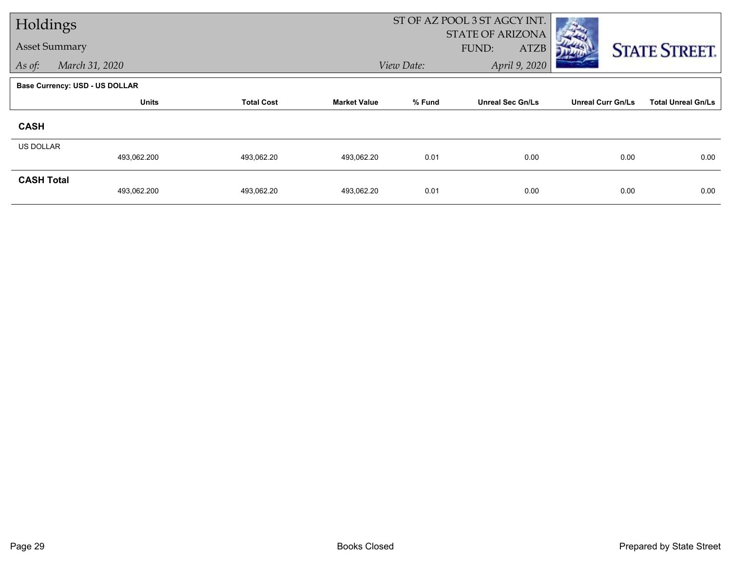| Holdings             |                                       |                   |                     |            | ST OF AZ POOL 3 ST AGCY INT.                    |                          |                           |  |
|----------------------|---------------------------------------|-------------------|---------------------|------------|-------------------------------------------------|--------------------------|---------------------------|--|
| <b>Asset Summary</b> |                                       |                   |                     |            | <b>STATE OF ARIZONA</b><br>FUND:<br><b>ATZB</b> |                          | <b>STATE STREET.</b>      |  |
| As of:               | March 31, 2020                        |                   |                     | View Date: | April 9, 2020                                   |                          |                           |  |
|                      | <b>Base Currency: USD - US DOLLAR</b> |                   |                     |            |                                                 |                          |                           |  |
|                      | <b>Units</b>                          | <b>Total Cost</b> | <b>Market Value</b> | % Fund     | <b>Unreal Sec Gn/Ls</b>                         | <b>Unreal Curr Gn/Ls</b> | <b>Total Unreal Gn/Ls</b> |  |
| <b>CASH</b>          |                                       |                   |                     |            |                                                 |                          |                           |  |
| <b>US DOLLAR</b>     | 493,062.200                           | 493,062.20        | 493,062.20          | 0.01       | 0.00                                            | 0.00                     | 0.00                      |  |
| <b>CASH Total</b>    | 493,062.200                           | 493,062.20        | 493,062.20          | 0.01       | 0.00                                            | 0.00                     | 0.00                      |  |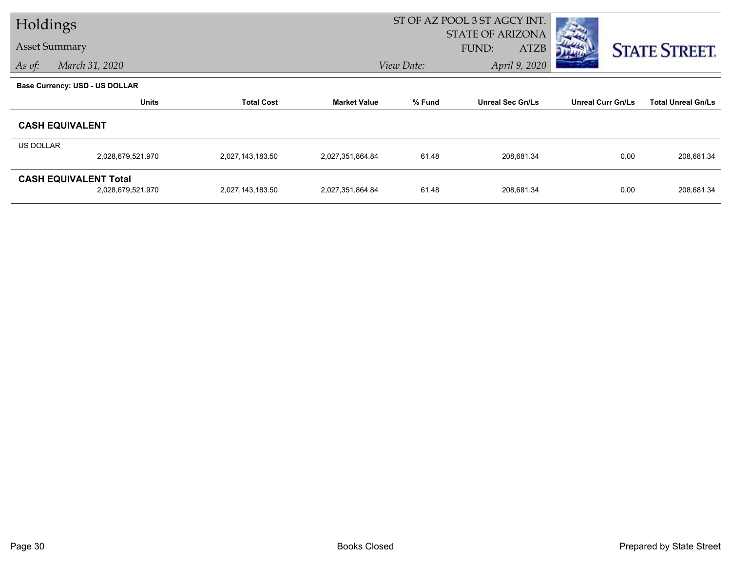| Holdings  |                                |                   |                     |                                   | ST OF AZ POOL 3 ST AGCY INT. |                          |                           |
|-----------|--------------------------------|-------------------|---------------------|-----------------------------------|------------------------------|--------------------------|---------------------------|
|           |                                |                   |                     |                                   | <b>STATE OF ARIZONA</b>      |                          |                           |
|           | <b>Asset Summary</b>           |                   |                     |                                   | <b>FUND:</b><br>ATZB         |                          | <b>STATE STREET.</b>      |
| As of:    | March 31, 2020                 |                   |                     | April 9, 2020<br>View Date:       |                              |                          |                           |
|           | Base Currency: USD - US DOLLAR |                   |                     |                                   |                              |                          |                           |
|           | <b>Units</b>                   | <b>Total Cost</b> | <b>Market Value</b> | % Fund<br><b>Unreal Sec Gn/Ls</b> |                              | <b>Unreal Curr Gn/Ls</b> | <b>Total Unreal Gn/Ls</b> |
|           | <b>CASH EQUIVALENT</b>         |                   |                     |                                   |                              |                          |                           |
| US DOLLAR |                                |                   |                     |                                   |                              |                          |                           |
|           | 2,028,679,521.970              | 2,027,143,183.50  | 2,027,351,864.84    | 61.48                             | 208,681.34                   | 0.00                     | 208,681.34                |
|           | <b>CASH EQUIVALENT Total</b>   |                   |                     |                                   |                              |                          |                           |
|           | 2,028,679,521.970              | 2,027,143,183.50  | 2,027,351,864.84    | 61.48                             | 208,681.34                   | 0.00                     | 208,681.34                |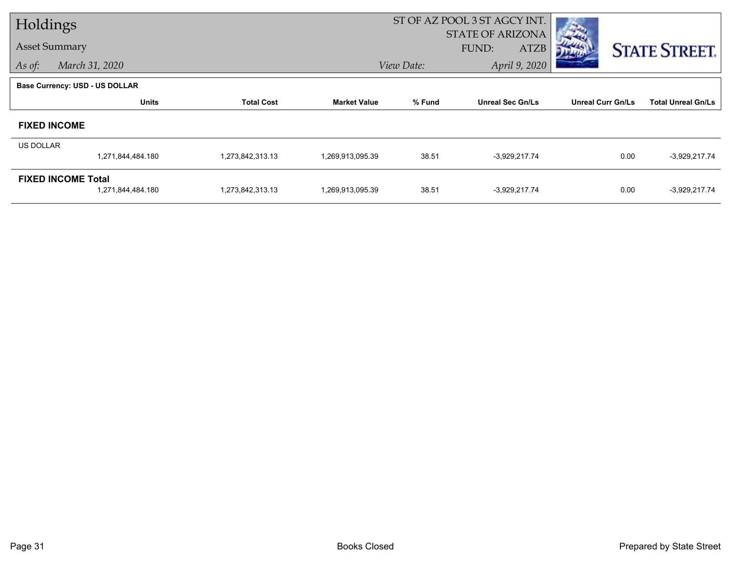| Holdings             |                                                |                   |                     | ST OF AZ POOL 3 ST AGCY INT. |                                                        |                          |                           |
|----------------------|------------------------------------------------|-------------------|---------------------|------------------------------|--------------------------------------------------------|--------------------------|---------------------------|
| <b>Asset Summary</b> |                                                |                   |                     |                              | <b>STATE OF ARIZONA</b><br><b>ATZB</b><br><b>FUND:</b> |                          | <b>STATE STREET.</b>      |
| As of:               | March 31, 2020                                 |                   |                     | April 9, 2020<br>View Date:  |                                                        |                          |                           |
|                      | <b>Base Currency: USD - US DOLLAR</b>          |                   |                     |                              |                                                        |                          |                           |
|                      | <b>Units</b>                                   | <b>Total Cost</b> | <b>Market Value</b> | % Fund                       | <b>Unreal Sec Gn/Ls</b>                                | <b>Unreal Curr Gn/Ls</b> | <b>Total Unreal Gn/Ls</b> |
|                      | <b>FIXED INCOME</b>                            |                   |                     |                              |                                                        |                          |                           |
| US DOLLAR            |                                                |                   |                     |                              |                                                        |                          |                           |
|                      | 1,271,844,484.180                              | 1,273,842,313.13  | 1,269,913,095.39    | 38.51                        | -3,929,217.74                                          | 0.00                     | $-3,929,217.74$           |
|                      | <b>FIXED INCOME Total</b><br>1,271,844,484.180 | 1,273,842,313.13  | 1,269,913,095.39    | 38.51                        | $-3,929,217.74$                                        | 0.00                     | $-3,929,217.74$           |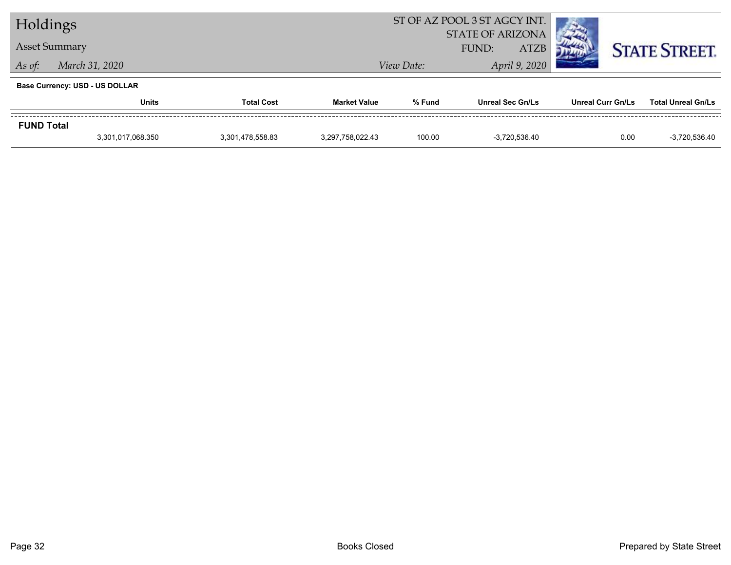| Holdings                 |                                       |                  |                      | ST OF AZ POOL 3 ST AGCY INT.<br><b>STATE OF ARIZONA</b> |                         |                          |                           |  |
|--------------------------|---------------------------------------|------------------|----------------------|---------------------------------------------------------|-------------------------|--------------------------|---------------------------|--|
| <b>Asset Summary</b>     |                                       |                  | <b>ATZB</b><br>FUND: |                                                         |                         |                          | <b>STATE STREET.</b>      |  |
| March 31, 2020<br>As of: |                                       |                  |                      | View Date:                                              |                         |                          |                           |  |
|                          | <b>Base Currency: USD - US DOLLAR</b> |                  |                      |                                                         |                         |                          |                           |  |
|                          | <b>Units</b><br><b>Total Cost</b>     |                  | <b>Market Value</b>  | % Fund                                                  | <b>Unreal Sec Gn/Ls</b> | <b>Unreal Curr Gn/Ls</b> | <b>Total Unreal Gn/Ls</b> |  |
| <b>FUND Total</b>        |                                       |                  |                      |                                                         |                         |                          |                           |  |
|                          | 3,301,017,068.350                     | 3,301,478,558.83 | 3,297,758,022.43     | 100.00                                                  | $-3.720.536.40$         | 0.00                     | $-3,720,536.40$           |  |